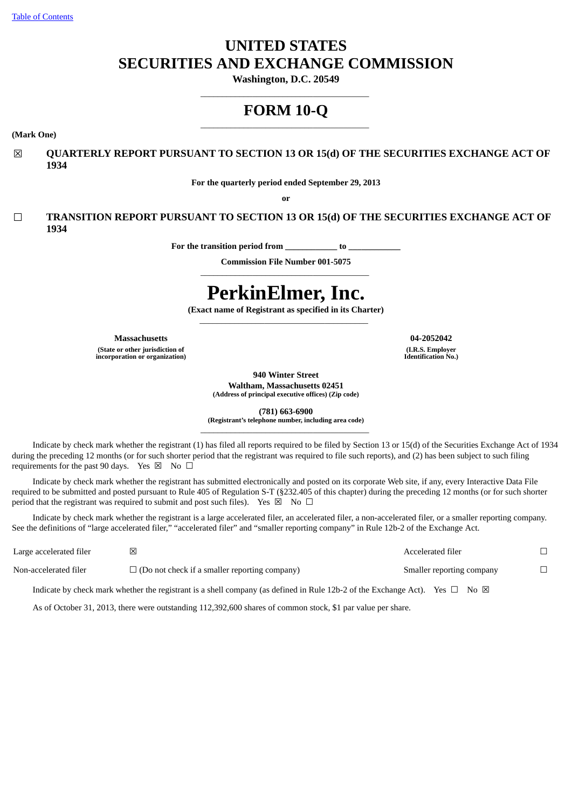# **UNITED STATES SECURITIES AND EXCHANGE COMMISSION**

**Washington, D.C. 20549** \_\_\_\_\_\_\_\_\_\_\_\_\_\_\_\_\_\_\_\_\_\_\_\_\_\_\_\_\_\_\_\_\_\_\_\_\_\_\_

# **FORM 10-Q** \_\_\_\_\_\_\_\_\_\_\_\_\_\_\_\_\_\_\_\_\_\_\_\_\_\_\_\_\_\_\_\_\_\_\_\_\_\_\_

**(Mark One)**

☒ **QUARTERLY REPORT PURSUANT TO SECTION 13 OR 15(d) OF THE SECURITIES EXCHANGE ACT OF 1934**

**For the quarterly period ended September 29, 2013**

**or**

# ☐ **TRANSITION REPORT PURSUANT TO SECTION 13 OR 15(d) OF THE SECURITIES EXCHANGE ACT OF 1934**

**For the transition period from \_\_\_\_\_\_\_\_\_\_\_\_ to \_\_\_\_\_\_\_\_\_\_\_\_**

**Commission File Number 001-5075** \_\_\_\_\_\_\_\_\_\_\_\_\_\_\_\_\_\_\_\_\_\_\_\_\_\_\_\_\_\_\_\_\_\_\_\_\_\_\_

# **PerkinElmer, Inc.**

**(Exact name of Registrant as specified in its Charter)** \_\_\_\_\_\_\_\_\_\_\_\_\_\_\_\_\_\_\_\_\_\_\_\_\_\_\_\_\_\_\_\_\_\_\_\_\_\_\_

**Massachusetts 04-2052042**

**(State or other jurisdiction of incorporation or organization)**

**(I.R.S. Employer Identification No.)**

**940 Winter Street Waltham, Massachusetts 02451**

**(Address of principal executive offices) (Zip code)**

**(781) 663-6900**

**(Registrant's telephone number, including area code)** \_\_\_\_\_\_\_\_\_\_\_\_\_\_\_\_\_\_\_\_\_\_\_\_\_\_\_\_\_\_\_\_\_\_\_\_\_\_\_

Indicate by check mark whether the registrant (1) has filed all reports required to be filed by Section 13 or 15(d) of the Securities Exchange Act of 1934 during the preceding 12 months (or for such shorter period that the registrant was required to file such reports), and (2) has been subject to such filing requirements for the past 90 days. Yes  $\boxtimes$  No  $\Box$ 

Indicate by check mark whether the registrant has submitted electronically and posted on its corporate Web site, if any, every Interactive Data File required to be submitted and posted pursuant to Rule 405 of Regulation S-T (§232.405 of this chapter) during the preceding 12 months (or for such shorter period that the registrant was required to submit and post such files). Yes  $\boxtimes$  No  $\Box$ 

Indicate by check mark whether the registrant is a large accelerated filer, an accelerated filer, a non-accelerated filer, or a smaller reporting company. See the definitions of "large accelerated filer," "accelerated filer" and "smaller reporting company" in Rule 12b-2 of the Exchange Act.

Large accelerated filer ☒ Accelerated filer ☐ Non-accelerated filer □ □ (Do not check if a smaller reporting company) Smaller reporting company □ Indicate by check mark whether the registrant is a shell company (as defined in Rule 12b-2 of the Exchange Act). Yes  $\Box$  No  $\boxtimes$ 

<span id="page-0-0"></span>As of October 31, 2013, there were outstanding 112,392,600 shares of common stock, \$1 par value per share.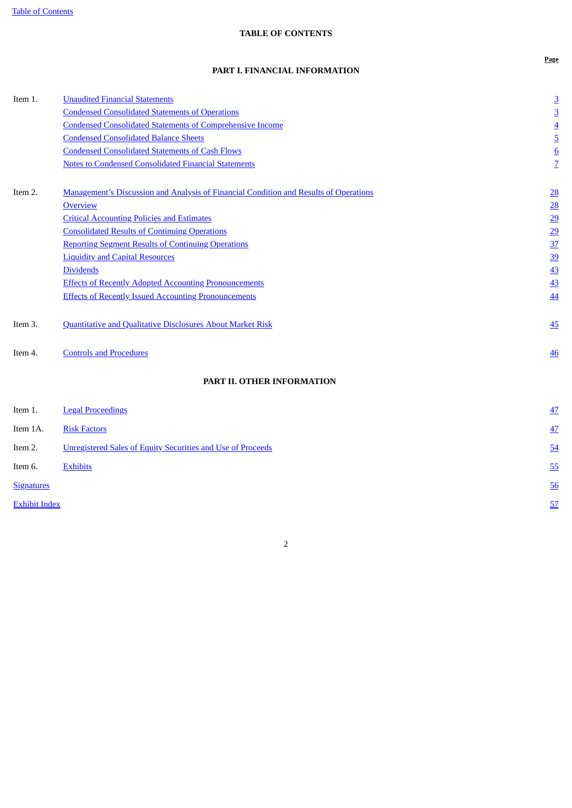# **TABLE OF CONTENTS**

# **PART I. FINANCIAL INFORMATION**

**Page**

| Item 1.              | <b>Unaudited Financial Statements</b>                                                 | $\overline{3}$   |
|----------------------|---------------------------------------------------------------------------------------|------------------|
|                      | <b>Condensed Consolidated Statements of Operations</b>                                | $\overline{3}$   |
|                      | <b>Condensed Consolidated Statements of Comprehensive Income</b>                      | $\overline{4}$   |
|                      | <b>Condensed Consolidated Balance Sheets</b>                                          | $\overline{5}$   |
|                      | <b>Condensed Consolidated Statements of Cash Flows</b>                                | $6 \overline{6}$ |
|                      | <b>Notes to Condensed Consolidated Financial Statements</b>                           | $\overline{Z}$   |
| Item 2.              | Management's Discussion and Analysis of Financial Condition and Results of Operations | $\underline{28}$ |
|                      | <b>Overview</b>                                                                       | $\frac{28}{2}$   |
|                      | <b>Critical Accounting Policies and Estimates</b>                                     | 29               |
|                      | <b>Consolidated Results of Continuing Operations</b>                                  | $\frac{29}{37}$  |
|                      | <b>Reporting Segment Results of Continuing Operations</b>                             |                  |
|                      | <b>Liquidity and Capital Resources</b>                                                | <u>39</u>        |
|                      | <b>Dividends</b>                                                                      | $\overline{43}$  |
|                      | <b>Effects of Recently Adopted Accounting Pronouncements</b>                          | <u>43</u>        |
|                      | <b>Effects of Recently Issued Accounting Pronouncements</b>                           | 44               |
| Item 3.              | <b>Quantitative and Qualitative Disclosures About Market Risk</b>                     | 45               |
| Item 4.              | <b>Controls and Procedures</b>                                                        | 46               |
|                      | PART II. OTHER INFORMATION                                                            |                  |
| Item 1.              | <b>Legal Proceedings</b>                                                              | $\frac{47}{1}$   |
| Item 1A.             | <b>Risk Factors</b>                                                                   | 47               |
| Item 2.              | <b>Unregistered Sales of Equity Securities and Use of Proceeds</b>                    | 54               |
| Item 6.              | <b>Exhibits</b>                                                                       | 55               |
| <b>Signatures</b>    |                                                                                       | 56               |
| <b>Exhibit Index</b> |                                                                                       | 57               |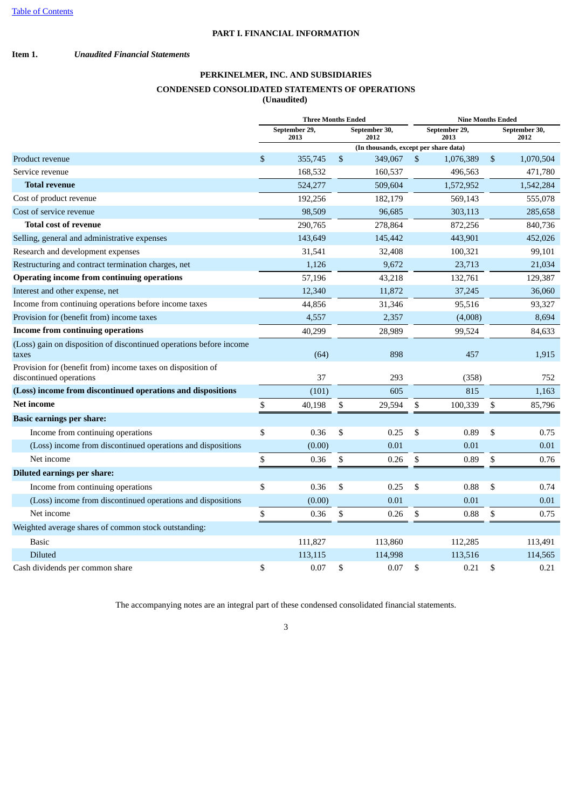# **PART I. FINANCIAL INFORMATION**

<span id="page-2-1"></span><span id="page-2-0"></span>**Item 1.** *Unaudited Financial Statements*

# **PERKINELMER, INC. AND SUBSIDIARIES**

# **CONDENSED CONSOLIDATED STATEMENTS OF OPERATIONS**

**(Unaudited)**

|                                                                                        | <b>Three Months Ended</b> |                       |                                       |                       | <b>Nine Months Ended</b> |                       |                |                       |
|----------------------------------------------------------------------------------------|---------------------------|-----------------------|---------------------------------------|-----------------------|--------------------------|-----------------------|----------------|-----------------------|
|                                                                                        |                           | September 29,<br>2013 |                                       | September 30,<br>2012 |                          | September 29,<br>2013 |                | September 30,<br>2012 |
|                                                                                        |                           |                       | (In thousands, except per share data) |                       |                          |                       |                |                       |
| Product revenue                                                                        | \$                        | 355,745               | $\mathfrak{s}$                        | 349,067               | \$                       | 1,076,389             | $\mathfrak{S}$ | 1,070,504             |
| Service revenue                                                                        |                           | 168,532               |                                       | 160,537               |                          | 496,563               |                | 471,780               |
| <b>Total revenue</b>                                                                   |                           | 524,277               |                                       | 509,604               |                          | 1,572,952             |                | 1,542,284             |
| Cost of product revenue                                                                |                           | 192,256               |                                       | 182,179               |                          | 569,143               |                | 555,078               |
| Cost of service revenue                                                                |                           | 98,509                |                                       | 96,685                |                          | 303,113               |                | 285,658               |
| <b>Total cost of revenue</b>                                                           |                           | 290,765               |                                       | 278,864               |                          | 872,256               |                | 840,736               |
| Selling, general and administrative expenses                                           |                           | 143,649               |                                       | 145,442               |                          | 443,901               |                | 452,026               |
| Research and development expenses                                                      |                           | 31,541                |                                       | 32,408                |                          | 100,321               |                | 99,101                |
| Restructuring and contract termination charges, net                                    |                           | 1,126                 |                                       | 9,672                 |                          | 23,713                |                | 21,034                |
| <b>Operating income from continuing operations</b>                                     |                           | 57,196                |                                       | 43,218                |                          | 132,761               |                | 129,387               |
| Interest and other expense, net                                                        |                           | 12,340                |                                       | 11,872                |                          | 37,245                |                | 36,060                |
| Income from continuing operations before income taxes                                  |                           | 44,856                |                                       | 31,346                |                          | 95,516                |                | 93,327                |
| Provision for (benefit from) income taxes                                              |                           | 4,557                 |                                       | 2,357                 |                          | (4,008)               |                | 8,694                 |
| <b>Income from continuing operations</b>                                               |                           | 40,299                |                                       | 28,989                |                          | 99,524                |                | 84,633                |
| (Loss) gain on disposition of discontinued operations before income<br>taxes           |                           | (64)                  |                                       | 898                   |                          | 457                   |                | 1,915                 |
| Provision for (benefit from) income taxes on disposition of<br>discontinued operations |                           | 37                    |                                       | 293                   |                          | (358)                 |                | 752                   |
| (Loss) income from discontinued operations and dispositions                            |                           | (101)                 |                                       | 605                   |                          | 815                   |                | 1,163                 |
| <b>Net income</b>                                                                      | \$                        | 40,198                | \$                                    | 29,594                | \$                       | 100,339               | \$             | 85,796                |
| <b>Basic earnings per share:</b>                                                       |                           |                       |                                       |                       |                          |                       |                |                       |
| Income from continuing operations                                                      | \$                        | 0.36                  | \$                                    | 0.25                  | \$                       | 0.89                  | \$             | 0.75                  |
| (Loss) income from discontinued operations and dispositions                            |                           | (0.00)                |                                       | 0.01                  |                          | 0.01                  |                | 0.01                  |
| Net income                                                                             | \$                        | 0.36                  | \$                                    | 0.26                  | \$                       | 0.89                  | \$             | 0.76                  |
| <b>Diluted earnings per share:</b>                                                     |                           |                       |                                       |                       |                          |                       |                |                       |
| Income from continuing operations                                                      | \$                        | 0.36                  | \$                                    | 0.25                  | \$                       | 0.88                  | \$             | 0.74                  |
| (Loss) income from discontinued operations and dispositions                            |                           | (0.00)                |                                       | 0.01                  |                          | 0.01                  |                | 0.01                  |
| Net income                                                                             | \$                        | 0.36                  | \$                                    | 0.26                  | \$                       | 0.88                  | \$             | 0.75                  |
| Weighted average shares of common stock outstanding:                                   |                           |                       |                                       |                       |                          |                       |                |                       |
| <b>Basic</b>                                                                           |                           | 111,827               |                                       | 113,860               |                          | 112,285               |                | 113,491               |
| <b>Diluted</b>                                                                         |                           | 113,115               |                                       | 114,998               |                          | 113,516               |                | 114,565               |
| Cash dividends per common share                                                        | \$                        | 0.07                  | \$                                    | 0.07                  | \$                       | 0.21                  | \$             | 0.21                  |

<span id="page-2-2"></span>The accompanying notes are an integral part of these condensed consolidated financial statements.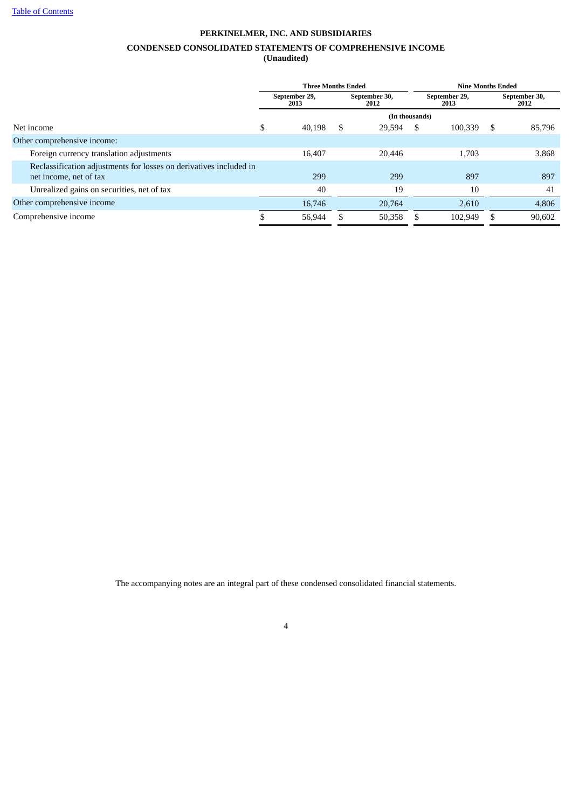# **PERKINELMER, INC. AND SUBSIDIARIES CONDENSED CONSOLIDATED STATEMENTS OF COMPREHENSIVE INCOME**

**(Unaudited)**

|                                                                                              | <b>Three Months Ended</b> |                                                |   | <b>Nine Months Ended</b> |   |         |                       |        |
|----------------------------------------------------------------------------------------------|---------------------------|------------------------------------------------|---|--------------------------|---|---------|-----------------------|--------|
|                                                                                              |                           | September 29,<br>September 30,<br>2013<br>2012 |   | September 29,<br>2013    |   |         | September 30,<br>2012 |        |
|                                                                                              |                           |                                                |   | (In thousands)           |   |         |                       |        |
| Net income                                                                                   | \$                        | 40,198                                         | S | 29,594                   | S | 100.339 | - \$                  | 85,796 |
| Other comprehensive income:                                                                  |                           |                                                |   |                          |   |         |                       |        |
| Foreign currency translation adjustments                                                     |                           | 16,407                                         |   | 20,446                   |   | 1,703   |                       | 3,868  |
| Reclassification adjustments for losses on derivatives included in<br>net income, net of tax |                           | 299                                            |   | 299                      |   | 897     |                       | 897    |
| Unrealized gains on securities, net of tax                                                   |                           | 40                                             |   | 19                       |   | 10      |                       | 41     |
| Other comprehensive income                                                                   |                           | 16,746                                         |   | 20,764                   |   | 2,610   |                       | 4,806  |
| Comprehensive income                                                                         |                           | 56,944                                         |   | 50,358                   |   | 102,949 | - \$                  | 90,602 |

<span id="page-3-0"></span>The accompanying notes are an integral part of these condensed consolidated financial statements.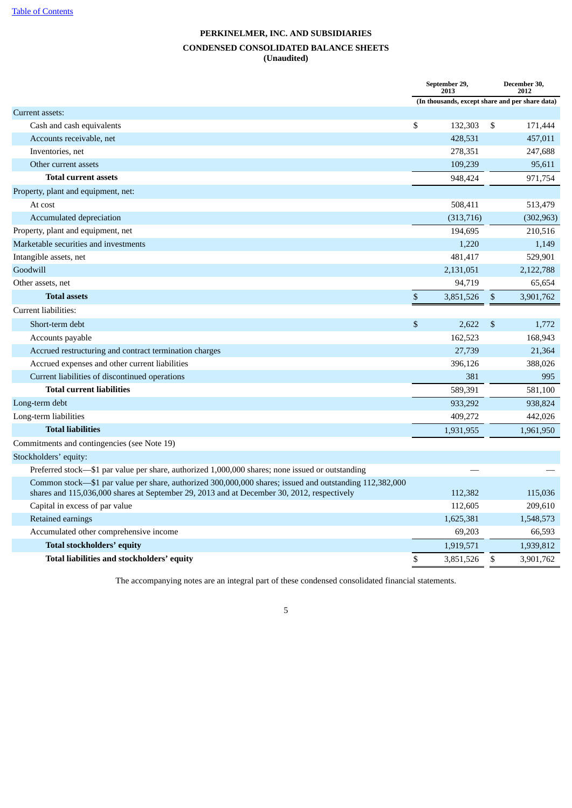# **PERKINELMER, INC. AND SUBSIDIARIES CONDENSED CONSOLIDATED BALANCE SHEETS (Unaudited)**

|                                                                                                                                                                                                       |              | September 29,<br>2013                           |                           | December 30,<br>2012 |
|-------------------------------------------------------------------------------------------------------------------------------------------------------------------------------------------------------|--------------|-------------------------------------------------|---------------------------|----------------------|
|                                                                                                                                                                                                       |              | (In thousands, except share and per share data) |                           |                      |
| Current assets:                                                                                                                                                                                       |              |                                                 |                           |                      |
| Cash and cash equivalents                                                                                                                                                                             | \$           | 132,303                                         | \$                        | 171,444              |
| Accounts receivable, net                                                                                                                                                                              |              | 428,531                                         |                           | 457,011              |
| Inventories, net                                                                                                                                                                                      |              | 278,351                                         |                           | 247,688              |
| Other current assets                                                                                                                                                                                  |              | 109,239                                         |                           | 95,611               |
| <b>Total current assets</b>                                                                                                                                                                           |              | 948,424                                         |                           | 971,754              |
| Property, plant and equipment, net:                                                                                                                                                                   |              |                                                 |                           |                      |
| At cost                                                                                                                                                                                               |              | 508,411                                         |                           | 513,479              |
| Accumulated depreciation                                                                                                                                                                              |              | (313,716)                                       |                           | (302, 963)           |
| Property, plant and equipment, net                                                                                                                                                                    |              | 194,695                                         |                           | 210,516              |
| Marketable securities and investments                                                                                                                                                                 |              | 1,220                                           |                           | 1,149                |
| Intangible assets, net                                                                                                                                                                                |              | 481,417                                         |                           | 529,901              |
| Goodwill                                                                                                                                                                                              |              | 2,131,051                                       |                           | 2,122,788            |
| Other assets, net                                                                                                                                                                                     |              | 94,719                                          |                           | 65,654               |
| <b>Total assets</b>                                                                                                                                                                                   | $\mathbb{S}$ | 3,851,526                                       | $\boldsymbol{\mathsf{S}}$ | 3,901,762            |
| <b>Current liabilities:</b>                                                                                                                                                                           |              |                                                 |                           |                      |
| Short-term debt                                                                                                                                                                                       | \$           | 2,622                                           | \$                        | 1,772                |
| Accounts payable                                                                                                                                                                                      |              | 162,523                                         |                           | 168,943              |
| Accrued restructuring and contract termination charges                                                                                                                                                |              | 27,739                                          |                           | 21,364               |
| Accrued expenses and other current liabilities                                                                                                                                                        |              | 396,126                                         |                           | 388,026              |
| Current liabilities of discontinued operations                                                                                                                                                        |              | 381                                             |                           | 995                  |
| <b>Total current liabilities</b>                                                                                                                                                                      |              | 589,391                                         |                           | 581,100              |
| Long-term debt                                                                                                                                                                                        |              | 933,292                                         |                           | 938,824              |
| Long-term liabilities                                                                                                                                                                                 |              | 409,272                                         |                           | 442,026              |
| <b>Total liabilities</b>                                                                                                                                                                              |              | 1,931,955                                       |                           | 1,961,950            |
| Commitments and contingencies (see Note 19)                                                                                                                                                           |              |                                                 |                           |                      |
| Stockholders' equity:                                                                                                                                                                                 |              |                                                 |                           |                      |
| Preferred stock—\$1 par value per share, authorized 1,000,000 shares; none issued or outstanding                                                                                                      |              |                                                 |                           |                      |
| Common stock-\$1 par value per share, authorized 300,000,000 shares; issued and outstanding 112,382,000<br>shares and 115,036,000 shares at September 29, 2013 and at December 30, 2012, respectively |              | 112,382                                         |                           | 115,036              |
| Capital in excess of par value                                                                                                                                                                        |              | 112,605                                         |                           | 209,610              |
| Retained earnings                                                                                                                                                                                     |              | 1,625,381                                       |                           | 1,548,573            |
| Accumulated other comprehensive income                                                                                                                                                                |              | 69,203                                          |                           | 66,593               |
| <b>Total stockholders' equity</b>                                                                                                                                                                     |              | 1,919,571                                       |                           | 1,939,812            |
| Total liabilities and stockholders' equity                                                                                                                                                            | \$           | 3,851,526                                       | \$                        | 3,901,762            |

<span id="page-4-0"></span>The accompanying notes are an integral part of these condensed consolidated financial statements.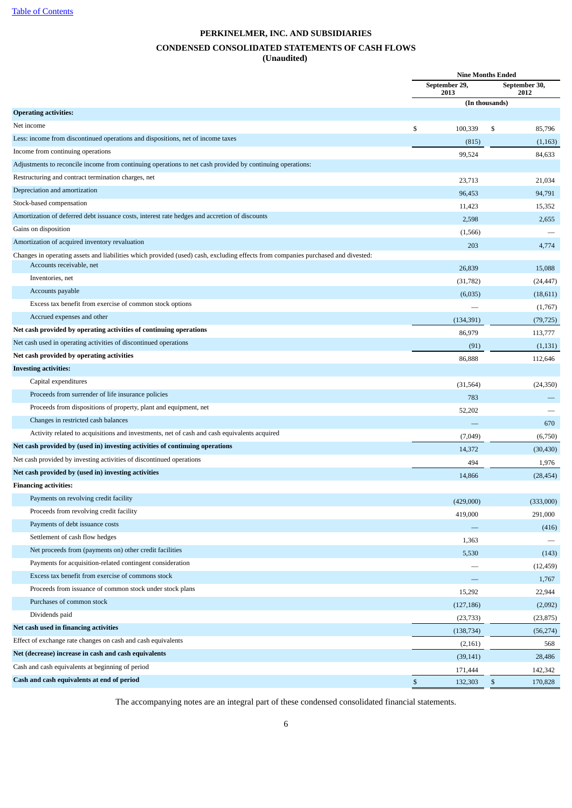# **PERKINELMER, INC. AND SUBSIDIARIES CONDENSED CONSOLIDATED STATEMENTS OF CASH FLOWS (Unaudited)**

|                                                                                                                                                              | <b>Nine Months Ended</b> |                       |                |                       |
|--------------------------------------------------------------------------------------------------------------------------------------------------------------|--------------------------|-----------------------|----------------|-----------------------|
|                                                                                                                                                              |                          | September 29,<br>2013 |                | September 30,<br>2012 |
|                                                                                                                                                              |                          | (In thousands)        |                |                       |
| <b>Operating activities:</b>                                                                                                                                 |                          |                       |                |                       |
| Net income                                                                                                                                                   | \$                       | 100,339               | \$             | 85,796                |
| Less: income from discontinued operations and dispositions, net of income taxes                                                                              |                          | (815)                 |                | (1,163)               |
| Income from continuing operations                                                                                                                            |                          | 99,524                |                | 84,633                |
| Adjustments to reconcile income from continuing operations to net cash provided by continuing operations:                                                    |                          |                       |                |                       |
| Restructuring and contract termination charges, net                                                                                                          |                          | 23,713                |                | 21,034                |
| Depreciation and amortization                                                                                                                                |                          | 96,453                |                | 94,791                |
| Stock-based compensation                                                                                                                                     |                          | 11,423                |                | 15,352                |
| Amortization of deferred debt issuance costs, interest rate hedges and accretion of discounts                                                                |                          | 2,598                 |                | 2,655                 |
| Gains on disposition                                                                                                                                         |                          | (1, 566)              |                |                       |
| Amortization of acquired inventory revaluation                                                                                                               |                          | 203                   |                | 4,774                 |
| Changes in operating assets and liabilities which provided (used) cash, excluding effects from companies purchased and divested:<br>Accounts receivable, net |                          | 26,839                |                | 15,088                |
| Inventories, net                                                                                                                                             |                          | (31, 782)             |                | (24, 447)             |
| Accounts payable                                                                                                                                             |                          | (6,035)               |                | (18,611)              |
| Excess tax benefit from exercise of common stock options                                                                                                     |                          |                       |                | (1,767)               |
| Accrued expenses and other                                                                                                                                   |                          | (134, 391)            |                | (79, 725)             |
| Net cash provided by operating activities of continuing operations                                                                                           |                          | 86,979                |                | 113,777               |
| Net cash used in operating activities of discontinued operations                                                                                             |                          | (91)                  |                |                       |
| Net cash provided by operating activities                                                                                                                    |                          |                       |                | (1,131)               |
| <b>Investing activities:</b>                                                                                                                                 |                          | 86,888                |                | 112,646               |
| Capital expenditures                                                                                                                                         |                          |                       |                |                       |
| Proceeds from surrender of life insurance policies                                                                                                           |                          | (31, 564)             |                | (24, 350)             |
| Proceeds from dispositions of property, plant and equipment, net                                                                                             |                          | 783                   |                |                       |
| Changes in restricted cash balances                                                                                                                          |                          | 52,202                |                |                       |
| Activity related to acquisitions and investments, net of cash and cash equivalents acquired                                                                  |                          |                       |                | 670                   |
|                                                                                                                                                              |                          | (7,049)               |                | (6,750)               |
| Net cash provided by (used in) investing activities of continuing operations                                                                                 |                          | 14,372                |                | (30, 430)             |
| Net cash provided by investing activities of discontinued operations                                                                                         |                          | 494                   |                | 1,976                 |
| Net cash provided by (used in) investing activities                                                                                                          |                          | 14,866                |                | (28, 454)             |
| <b>Financing activities:</b>                                                                                                                                 |                          |                       |                |                       |
| Payments on revolving credit facility                                                                                                                        |                          | (429,000)             |                | (333,000)             |
| Proceeds from revolving credit facility                                                                                                                      |                          | 419,000               |                | 291,000               |
| Payments of debt issuance costs                                                                                                                              |                          |                       |                | (416)                 |
| Settlement of cash flow hedges                                                                                                                               |                          | 1,363                 |                |                       |
| Net proceeds from (payments on) other credit facilities                                                                                                      |                          | 5,530                 |                | (143)                 |
| Payments for acquisition-related contingent consideration                                                                                                    |                          |                       |                | (12, 459)             |
| Excess tax benefit from exercise of commons stock                                                                                                            |                          |                       |                | 1,767                 |
| Proceeds from issuance of common stock under stock plans                                                                                                     |                          | 15,292                |                | 22,944                |
| Purchases of common stock                                                                                                                                    |                          | (127, 186)            |                | (2,092)               |
| Dividends paid                                                                                                                                               |                          | (23, 733)             |                | (23, 875)             |
| Net cash used in financing activities                                                                                                                        |                          | (138, 734)            |                | (56, 274)             |
| Effect of exchange rate changes on cash and cash equivalents                                                                                                 |                          | (2, 161)              |                | 568                   |
| Net (decrease) increase in cash and cash equivalents                                                                                                         |                          | (39, 141)             |                | 28,486                |
| Cash and cash equivalents at beginning of period                                                                                                             |                          | 171,444               |                | 142,342               |
| Cash and cash equivalents at end of period                                                                                                                   | $\mathbb{S}$             | 132,303               | $\mathfrak{s}$ | 170,828               |

<span id="page-5-0"></span>The accompanying notes are an integral part of these condensed consolidated financial statements.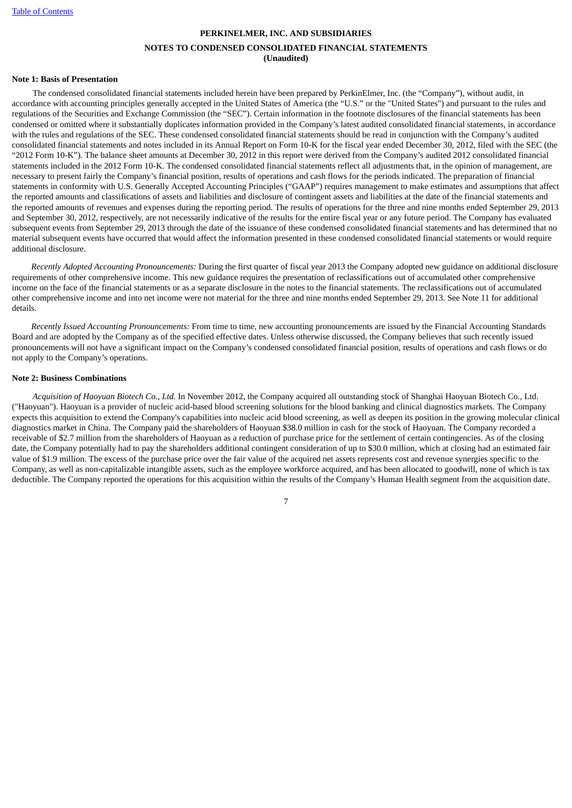# **PERKINELMER, INC. AND SUBSIDIARIES NOTES TO CONDENSED CONSOLIDATED FINANCIAL STATEMENTS (Unaudited)**

# **Note 1: Basis of Presentation**

The condensed consolidated financial statements included herein have been prepared by PerkinElmer, Inc. (the "Company"), without audit, in accordance with accounting principles generally accepted in the United States of America (the "U.S." or the "United States") and pursuant to the rules and regulations of the Securities and Exchange Commission (the "SEC"). Certain information in the footnote disclosures of the financial statements has been condensed or omitted where it substantially duplicates information provided in the Company's latest audited consolidated financial statements, in accordance with the rules and regulations of the SEC. These condensed consolidated financial statements should be read in conjunction with the Company's audited consolidated financial statements and notes included in its Annual Report on Form 10-K for the fiscal year ended December 30, 2012, filed with the SEC (the "2012 Form 10-K"). The balance sheet amounts at December 30, 2012 in this report were derived from the Company's audited 2012 consolidated financial statements included in the 2012 Form 10-K. The condensed consolidated financial statements reflect all adjustments that, in the opinion of management, are necessary to present fairly the Company's financial position, results of operations and cash flows for the periods indicated. The preparation of financial statements in conformity with U.S. Generally Accepted Accounting Principles ("GAAP") requires management to make estimates and assumptions that affect the reported amounts and classifications of assets and liabilities and disclosure of contingent assets and liabilities at the date of the financial statements and the reported amounts of revenues and expenses during the reporting period. The results of operations for the three and nine months ended September 29, 2013 and September 30, 2012, respectively, are not necessarily indicative of the results for the entire fiscal year or any future period. The Company has evaluated subsequent events from September 29, 2013 through the date of the issuance of these condensed consolidated financial statements and has determined that no material subsequent events have occurred that would affect the information presented in these condensed consolidated financial statements or would require additional disclosure.

*Recently Adopted Accounting Pronouncements:* During the first quarter of fiscal year 2013 the Company adopted new guidance on additional disclosure requirements of other comprehensive income. This new guidance requires the presentation of reclassifications out of accumulated other comprehensive income on the face of the financial statements or as a separate disclosure in the notes to the financial statements. The reclassifications out of accumulated other comprehensive income and into net income were not material for the three and nine months ended September 29, 2013. See Note 11 for additional details.

*Recently Issued Accounting Pronouncements:* From time to time, new accounting pronouncements are issued by the Financial Accounting Standards Board and are adopted by the Company as of the specified effective dates. Unless otherwise discussed, the Company believes that such recently issued pronouncements will not have a significant impact on the Company's condensed consolidated financial position, results of operations and cash flows or do not apply to the Company's operations.

# **Note 2: Business Combinations**

*Acquisition of Haoyuan Biotech Co., Ltd.* In November 2012, the Company acquired all outstanding stock of Shanghai Haoyuan Biotech Co., Ltd. ("Haoyuan"). Haoyuan is a provider of nucleic acid-based blood screening solutions for the blood banking and clinical diagnostics markets. The Company expects this acquisition to extend the Company's capabilities into nucleic acid blood screening, as well as deepen its position in the growing molecular clinical diagnostics market in China. The Company paid the shareholders of Haoyuan \$38.0 million in cash for the stock of Haoyuan. The Company recorded a receivable of \$2.7 million from the shareholders of Haoyuan as a reduction of purchase price for the settlement of certain contingencies. As of the closing date, the Company potentially had to pay the shareholders additional contingent consideration of up to \$30.0 million, which at closing had an estimated fair value of \$1.9 million. The excess of the purchase price over the fair value of the acquired net assets represents cost and revenue synergies specific to the Company, as well as non-capitalizable intangible assets, such as the employee workforce acquired, and has been allocated to goodwill, none of which is tax deductible. The Company reported the operations for this acquisition within the results of the Company's Human Health segment from the acquisition date.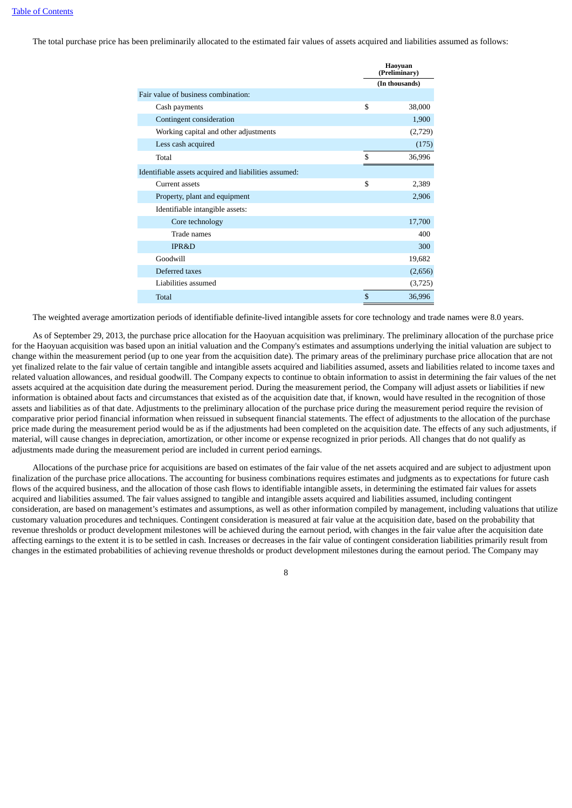The total purchase price has been preliminarily allocated to the estimated fair values of assets acquired and liabilities assumed as follows:

|                                                       | Haoyuan<br>(Preliminary) |
|-------------------------------------------------------|--------------------------|
|                                                       | (In thousands)           |
| Fair value of business combination:                   |                          |
| Cash payments                                         | \$<br>38,000             |
| Contingent consideration                              | 1,900                    |
| Working capital and other adjustments                 | (2,729)                  |
| Less cash acquired                                    | (175)                    |
| Total                                                 | \$<br>36,996             |
| Identifiable assets acquired and liabilities assumed: |                          |
| Current assets                                        | \$<br>2,389              |
| Property, plant and equipment                         | 2,906                    |
| Identifiable intangible assets:                       |                          |
| Core technology                                       | 17,700                   |
| Trade names                                           | 400                      |
| <b>IPR&amp;D</b>                                      | 300                      |
| Goodwill                                              | 19,682                   |
| Deferred taxes                                        | (2,656)                  |
| Liabilities assumed                                   | (3, 725)                 |
| <b>Total</b>                                          | \$<br>36,996             |

The weighted average amortization periods of identifiable definite-lived intangible assets for core technology and trade names were 8.0 years.

As of September 29, 2013, the purchase price allocation for the Haoyuan acquisition was preliminary. The preliminary allocation of the purchase price for the Haoyuan acquisition was based upon an initial valuation and the Company's estimates and assumptions underlying the initial valuation are subject to change within the measurement period (up to one year from the acquisition date). The primary areas of the preliminary purchase price allocation that are not yet finalized relate to the fair value of certain tangible and intangible assets acquired and liabilities assumed, assets and liabilities related to income taxes and related valuation allowances, and residual goodwill. The Company expects to continue to obtain information to assist in determining the fair values of the net assets acquired at the acquisition date during the measurement period. During the measurement period, the Company will adjust assets or liabilities if new information is obtained about facts and circumstances that existed as of the acquisition date that, if known, would have resulted in the recognition of those assets and liabilities as of that date. Adjustments to the preliminary allocation of the purchase price during the measurement period require the revision of comparative prior period financial information when reissued in subsequent financial statements. The effect of adjustments to the allocation of the purchase price made during the measurement period would be as if the adjustments had been completed on the acquisition date. The effects of any such adjustments, if material, will cause changes in depreciation, amortization, or other income or expense recognized in prior periods. All changes that do not qualify as adjustments made during the measurement period are included in current period earnings.

Allocations of the purchase price for acquisitions are based on estimates of the fair value of the net assets acquired and are subject to adjustment upon finalization of the purchase price allocations. The accounting for business combinations requires estimates and judgments as to expectations for future cash flows of the acquired business, and the allocation of those cash flows to identifiable intangible assets, in determining the estimated fair values for assets acquired and liabilities assumed. The fair values assigned to tangible and intangible assets acquired and liabilities assumed, including contingent consideration, are based on management's estimates and assumptions, as well as other information compiled by management, including valuations that utilize customary valuation procedures and techniques. Contingent consideration is measured at fair value at the acquisition date, based on the probability that revenue thresholds or product development milestones will be achieved during the earnout period, with changes in the fair value after the acquisition date affecting earnings to the extent it is to be settled in cash. Increases or decreases in the fair value of contingent consideration liabilities primarily result from changes in the estimated probabilities of achieving revenue thresholds or product development milestones during the earnout period. The Company may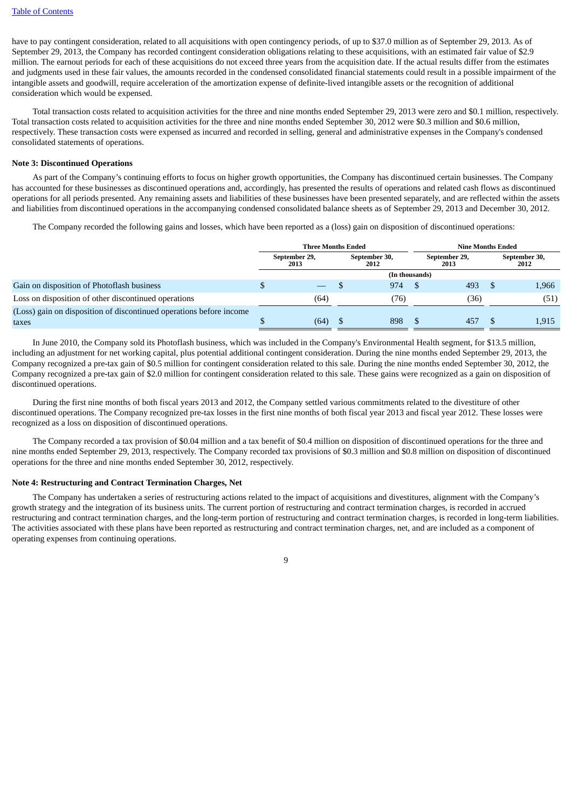have to pay contingent consideration, related to all acquisitions with open contingency periods, of up to \$37.0 million as of September 29, 2013. As of September 29, 2013, the Company has recorded contingent consideration obligations relating to these acquisitions, with an estimated fair value of \$2.9 million. The earnout periods for each of these acquisitions do not exceed three years from the acquisition date. If the actual results differ from the estimates and judgments used in these fair values, the amounts recorded in the condensed consolidated financial statements could result in a possible impairment of the intangible assets and goodwill, require acceleration of the amortization expense of definite-lived intangible assets or the recognition of additional consideration which would be expensed.

Total transaction costs related to acquisition activities for the three and nine months ended September 29, 2013 were zero and \$0.1 million, respectively. Total transaction costs related to acquisition activities for the three and nine months ended September 30, 2012 were \$0.3 million and \$0.6 million, respectively. These transaction costs were expensed as incurred and recorded in selling, general and administrative expenses in the Company's condensed consolidated statements of operations.

#### **Note 3: Discontinued Operations**

As part of the Company's continuing efforts to focus on higher growth opportunities, the Company has discontinued certain businesses. The Company has accounted for these businesses as discontinued operations and, accordingly, has presented the results of operations and related cash flows as discontinued operations for all periods presented. Any remaining assets and liabilities of these businesses have been presented separately, and are reflected within the assets and liabilities from discontinued operations in the accompanying condensed consolidated balance sheets as of September 29, 2013 and December 30, 2012.

The Company recorded the following gains and losses, which have been reported as a (loss) gain on disposition of discontinued operations:

|                                                                     |                       | <b>Three Months Ended</b> |                       |      | <b>Nine Months Ended</b> |      |  |                       |  |
|---------------------------------------------------------------------|-----------------------|---------------------------|-----------------------|------|--------------------------|------|--|-----------------------|--|
|                                                                     | September 29,<br>2013 |                           | September 30,<br>2012 |      | September 29,<br>2013    |      |  | September 30,<br>2012 |  |
|                                                                     |                       | (In thousands)            |                       |      |                          |      |  |                       |  |
| Gain on disposition of Photoflash business                          |                       |                           |                       | 974  |                          | 493  |  | 1,966                 |  |
| Loss on disposition of other discontinued operations                |                       | (64)                      |                       | (76) |                          | (36) |  | (51)                  |  |
| (Loss) gain on disposition of discontinued operations before income |                       |                           |                       |      |                          |      |  |                       |  |
| taxes                                                               |                       | (64)                      |                       | 898  |                          | 45.  |  | 1,915                 |  |

In June 2010, the Company sold its Photoflash business, which was included in the Company's Environmental Health segment, for \$13.5 million, including an adjustment for net working capital, plus potential additional contingent consideration. During the nine months ended September 29, 2013, the Company recognized a pre-tax gain of \$0.5 million for contingent consideration related to this sale. During the nine months ended September 30, 2012, the Company recognized a pre-tax gain of \$2.0 million for contingent consideration related to this sale. These gains were recognized as a gain on disposition of discontinued operations.

During the first nine months of both fiscal years 2013 and 2012, the Company settled various commitments related to the divestiture of other discontinued operations. The Company recognized pre-tax losses in the first nine months of both fiscal year 2013 and fiscal year 2012. These losses were recognized as a loss on disposition of discontinued operations.

The Company recorded a tax provision of \$0.04 million and a tax benefit of \$0.4 million on disposition of discontinued operations for the three and nine months ended September 29, 2013, respectively. The Company recorded tax provisions of \$0.3 million and \$0.8 million on disposition of discontinued operations for the three and nine months ended September 30, 2012, respectively.

# **Note 4: Restructuring and Contract Termination Charges, Net**

The Company has undertaken a series of restructuring actions related to the impact of acquisitions and divestitures, alignment with the Company's growth strategy and the integration of its business units. The current portion of restructuring and contract termination charges, is recorded in accrued restructuring and contract termination charges, and the long-term portion of restructuring and contract termination charges, is recorded in long-term liabilities. The activities associated with these plans have been reported as restructuring and contract termination charges, net, and are included as a component of operating expenses from continuing operations.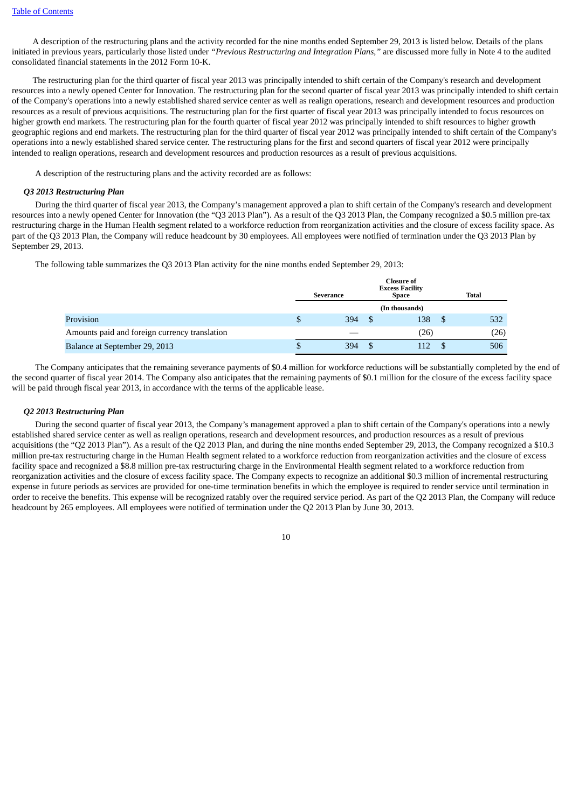A description of the restructuring plans and the activity recorded for the nine months ended September 29, 2013 is listed below. Details of the plans initiated in previous years, particularly those listed under *"Previous Restructuring and Integration Plans,"* are discussed more fully in Note 4 to the audited consolidated financial statements in the 2012 Form 10-K.

The restructuring plan for the third quarter of fiscal year 2013 was principally intended to shift certain of the Company's research and development resources into a newly opened Center for Innovation. The restructuring plan for the second quarter of fiscal year 2013 was principally intended to shift certain of the Company's operations into a newly established shared service center as well as realign operations, research and development resources and production resources as a result of previous acquisitions. The restructuring plan for the first quarter of fiscal year 2013 was principally intended to focus resources on higher growth end markets. The restructuring plan for the fourth quarter of fiscal year 2012 was principally intended to shift resources to higher growth geographic regions and end markets. The restructuring plan for the third quarter of fiscal year 2012 was principally intended to shift certain of the Company's operations into a newly established shared service center. The restructuring plans for the first and second quarters of fiscal year 2012 were principally intended to realign operations, research and development resources and production resources as a result of previous acquisitions.

A description of the restructuring plans and the activity recorded are as follows:

#### *Q3 2013 Restructuring Plan*

During the third quarter of fiscal year 2013, the Company's management approved a plan to shift certain of the Company's research and development resources into a newly opened Center for Innovation (the "Q3 2013 Plan"). As a result of the Q3 2013 Plan, the Company recognized a \$0.5 million pre-tax restructuring charge in the Human Health segment related to a workforce reduction from reorganization activities and the closure of excess facility space. As part of the Q3 2013 Plan, the Company will reduce headcount by 30 employees. All employees were notified of termination under the Q3 2013 Plan by September 29, 2013.

The following table summarizes the Q3 2013 Plan activity for the nine months ended September 29, 2013:

|                                               | <b>Closure of</b><br><b>Excess Facility</b> |           |  | <b>Total</b>                   |   |  |      |
|-----------------------------------------------|---------------------------------------------|-----------|--|--------------------------------|---|--|------|
|                                               |                                             | Severance |  | <b>Space</b><br>(In thousands) |   |  |      |
| Provision                                     | S                                           | 394       |  | 138                            | S |  | 532  |
| Amounts paid and foreign currency translation |                                             |           |  | (26)                           |   |  | (26) |
| Balance at September 29, 2013                 | J                                           | 394       |  | 112                            |   |  | 506  |

The Company anticipates that the remaining severance payments of \$0.4 million for workforce reductions will be substantially completed by the end of the second quarter of fiscal year 2014. The Company also anticipates that the remaining payments of \$0.1 million for the closure of the excess facility space will be paid through fiscal year 2013, in accordance with the terms of the applicable lease.

#### *Q2 2013 Restructuring Plan*

During the second quarter of fiscal year 2013, the Company's management approved a plan to shift certain of the Company's operations into a newly established shared service center as well as realign operations, research and development resources, and production resources as a result of previous acquisitions (the "Q2 2013 Plan"). As a result of the Q2 2013 Plan, and during the nine months ended September 29, 2013, the Company recognized a \$10.3 million pre-tax restructuring charge in the Human Health segment related to a workforce reduction from reorganization activities and the closure of excess facility space and recognized a \$8.8 million pre-tax restructuring charge in the Environmental Health segment related to a workforce reduction from reorganization activities and the closure of excess facility space. The Company expects to recognize an additional \$0.3 million of incremental restructuring expense in future periods as services are provided for one-time termination benefits in which the employee is required to render service until termination in order to receive the benefits. This expense will be recognized ratably over the required service period. As part of the Q2 2013 Plan, the Company will reduce headcount by 265 employees. All employees were notified of termination under the Q2 2013 Plan by June 30, 2013.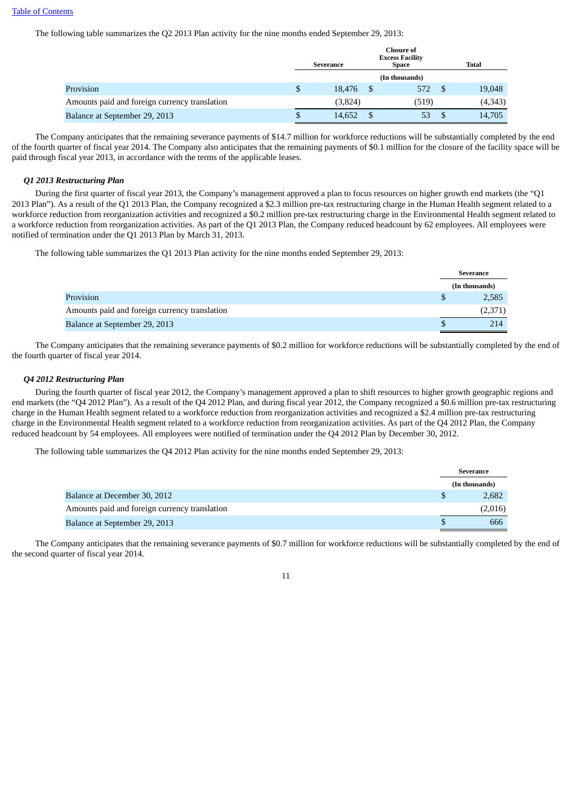The following table summarizes the Q2 2013 Plan activity for the nine months ended September 29, 2013:

|                                               | <b>Closure of</b><br><b>Excess Facility</b><br><b>Space</b><br><b>Severance</b> |         |  | <b>Total</b>   |  |         |
|-----------------------------------------------|---------------------------------------------------------------------------------|---------|--|----------------|--|---------|
|                                               |                                                                                 |         |  | (In thousands) |  |         |
| Provision                                     | \$                                                                              | 18.476  |  | 572            |  | 19,048  |
| Amounts paid and foreign currency translation |                                                                                 | (3,824) |  | (519)          |  | (4,343) |
| Balance at September 29, 2013                 | \$                                                                              | 14,652  |  | 53             |  | 14,705  |

The Company anticipates that the remaining severance payments of \$14.7 million for workforce reductions will be substantially completed by the end of the fourth quarter of fiscal year 2014. The Company also anticipates that the remaining payments of \$0.1 million for the closure of the facility space will be paid through fiscal year 2013, in accordance with the terms of the applicable leases.

#### *Q1 2013 Restructuring Plan*

During the first quarter of fiscal year 2013, the Company's management approved a plan to focus resources on higher growth end markets (the "Q1 2013 Plan"). As a result of the Q1 2013 Plan, the Company recognized a \$2.3 million pre-tax restructuring charge in the Human Health segment related to a workforce reduction from reorganization activities and recognized a \$0.2 million pre-tax restructuring charge in the Environmental Health segment related to a workforce reduction from reorganization activities. As part of the Q1 2013 Plan, the Company reduced headcount by 62 employees. All employees were notified of termination under the Q1 2013 Plan by March 31, 2013.

The following table summarizes the Q1 2013 Plan activity for the nine months ended September 29, 2013:

|                                               | Severance      |
|-----------------------------------------------|----------------|
|                                               | (In thousands) |
| Provision                                     | 2,585          |
| Amounts paid and foreign currency translation | (2,371)        |
| Balance at September 29, 2013                 | 214            |

The Company anticipates that the remaining severance payments of \$0.2 million for workforce reductions will be substantially completed by the end of the fourth quarter of fiscal year 2014.

#### *Q4 2012 Restructuring Plan*

During the fourth quarter of fiscal year 2012, the Company's management approved a plan to shift resources to higher growth geographic regions and end markets (the "Q4 2012 Plan"). As a result of the Q4 2012 Plan, and during fiscal year 2012, the Company recognized a \$0.6 million pre-tax restructuring charge in the Human Health segment related to a workforce reduction from reorganization activities and recognized a \$2.4 million pre-tax restructuring charge in the Environmental Health segment related to a workforce reduction from reorganization activities. As part of the Q4 2012 Plan, the Company reduced headcount by 54 employees. All employees were notified of termination under the Q4 2012 Plan by December 30, 2012.

The following table summarizes the Q4 2012 Plan activity for the nine months ended September 29, 2013:

|                                               | Severance      |
|-----------------------------------------------|----------------|
|                                               | (In thousands) |
| Balance at December 30, 2012                  | 2,682          |
| Amounts paid and foreign currency translation | (2,016)        |
| Balance at September 29, 2013                 | 666            |

The Company anticipates that the remaining severance payments of \$0.7 million for workforce reductions will be substantially completed by the end of the second quarter of fiscal year 2014.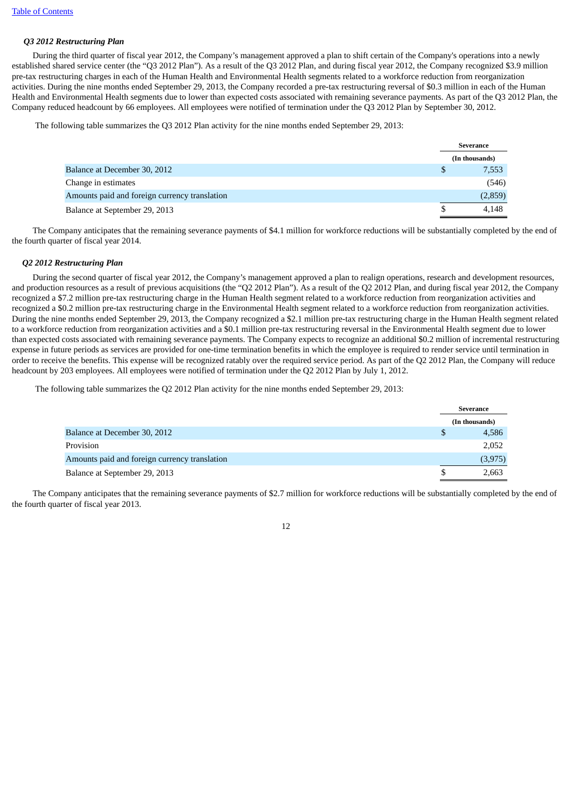# *Q3 2012 Restructuring Plan*

During the third quarter of fiscal year 2012, the Company's management approved a plan to shift certain of the Company's operations into a newly established shared service center (the "Q3 2012 Plan"). As a result of the Q3 2012 Plan, and during fiscal year 2012, the Company recognized \$3.9 million pre-tax restructuring charges in each of the Human Health and Environmental Health segments related to a workforce reduction from reorganization activities. During the nine months ended September 29, 2013, the Company recorded a pre-tax restructuring reversal of \$0.3 million in each of the Human Health and Environmental Health segments due to lower than expected costs associated with remaining severance payments. As part of the Q3 2012 Plan, the Company reduced headcount by 66 employees. All employees were notified of termination under the Q3 2012 Plan by September 30, 2012.

The following table summarizes the Q3 2012 Plan activity for the nine months ended September 29, 2013:

|                                               |   | Severance      |
|-----------------------------------------------|---|----------------|
|                                               |   | (In thousands) |
| Balance at December 30, 2012                  | S | 7,553          |
| Change in estimates                           |   | (546)          |
| Amounts paid and foreign currency translation |   | (2,859)        |
| Balance at September 29, 2013                 | S | 4.148          |

The Company anticipates that the remaining severance payments of \$4.1 million for workforce reductions will be substantially completed by the end of the fourth quarter of fiscal year 2014.

#### *Q2 2012 Restructuring Plan*

During the second quarter of fiscal year 2012, the Company's management approved a plan to realign operations, research and development resources, and production resources as a result of previous acquisitions (the "Q2 2012 Plan"). As a result of the Q2 2012 Plan, and during fiscal year 2012, the Company recognized a \$7.2 million pre-tax restructuring charge in the Human Health segment related to a workforce reduction from reorganization activities and recognized a \$0.2 million pre-tax restructuring charge in the Environmental Health segment related to a workforce reduction from reorganization activities. During the nine months ended September 29, 2013, the Company recognized a \$2.1 million pre-tax restructuring charge in the Human Health segment related to a workforce reduction from reorganization activities and a \$0.1 million pre-tax restructuring reversal in the Environmental Health segment due to lower than expected costs associated with remaining severance payments. The Company expects to recognize an additional \$0.2 million of incremental restructuring expense in future periods as services are provided for one-time termination benefits in which the employee is required to render service until termination in order to receive the benefits. This expense will be recognized ratably over the required service period. As part of the Q2 2012 Plan, the Company will reduce headcount by 203 employees. All employees were notified of termination under the Q2 2012 Plan by July 1, 2012.

The following table summarizes the Q2 2012 Plan activity for the nine months ended September 29, 2013:

|                                               |   | Severance      |
|-----------------------------------------------|---|----------------|
|                                               |   | (In thousands) |
| Balance at December 30, 2012                  | S | 4,586          |
| Provision                                     |   | 2,052          |
| Amounts paid and foreign currency translation |   | (3, 975)       |
| Balance at September 29, 2013                 |   | 2,663          |

The Company anticipates that the remaining severance payments of \$2.7 million for workforce reductions will be substantially completed by the end of the fourth quarter of fiscal year 2013.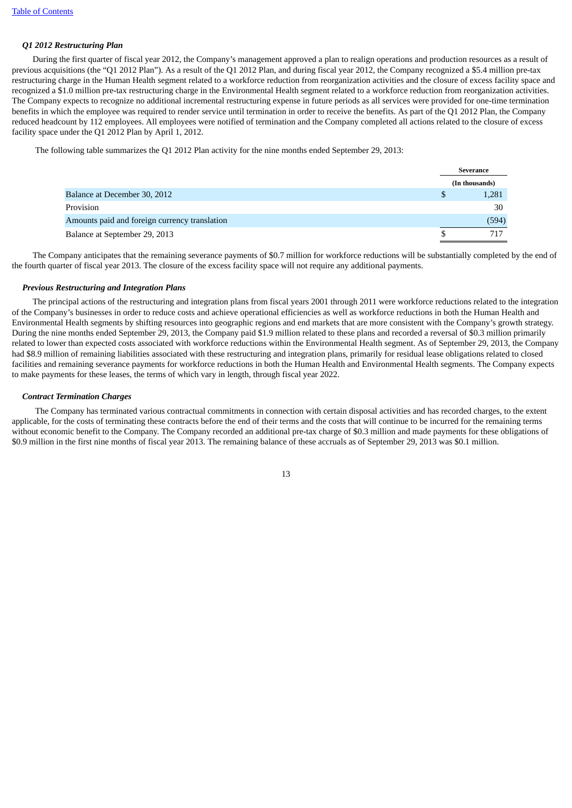# *Q1 2012 Restructuring Plan*

During the first quarter of fiscal year 2012, the Company's management approved a plan to realign operations and production resources as a result of previous acquisitions (the "Q1 2012 Plan"). As a result of the Q1 2012 Plan, and during fiscal year 2012, the Company recognized a \$5.4 million pre-tax restructuring charge in the Human Health segment related to a workforce reduction from reorganization activities and the closure of excess facility space and recognized a \$1.0 million pre-tax restructuring charge in the Environmental Health segment related to a workforce reduction from reorganization activities. The Company expects to recognize no additional incremental restructuring expense in future periods as all services were provided for one-time termination benefits in which the employee was required to render service until termination in order to receive the benefits. As part of the Q1 2012 Plan, the Company reduced headcount by 112 employees. All employees were notified of termination and the Company completed all actions related to the closure of excess facility space under the Q1 2012 Plan by April 1, 2012.

The following table summarizes the Q1 2012 Plan activity for the nine months ended September 29, 2013:

|                                               |              | Severance      |
|-----------------------------------------------|--------------|----------------|
|                                               |              | (In thousands) |
| Balance at December 30, 2012                  | <sup>S</sup> | 1,281          |
| Provision                                     |              | 30             |
| Amounts paid and foreign currency translation |              | (594)          |
| Balance at September 29, 2013                 |              | 717            |

The Company anticipates that the remaining severance payments of \$0.7 million for workforce reductions will be substantially completed by the end of the fourth quarter of fiscal year 2013. The closure of the excess facility space will not require any additional payments.

# *Previous Restructuring and Integration Plans*

The principal actions of the restructuring and integration plans from fiscal years 2001 through 2011 were workforce reductions related to the integration of the Company's businesses in order to reduce costs and achieve operational efficiencies as well as workforce reductions in both the Human Health and Environmental Health segments by shifting resources into geographic regions and end markets that are more consistent with the Company's growth strategy. During the nine months ended September 29, 2013, the Company paid \$1.9 million related to these plans and recorded a reversal of \$0.3 million primarily related to lower than expected costs associated with workforce reductions within the Environmental Health segment. As of September 29, 2013, the Company had \$8.9 million of remaining liabilities associated with these restructuring and integration plans, primarily for residual lease obligations related to closed facilities and remaining severance payments for workforce reductions in both the Human Health and Environmental Health segments. The Company expects to make payments for these leases, the terms of which vary in length, through fiscal year 2022.

# *Contract Termination Charges*

The Company has terminated various contractual commitments in connection with certain disposal activities and has recorded charges, to the extent applicable, for the costs of terminating these contracts before the end of their terms and the costs that will continue to be incurred for the remaining terms without economic benefit to the Company. The Company recorded an additional pre-tax charge of \$0.3 million and made payments for these obligations of \$0.9 million in the first nine months of fiscal year 2013. The remaining balance of these accruals as of September 29, 2013 was \$0.1 million.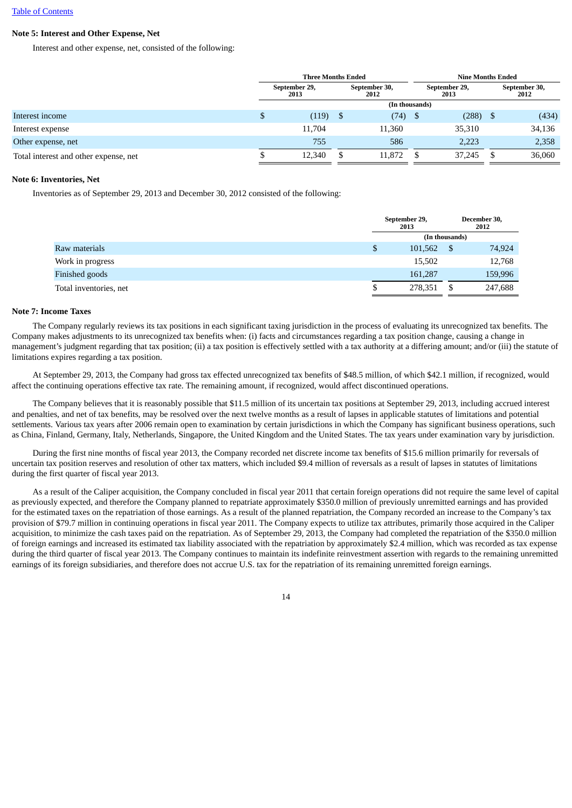# **Note 5: Interest and Other Expense, Net**

Interest and other expense, net, consisted of the following:

|                                       | <b>Three Months Ended</b> |                       |  | <b>Nine Months Ended</b> |    |                       |      |                       |
|---------------------------------------|---------------------------|-----------------------|--|--------------------------|----|-----------------------|------|-----------------------|
|                                       |                           | September 29,<br>2013 |  | September 30,<br>2012    |    | September 29,<br>2013 |      | September 30,<br>2012 |
|                                       |                           |                       |  | (In thousands)           |    |                       |      |                       |
| Interest income                       | \$                        | (119)                 |  | (74)                     | -5 | (288)                 | - \$ | (434)                 |
| Interest expense                      |                           | 11,704                |  | 11,360                   |    | 35,310                |      | 34,136                |
| Other expense, net                    |                           | 755                   |  | 586                      |    | 2,223                 |      | 2,358                 |
| Total interest and other expense, net |                           | 12,340                |  | 11,872                   | S  | 37,245                | -S   | 36,060                |

# **Note 6: Inventories, Net**

Inventories as of September 29, 2013 and December 30, 2012 consisted of the following:

|                        |     | September 29,<br>2013 |                | December 30,<br>2012 |
|------------------------|-----|-----------------------|----------------|----------------------|
|                        |     |                       | (In thousands) |                      |
| Raw materials          | \$. | 101,562               | S              | 74,924               |
| Work in progress       |     | 15,502                |                | 12,768               |
| Finished goods         |     | 161,287               |                | 159,996              |
| Total inventories, net |     | 278,351               | \$             | 247,688              |

# **Note 7: Income Taxes**

The Company regularly reviews its tax positions in each significant taxing jurisdiction in the process of evaluating its unrecognized tax benefits. The Company makes adjustments to its unrecognized tax benefits when: (i) facts and circumstances regarding a tax position change, causing a change in management's judgment regarding that tax position; (ii) a tax position is effectively settled with a tax authority at a differing amount; and/or (iii) the statute of limitations expires regarding a tax position.

At September 29, 2013, the Company had gross tax effected unrecognized tax benefits of \$48.5 million, of which \$42.1 million, if recognized, would affect the continuing operations effective tax rate. The remaining amount, if recognized, would affect discontinued operations.

The Company believes that it is reasonably possible that \$11.5 million of its uncertain tax positions at September 29, 2013, including accrued interest and penalties, and net of tax benefits, may be resolved over the next twelve months as a result of lapses in applicable statutes of limitations and potential settlements. Various tax years after 2006 remain open to examination by certain jurisdictions in which the Company has significant business operations, such as China, Finland, Germany, Italy, Netherlands, Singapore, the United Kingdom and the United States. The tax years under examination vary by jurisdiction.

During the first nine months of fiscal year 2013, the Company recorded net discrete income tax benefits of \$15.6 million primarily for reversals of uncertain tax position reserves and resolution of other tax matters, which included \$9.4 million of reversals as a result of lapses in statutes of limitations during the first quarter of fiscal year 2013.

As a result of the Caliper acquisition, the Company concluded in fiscal year 2011 that certain foreign operations did not require the same level of capital as previously expected, and therefore the Company planned to repatriate approximately \$350.0 million of previously unremitted earnings and has provided for the estimated taxes on the repatriation of those earnings. As a result of the planned repatriation, the Company recorded an increase to the Company's tax provision of \$79.7 million in continuing operations in fiscal year 2011. The Company expects to utilize tax attributes, primarily those acquired in the Caliper acquisition, to minimize the cash taxes paid on the repatriation. As of September 29, 2013, the Company had completed the repatriation of the \$350.0 million of foreign earnings and increased its estimated tax liability associated with the repatriation by approximately \$2.4 million, which was recorded as tax expense during the third quarter of fiscal year 2013. The Company continues to maintain its indefinite reinvestment assertion with regards to the remaining unremitted earnings of its foreign subsidiaries, and therefore does not accrue U.S. tax for the repatriation of its remaining unremitted foreign earnings.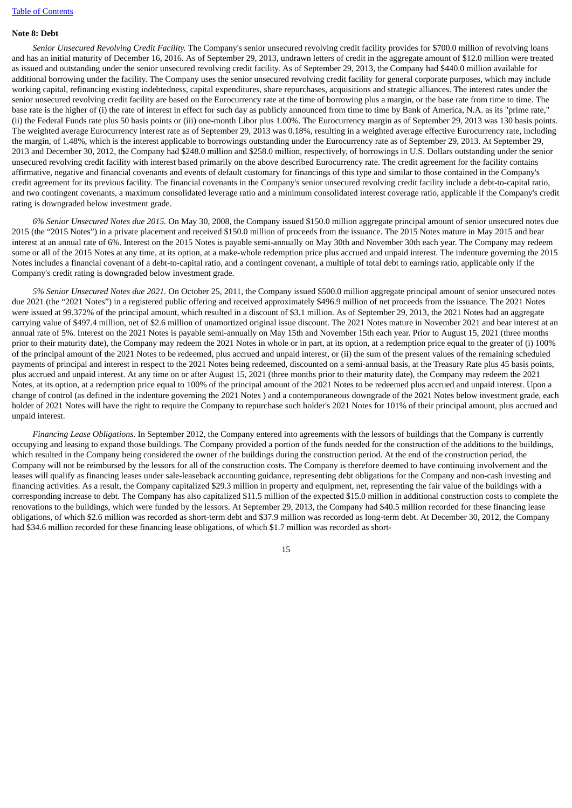# **Note 8: Debt**

*Senior Unsecured Revolving Credit Facility.* The Company's senior unsecured revolving credit facility provides for \$700.0 million of revolving loans and has an initial maturity of December 16, 2016. As of September 29, 2013, undrawn letters of credit in the aggregate amount of \$12.0 million were treated as issued and outstanding under the senior unsecured revolving credit facility. As of September 29, 2013, the Company had \$440.0 million available for additional borrowing under the facility. The Company uses the senior unsecured revolving credit facility for general corporate purposes, which may include working capital, refinancing existing indebtedness, capital expenditures, share repurchases, acquisitions and strategic alliances. The interest rates under the senior unsecured revolving credit facility are based on the Eurocurrency rate at the time of borrowing plus a margin, or the base rate from time to time. The base rate is the higher of (i) the rate of interest in effect for such day as publicly announced from time to time by Bank of America, N.A. as its "prime rate," (ii) the Federal Funds rate plus 50 basis points or (iii) one-month Libor plus 1.00%. The Eurocurrency margin as of September 29, 2013 was 130 basis points. The weighted average Eurocurrency interest rate as of September 29, 2013 was 0.18%, resulting in a weighted average effective Eurocurrency rate, including the margin, of 1.48%, which is the interest applicable to borrowings outstanding under the Eurocurrency rate as of September 29, 2013. At September 29, 2013 and December 30, 2012, the Company had \$248.0 million and \$258.0 million, respectively, of borrowings in U.S. Dollars outstanding under the senior unsecured revolving credit facility with interest based primarily on the above described Eurocurrency rate. The credit agreement for the facility contains affirmative, negative and financial covenants and events of default customary for financings of this type and similar to those contained in the Company's credit agreement for its previous facility. The financial covenants in the Company's senior unsecured revolving credit facility include a debt-to-capital ratio, and two contingent covenants, a maximum consolidated leverage ratio and a minimum consolidated interest coverage ratio, applicable if the Company's credit rating is downgraded below investment grade.

*6% Senior Unsecured Notes due 2015.* On May 30, 2008, the Company issued \$150.0 million aggregate principal amount of senior unsecured notes due 2015 (the "2015 Notes") in a private placement and received \$150.0 million of proceeds from the issuance. The 2015 Notes mature in May 2015 and bear interest at an annual rate of 6%. Interest on the 2015 Notes is payable semi-annually on May 30th and November 30th each year. The Company may redeem some or all of the 2015 Notes at any time, at its option, at a make-whole redemption price plus accrued and unpaid interest. The indenture governing the 2015 Notes includes a financial covenant of a debt-to-capital ratio, and a contingent covenant, a multiple of total debt to earnings ratio, applicable only if the Company's credit rating is downgraded below investment grade.

*5% Senior Unsecured Notes due 2021.* On October 25, 2011, the Company issued \$500.0 million aggregate principal amount of senior unsecured notes due 2021 (the "2021 Notes") in a registered public offering and received approximately \$496.9 million of net proceeds from the issuance. The 2021 Notes were issued at 99.372% of the principal amount, which resulted in a discount of \$3.1 million. As of September 29, 2013, the 2021 Notes had an aggregate carrying value of \$497.4 million, net of \$2.6 million of unamortized original issue discount. The 2021 Notes mature in November 2021 and bear interest at an annual rate of 5%. Interest on the 2021 Notes is payable semi-annually on May 15th and November 15th each year. Prior to August 15, 2021 (three months prior to their maturity date), the Company may redeem the 2021 Notes in whole or in part, at its option, at a redemption price equal to the greater of (i) 100% of the principal amount of the 2021 Notes to be redeemed, plus accrued and unpaid interest, or (ii) the sum of the present values of the remaining scheduled payments of principal and interest in respect to the 2021 Notes being redeemed, discounted on a semi-annual basis, at the Treasury Rate plus 45 basis points, plus accrued and unpaid interest. At any time on or after August 15, 2021 (three months prior to their maturity date), the Company may redeem the 2021 Notes, at its option, at a redemption price equal to 100% of the principal amount of the 2021 Notes to be redeemed plus accrued and unpaid interest. Upon a change of control (as defined in the indenture governing the 2021 Notes ) and a contemporaneous downgrade of the 2021 Notes below investment grade, each holder of 2021 Notes will have the right to require the Company to repurchase such holder's 2021 Notes for 101% of their principal amount, plus accrued and unpaid interest.

*Financing Lease Obligations.* In September 2012, the Company entered into agreements with the lessors of buildings that the Company is currently occupying and leasing to expand those buildings. The Company provided a portion of the funds needed for the construction of the additions to the buildings, which resulted in the Company being considered the owner of the buildings during the construction period. At the end of the construction period, the Company will not be reimbursed by the lessors for all of the construction costs. The Company is therefore deemed to have continuing involvement and the leases will qualify as financing leases under sale-leaseback accounting guidance, representing debt obligations for the Company and non-cash investing and financing activities. As a result, the Company capitalized \$29.3 million in property and equipment, net, representing the fair value of the buildings with a corresponding increase to debt. The Company has also capitalized \$11.5 million of the expected \$15.0 million in additional construction costs to complete the renovations to the buildings, which were funded by the lessors. At September 29, 2013, the Company had \$40.5 million recorded for these financing lease obligations, of which \$2.6 million was recorded as short-term debt and \$37.9 million was recorded as long-term debt. At December 30, 2012, the Company had \$34.6 million recorded for these financing lease obligations, of which \$1.7 million was recorded as short-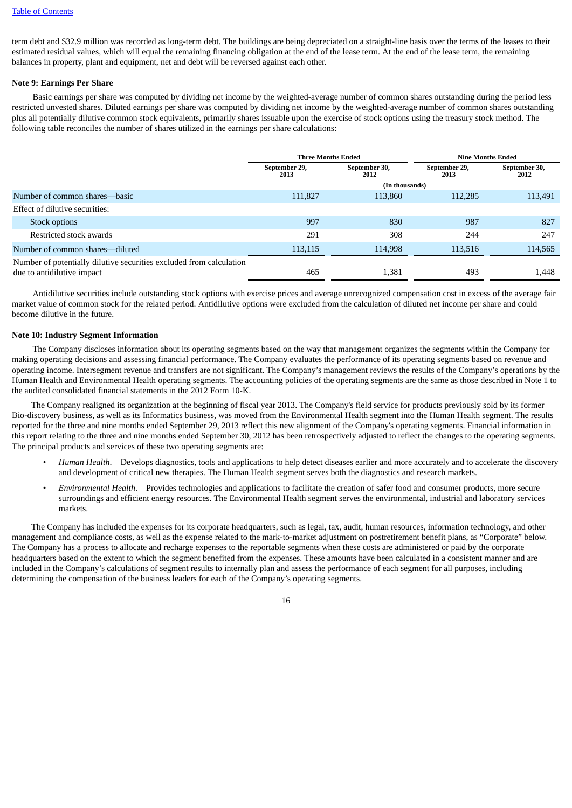term debt and \$32.9 million was recorded as long-term debt. The buildings are being depreciated on a straight-line basis over the terms of the leases to their estimated residual values, which will equal the remaining financing obligation at the end of the lease term. At the end of the lease term, the remaining balances in property, plant and equipment, net and debt will be reversed against each other.

### **Note 9: Earnings Per Share**

Basic earnings per share was computed by dividing net income by the weighted-average number of common shares outstanding during the period less restricted unvested shares. Diluted earnings per share was computed by dividing net income by the weighted-average number of common shares outstanding plus all potentially dilutive common stock equivalents, primarily shares issuable upon the exercise of stock options using the treasury stock method. The following table reconciles the number of shares utilized in the earnings per share calculations:

|                                                                                                   |                       | <b>Three Months Ended</b> |                       | <b>Nine Months Ended</b> |
|---------------------------------------------------------------------------------------------------|-----------------------|---------------------------|-----------------------|--------------------------|
|                                                                                                   | September 29,<br>2013 | September 30,<br>2012     | September 29,<br>2013 | September 30,<br>2012    |
|                                                                                                   |                       | (In thousands)            |                       |                          |
| Number of common shares—basic                                                                     | 111,827               | 113,860                   | 112,285               | 113,491                  |
| Effect of dilutive securities:                                                                    |                       |                           |                       |                          |
| Stock options                                                                                     | 997                   | 830                       | 987                   | 827                      |
| Restricted stock awards                                                                           | 291                   | 308                       | 244                   | 247                      |
| Number of common shares—diluted                                                                   | 113,115               | 114.998                   | 113,516               | 114,565                  |
| Number of potentially dilutive securities excluded from calculation<br>due to antidilutive impact | 465                   | 1.381                     | 493                   | 1,448                    |

Antidilutive securities include outstanding stock options with exercise prices and average unrecognized compensation cost in excess of the average fair market value of common stock for the related period. Antidilutive options were excluded from the calculation of diluted net income per share and could become dilutive in the future.

# **Note 10: Industry Segment Information**

The Company discloses information about its operating segments based on the way that management organizes the segments within the Company for making operating decisions and assessing financial performance. The Company evaluates the performance of its operating segments based on revenue and operating income. Intersegment revenue and transfers are not significant. The Company's management reviews the results of the Company's operations by the Human Health and Environmental Health operating segments. The accounting policies of the operating segments are the same as those described in Note 1 to the audited consolidated financial statements in the 2012 Form 10-K.

The Company realigned its organization at the beginning of fiscal year 2013. The Company's field service for products previously sold by its former Bio-discovery business, as well as its Informatics business, was moved from the Environmental Health segment into the Human Health segment. The results reported for the three and nine months ended September 29, 2013 reflect this new alignment of the Company's operating segments. Financial information in this report relating to the three and nine months ended September 30, 2012 has been retrospectively adjusted to reflect the changes to the operating segments. The principal products and services of these two operating segments are:

- *Human Health*. Develops diagnostics, tools and applications to help detect diseases earlier and more accurately and to accelerate the discovery and development of critical new therapies. The Human Health segment serves both the diagnostics and research markets.
- *Environmental Health*. Provides technologies and applications to facilitate the creation of safer food and consumer products, more secure surroundings and efficient energy resources. The Environmental Health segment serves the environmental, industrial and laboratory services markets.

The Company has included the expenses for its corporate headquarters, such as legal, tax, audit, human resources, information technology, and other management and compliance costs, as well as the expense related to the mark-to-market adjustment on postretirement benefit plans, as "Corporate" below. The Company has a process to allocate and recharge expenses to the reportable segments when these costs are administered or paid by the corporate headquarters based on the extent to which the segment benefited from the expenses. These amounts have been calculated in a consistent manner and are included in the Company's calculations of segment results to internally plan and assess the performance of each segment for all purposes, including determining the compensation of the business leaders for each of the Company's operating segments.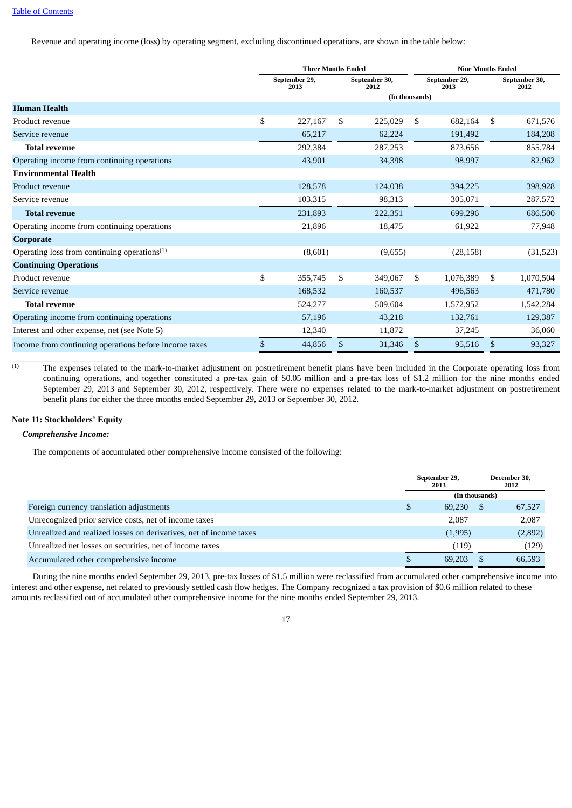Revenue and operating income (loss) by operating segment, excluding discontinued operations, are shown in the table below:

|                                                       | <b>Three Months Ended</b> |                       |    | <b>Nine Months Ended</b> |    |                       |    |                       |
|-------------------------------------------------------|---------------------------|-----------------------|----|--------------------------|----|-----------------------|----|-----------------------|
|                                                       |                           | September 29,<br>2013 |    | September 30,<br>2012    |    | September 29,<br>2013 |    | September 30,<br>2012 |
|                                                       |                           |                       |    | (In thousands)           |    |                       |    |                       |
| <b>Human Health</b>                                   |                           |                       |    |                          |    |                       |    |                       |
| Product revenue                                       | \$                        | 227,167               | \$ | 225,029                  | \$ | 682,164               | \$ | 671,576               |
| Service revenue                                       |                           | 65,217                |    | 62,224                   |    | 191,492               |    | 184,208               |
| <b>Total revenue</b>                                  |                           | 292,384               |    | 287,253                  |    | 873,656               |    | 855,784               |
| Operating income from continuing operations           |                           | 43,901                |    | 34,398                   |    | 98,997                |    | 82,962                |
| <b>Environmental Health</b>                           |                           |                       |    |                          |    |                       |    |                       |
| Product revenue                                       |                           | 128,578               |    | 124,038                  |    | 394,225               |    | 398,928               |
| Service revenue                                       |                           | 103,315               |    | 98,313                   |    | 305,071               |    | 287,572               |
| <b>Total revenue</b>                                  |                           | 231,893               |    | 222,351                  |    | 699,296               |    | 686,500               |
| Operating income from continuing operations           |                           | 21,896                |    | 18,475                   |    | 61,922                |    | 77,948                |
| Corporate                                             |                           |                       |    |                          |    |                       |    |                       |
| Operating loss from continuing operations $(1)$       |                           | (8,601)               |    | (9,655)                  |    | (28, 158)             |    | (31,523)              |
| <b>Continuing Operations</b>                          |                           |                       |    |                          |    |                       |    |                       |
| Product revenue                                       | \$                        | 355,745               | \$ | 349,067                  | \$ | 1,076,389             | \$ | 1,070,504             |
| Service revenue                                       |                           | 168,532               |    | 160,537                  |    | 496,563               |    | 471,780               |
| <b>Total revenue</b>                                  |                           | 524,277               |    | 509,604                  |    | 1,572,952             |    | 1,542,284             |
| Operating income from continuing operations           |                           | 57,196                |    | 43,218                   |    | 132,761               |    | 129,387               |
| Interest and other expense, net (see Note 5)          |                           | 12,340                |    | 11,872                   |    | 37,245                |    | 36,060                |
| Income from continuing operations before income taxes | \$                        | 44,856                | \$ | 31,346                   | \$ | 95,516                | \$ | 93,327                |

(1) The expenses related to the mark-to-market adjustment on postretirement benefit plans have been included in the Corporate operating loss from continuing operations, and together constituted a pre-tax gain of \$0.05 million and a pre-tax loss of \$1.2 million for the nine months ended September 29, 2013 and September 30, 2012, respectively. There were no expenses related to the mark-to-market adjustment on postretirement benefit plans for either the three months ended September 29, 2013 or September 30, 2012.

#### **Note 11: Stockholders' Equity**

 $\frac{1}{2}$  ,  $\frac{1}{2}$  ,  $\frac{1}{2}$  ,  $\frac{1}{2}$  ,  $\frac{1}{2}$  ,  $\frac{1}{2}$  ,  $\frac{1}{2}$  ,  $\frac{1}{2}$  ,  $\frac{1}{2}$  ,  $\frac{1}{2}$  ,  $\frac{1}{2}$  ,  $\frac{1}{2}$  ,  $\frac{1}{2}$  ,  $\frac{1}{2}$  ,  $\frac{1}{2}$  ,  $\frac{1}{2}$  ,  $\frac{1}{2}$  ,  $\frac{1}{2}$  ,  $\frac{1$ 

#### *Comprehensive Income:*

The components of accumulated other comprehensive income consisted of the following:

|                                                                    |   | September 29,<br>2013 | December 30,<br>2012 |
|--------------------------------------------------------------------|---|-----------------------|----------------------|
|                                                                    |   | (In thousands)        |                      |
| Foreign currency translation adjustments                           | S | 69,230                | 67,527               |
| Unrecognized prior service costs, net of income taxes              |   | 2.087                 | 2,087                |
| Unrealized and realized losses on derivatives, net of income taxes |   | (1,995)               | (2,892)              |
| Unrealized net losses on securities, net of income taxes           |   | (119)                 | (129)                |
| Accumulated other comprehensive income                             |   | 69.203                | 66,593               |

During the nine months ended September 29, 2013, pre-tax losses of \$1.5 million were reclassified from accumulated other comprehensive income into interest and other expense, net related to previously settled cash flow hedges. The Company recognized a tax provision of \$0.6 million related to these amounts reclassified out of accumulated other comprehensive income for the nine months ended September 29, 2013.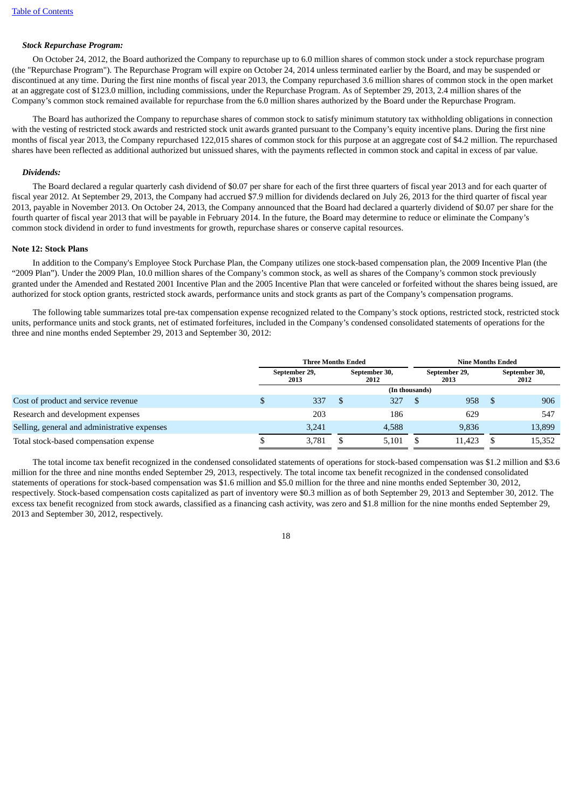# *Stock Repurchase Program:*

On October 24, 2012, the Board authorized the Company to repurchase up to 6.0 million shares of common stock under a stock repurchase program (the "Repurchase Program"). The Repurchase Program will expire on October 24, 2014 unless terminated earlier by the Board, and may be suspended or discontinued at any time. During the first nine months of fiscal year 2013, the Company repurchased 3.6 million shares of common stock in the open market at an aggregate cost of \$123.0 million, including commissions, under the Repurchase Program. As of September 29, 2013, 2.4 million shares of the Company's common stock remained available for repurchase from the 6.0 million shares authorized by the Board under the Repurchase Program.

The Board has authorized the Company to repurchase shares of common stock to satisfy minimum statutory tax withholding obligations in connection with the vesting of restricted stock awards and restricted stock unit awards granted pursuant to the Company's equity incentive plans. During the first nine months of fiscal year 2013, the Company repurchased 122,015 shares of common stock for this purpose at an aggregate cost of \$4.2 million. The repurchased shares have been reflected as additional authorized but unissued shares, with the payments reflected in common stock and capital in excess of par value.

## *Dividends:*

The Board declared a regular quarterly cash dividend of \$0.07 per share for each of the first three quarters of fiscal year 2013 and for each quarter of fiscal year 2012. At September 29, 2013, the Company had accrued \$7.9 million for dividends declared on July 26, 2013 for the third quarter of fiscal year 2013, payable in November 2013. On October 24, 2013, the Company announced that the Board had declared a quarterly dividend of \$0.07 per share for the fourth quarter of fiscal year 2013 that will be payable in February 2014. In the future, the Board may determine to reduce or eliminate the Company's common stock dividend in order to fund investments for growth, repurchase shares or conserve capital resources.

#### **Note 12: Stock Plans**

In addition to the Company's Employee Stock Purchase Plan, the Company utilizes one stock-based compensation plan, the 2009 Incentive Plan (the "2009 Plan"). Under the 2009 Plan, 10.0 million shares of the Company's common stock, as well as shares of the Company's common stock previously granted under the Amended and Restated 2001 Incentive Plan and the 2005 Incentive Plan that were canceled or forfeited without the shares being issued, are authorized for stock option grants, restricted stock awards, performance units and stock grants as part of the Company's compensation programs.

The following table summarizes total pre-tax compensation expense recognized related to the Company's stock options, restricted stock, restricted stock units, performance units and stock grants, net of estimated forfeitures, included in the Company's condensed consolidated statements of operations for the three and nine months ended September 29, 2013 and September 30, 2012:

|                                              | <b>Three Months Ended</b> |  | <b>Nine Months Ended</b> |  |                       |    |                       |
|----------------------------------------------|---------------------------|--|--------------------------|--|-----------------------|----|-----------------------|
|                                              | September 29,<br>2013     |  | September 30,<br>2012    |  | September 29,<br>2013 |    | September 30,<br>2012 |
|                                              |                           |  | (In thousands)           |  |                       |    |                       |
| Cost of product and service revenue          | 337                       |  | 327                      |  | 958                   | -S | 906                   |
| Research and development expenses            | 203                       |  | 186                      |  | 629                   |    | 547                   |
| Selling, general and administrative expenses | 3.241                     |  | 4.588                    |  | 9,836                 |    | 13,899                |
| Total stock-based compensation expense       | 3.781                     |  | 5,101                    |  | 11.423                |    | 15,352                |

The total income tax benefit recognized in the condensed consolidated statements of operations for stock-based compensation was \$1.2 million and \$3.6 million for the three and nine months ended September 29, 2013, respectively. The total income tax benefit recognized in the condensed consolidated statements of operations for stock-based compensation was \$1.6 million and \$5.0 million for the three and nine months ended September 30, 2012, respectively. Stock-based compensation costs capitalized as part of inventory were \$0.3 million as of both September 29, 2013 and September 30, 2012. The excess tax benefit recognized from stock awards, classified as a financing cash activity, was zero and \$1.8 million for the nine months ended September 29, 2013 and September 30, 2012, respectively.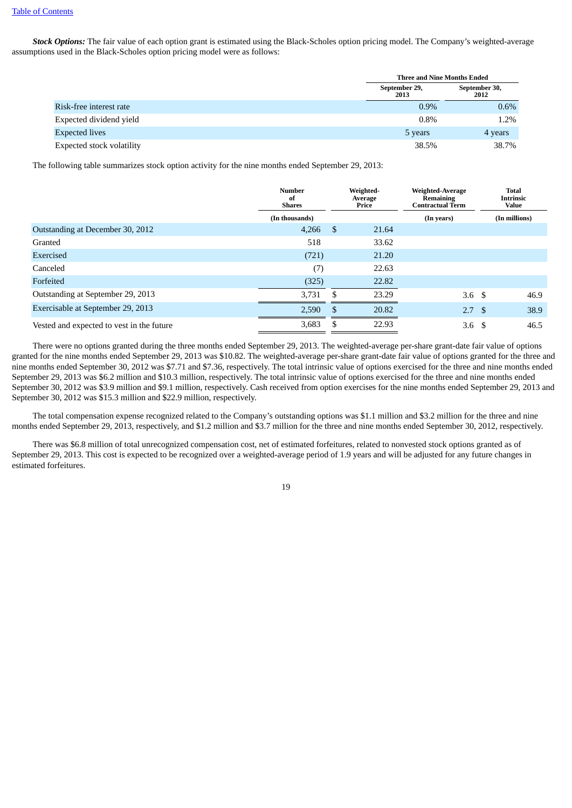*Stock Options:* The fair value of each option grant is estimated using the Black-Scholes option pricing model. The Company's weighted-average assumptions used in the Black-Scholes option pricing model were as follows:

|                           | <b>Three and Nine Months Ended</b> |                       |
|---------------------------|------------------------------------|-----------------------|
|                           | September 29,<br>2013              | September 30,<br>2012 |
| Risk-free interest rate   | 0.9%                               | $0.6\%$               |
| Expected dividend yield   | 0.8%                               | 1.2%                  |
| <b>Expected lives</b>     | 5 years                            | 4 years               |
| Expected stock volatility | 38.5%                              | 38.7%                 |

The following table summarizes stock option activity for the nine months ended September 29, 2013:

|                                           | <b>Number</b><br>of<br><b>Shares</b> |      |       |                  |      |               | Weighted-<br>Average<br>Price | Weighted-Average<br>Remaining<br><b>Contractual Term</b> |  | Total<br><b>Intrinsic</b><br>Value |
|-------------------------------------------|--------------------------------------|------|-------|------------------|------|---------------|-------------------------------|----------------------------------------------------------|--|------------------------------------|
|                                           | (In thousands)                       |      |       | (In years)       |      | (In millions) |                               |                                                          |  |                                    |
| Outstanding at December 30, 2012          | 4,266                                | - \$ | 21.64 |                  |      |               |                               |                                                          |  |                                    |
| Granted                                   | 518                                  |      | 33.62 |                  |      |               |                               |                                                          |  |                                    |
| Exercised                                 | (721)                                |      | 21.20 |                  |      |               |                               |                                                          |  |                                    |
| Canceled                                  | (7)                                  |      | 22.63 |                  |      |               |                               |                                                          |  |                                    |
| Forfeited                                 | (325)                                |      | 22.82 |                  |      |               |                               |                                                          |  |                                    |
| Outstanding at September 29, 2013         | 3,731                                | \$.  | 23.29 | 3.6 <sup>5</sup> |      | 46.9          |                               |                                                          |  |                                    |
| Exercisable at September 29, 2013         | 2,590                                | \$.  | 20.82 | 2.7 <sup>5</sup> |      | 38.9          |                               |                                                          |  |                                    |
| Vested and expected to vest in the future | 3,683                                | \$   | 22.93 | 3.6              | - \$ | 46.5          |                               |                                                          |  |                                    |

There were no options granted during the three months ended September 29, 2013. The weighted-average per-share grant-date fair value of options granted for the nine months ended September 29, 2013 was \$10.82. The weighted-average per-share grant-date fair value of options granted for the three and nine months ended September 30, 2012 was \$7.71 and \$7.36, respectively. The total intrinsic value of options exercised for the three and nine months ended September 29, 2013 was \$6.2 million and \$10.3 million, respectively. The total intrinsic value of options exercised for the three and nine months ended September 30, 2012 was \$3.9 million and \$9.1 million, respectively. Cash received from option exercises for the nine months ended September 29, 2013 and September 30, 2012 was \$15.3 million and \$22.9 million, respectively.

The total compensation expense recognized related to the Company's outstanding options was \$1.1 million and \$3.2 million for the three and nine months ended September 29, 2013, respectively, and \$1.2 million and \$3.7 million for the three and nine months ended September 30, 2012, respectively.

There was \$6.8 million of total unrecognized compensation cost, net of estimated forfeitures, related to nonvested stock options granted as of September 29, 2013. This cost is expected to be recognized over a weighted-average period of 1.9 years and will be adjusted for any future changes in estimated forfeitures.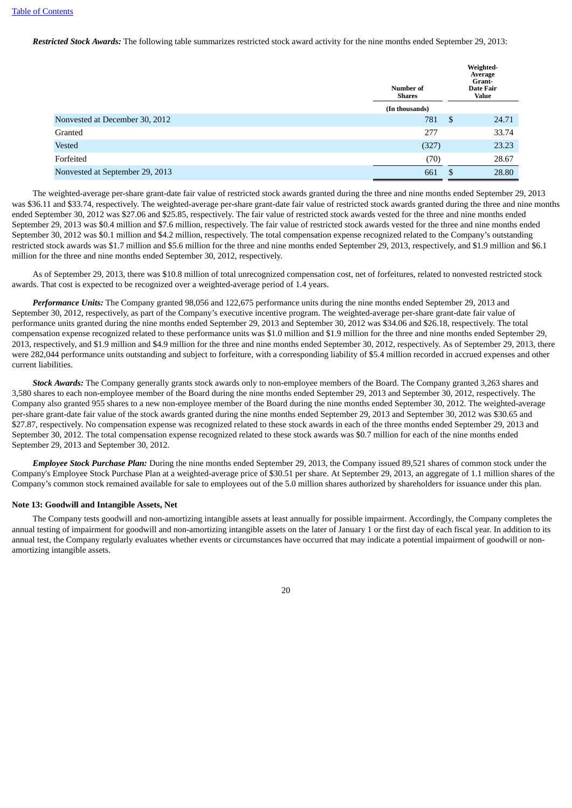*Restricted Stock Awards:* The following table summarizes restricted stock award activity for the nine months ended September 29, 2013:

|                                 | <b>Number of</b><br>Shares |               | Weighted-<br>Average<br>Grant-<br><b>Date Fair</b><br>Value |
|---------------------------------|----------------------------|---------------|-------------------------------------------------------------|
|                                 | (In thousands)             |               |                                                             |
| Nonvested at December 30, 2012  | 781                        | -\$           | 24.71                                                       |
| Granted                         | 277                        |               | 33.74                                                       |
| <b>Vested</b>                   | (327)                      |               | 23.23                                                       |
| Forfeited                       | (70)                       |               | 28.67                                                       |
| Nonvested at September 29, 2013 | 661                        | <sup>\$</sup> | 28.80                                                       |

The weighted-average per-share grant-date fair value of restricted stock awards granted during the three and nine months ended September 29, 2013 was \$36.11 and \$33.74, respectively. The weighted-average per-share grant-date fair value of restricted stock awards granted during the three and nine months ended September 30, 2012 was \$27.06 and \$25.85, respectively. The fair value of restricted stock awards vested for the three and nine months ended September 29, 2013 was \$0.4 million and \$7.6 million, respectively. The fair value of restricted stock awards vested for the three and nine months ended September 30, 2012 was \$0.1 million and \$4.2 million, respectively. The total compensation expense recognized related to the Company's outstanding restricted stock awards was \$1.7 million and \$5.6 million for the three and nine months ended September 29, 2013, respectively, and \$1.9 million and \$6.1 million for the three and nine months ended September 30, 2012, respectively.

As of September 29, 2013, there was \$10.8 million of total unrecognized compensation cost, net of forfeitures, related to nonvested restricted stock awards. That cost is expected to be recognized over a weighted-average period of 1.4 years.

*Performance Units:* The Company granted 98,056 and 122,675 performance units during the nine months ended September 29, 2013 and September 30, 2012, respectively, as part of the Company's executive incentive program. The weighted-average per-share grant-date fair value of performance units granted during the nine months ended September 29, 2013 and September 30, 2012 was \$34.06 and \$26.18, respectively. The total compensation expense recognized related to these performance units was \$1.0 million and \$1.9 million for the three and nine months ended September 29, 2013, respectively, and \$1.9 million and \$4.9 million for the three and nine months ended September 30, 2012, respectively. As of September 29, 2013, there were 282,044 performance units outstanding and subject to forfeiture, with a corresponding liability of \$5.4 million recorded in accrued expenses and other current liabilities.

*Stock Awards:* The Company generally grants stock awards only to non-employee members of the Board. The Company granted 3,263 shares and 3,580 shares to each non-employee member of the Board during the nine months ended September 29, 2013 and September 30, 2012, respectively. The Company also granted 955 shares to a new non-employee member of the Board during the nine months ended September 30, 2012. The weighted-average per-share grant-date fair value of the stock awards granted during the nine months ended September 29, 2013 and September 30, 2012 was \$30.65 and \$27.87, respectively. No compensation expense was recognized related to these stock awards in each of the three months ended September 29, 2013 and September 30, 2012. The total compensation expense recognized related to these stock awards was \$0.7 million for each of the nine months ended September 29, 2013 and September 30, 2012.

*Employee Stock Purchase Plan:* During the nine months ended September 29, 2013, the Company issued 89,521 shares of common stock under the Company's Employee Stock Purchase Plan at a weighted-average price of \$30.51 per share. At September 29, 2013, an aggregate of 1.1 million shares of the Company's common stock remained available for sale to employees out of the 5.0 million shares authorized by shareholders for issuance under this plan.

# **Note 13: Goodwill and Intangible Assets, Net**

The Company tests goodwill and non-amortizing intangible assets at least annually for possible impairment. Accordingly, the Company completes the annual testing of impairment for goodwill and non-amortizing intangible assets on the later of January 1 or the first day of each fiscal year. In addition to its annual test, the Company regularly evaluates whether events or circumstances have occurred that may indicate a potential impairment of goodwill or nonamortizing intangible assets.

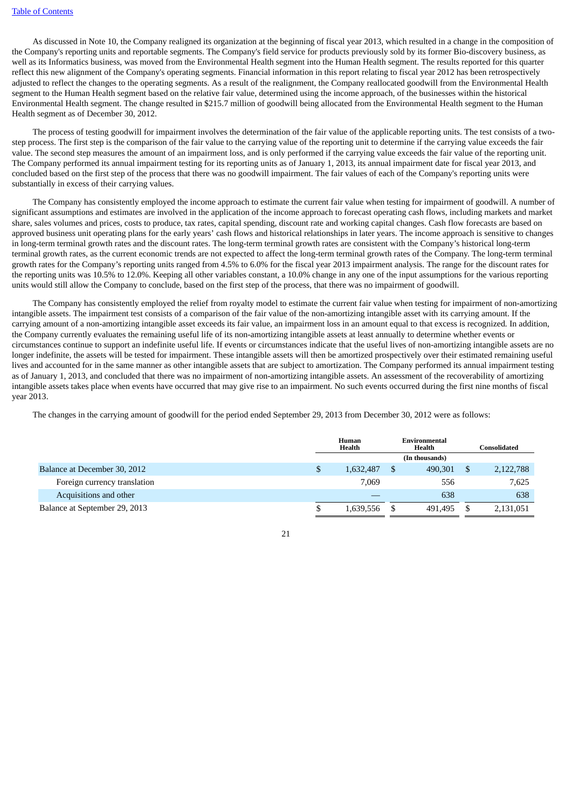As discussed in Note 10, the Company realigned its organization at the beginning of fiscal year 2013, which resulted in a change in the composition of the Company's reporting units and reportable segments. The Company's field service for products previously sold by its former Bio-discovery business, as well as its Informatics business, was moved from the Environmental Health segment into the Human Health segment. The results reported for this quarter reflect this new alignment of the Company's operating segments. Financial information in this report relating to fiscal year 2012 has been retrospectively adjusted to reflect the changes to the operating segments. As a result of the realignment, the Company reallocated goodwill from the Environmental Health segment to the Human Health segment based on the relative fair value, determined using the income approach, of the businesses within the historical Environmental Health segment. The change resulted in \$215.7 million of goodwill being allocated from the Environmental Health segment to the Human Health segment as of December 30, 2012.

The process of testing goodwill for impairment involves the determination of the fair value of the applicable reporting units. The test consists of a twostep process. The first step is the comparison of the fair value to the carrying value of the reporting unit to determine if the carrying value exceeds the fair value. The second step measures the amount of an impairment loss, and is only performed if the carrying value exceeds the fair value of the reporting unit. The Company performed its annual impairment testing for its reporting units as of January 1, 2013, its annual impairment date for fiscal year 2013, and concluded based on the first step of the process that there was no goodwill impairment. The fair values of each of the Company's reporting units were substantially in excess of their carrying values.

The Company has consistently employed the income approach to estimate the current fair value when testing for impairment of goodwill. A number of significant assumptions and estimates are involved in the application of the income approach to forecast operating cash flows, including markets and market share, sales volumes and prices, costs to produce, tax rates, capital spending, discount rate and working capital changes. Cash flow forecasts are based on approved business unit operating plans for the early years' cash flows and historical relationships in later years. The income approach is sensitive to changes in long-term terminal growth rates and the discount rates. The long-term terminal growth rates are consistent with the Company's historical long-term terminal growth rates, as the current economic trends are not expected to affect the long-term terminal growth rates of the Company. The long-term terminal growth rates for the Company's reporting units ranged from 4.5% to 6.0% for the fiscal year 2013 impairment analysis. The range for the discount rates for the reporting units was 10.5% to 12.0%. Keeping all other variables constant, a 10.0% change in any one of the input assumptions for the various reporting units would still allow the Company to conclude, based on the first step of the process, that there was no impairment of goodwill.

The Company has consistently employed the relief from royalty model to estimate the current fair value when testing for impairment of non-amortizing intangible assets. The impairment test consists of a comparison of the fair value of the non-amortizing intangible asset with its carrying amount. If the carrying amount of a non-amortizing intangible asset exceeds its fair value, an impairment loss in an amount equal to that excess is recognized*.* In addition, the Company currently evaluates the remaining useful life of its non-amortizing intangible assets at least annually to determine whether events or circumstances continue to support an indefinite useful life. If events or circumstances indicate that the useful lives of non-amortizing intangible assets are no longer indefinite, the assets will be tested for impairment. These intangible assets will then be amortized prospectively over their estimated remaining useful lives and accounted for in the same manner as other intangible assets that are subject to amortization. The Company performed its annual impairment testing as of January 1, 2013, and concluded that there was no impairment of non-amortizing intangible assets. An assessment of the recoverability of amortizing intangible assets takes place when events have occurred that may give rise to an impairment. No such events occurred during the first nine months of fiscal year 2013.

The changes in the carrying amount of goodwill for the period ended September 29, 2013 from December 30, 2012 were as follows:

|                               | Human<br>Health |           |    | Environmental<br>Health | Consolidated |           |
|-------------------------------|-----------------|-----------|----|-------------------------|--------------|-----------|
|                               | (In thousands)  |           |    |                         |              |           |
| Balance at December 30, 2012  | S               | 1.632.487 | \$ | 490,301                 |              | 2,122,788 |
| Foreign currency translation  |                 | 7.069     |    | 556                     |              | 7,625     |
| Acquisitions and other        |                 |           |    | 638                     |              | 638       |
| Balance at September 29, 2013 |                 | 1,639,556 |    | 491.495                 |              | 2,131,051 |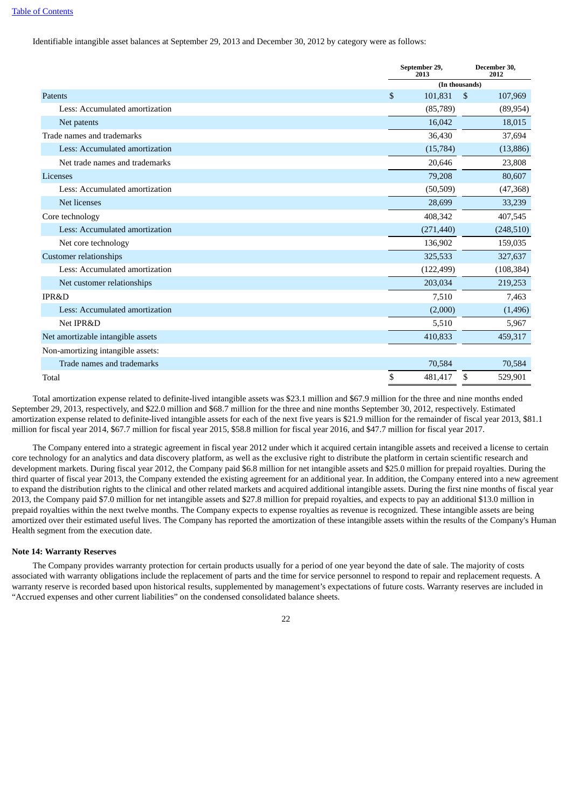Identifiable intangible asset balances at September 29, 2013 and December 30, 2012 by category were as follows:

|                                   | September 29,<br>2013 |                | December 30,<br>2012 |  |  |
|-----------------------------------|-----------------------|----------------|----------------------|--|--|
|                                   |                       | (In thousands) |                      |  |  |
| <b>Patents</b>                    | \$<br>101,831         | - \$           | 107,969              |  |  |
| Less: Accumulated amortization    | (85,789)              |                | (89, 954)            |  |  |
| Net patents                       | 16,042                |                | 18,015               |  |  |
| Trade names and trademarks        | 36,430                |                | 37,694               |  |  |
| Less: Accumulated amortization    | (15,784)              |                | (13, 886)            |  |  |
| Net trade names and trademarks    | 20,646                |                | 23,808               |  |  |
| Licenses                          | 79,208                |                | 80,607               |  |  |
| Less: Accumulated amortization    | (50, 509)             |                | (47, 368)            |  |  |
| Net licenses                      | 28,699                |                | 33,239               |  |  |
| Core technology                   | 408,342               |                | 407,545              |  |  |
| Less: Accumulated amortization    | (271, 440)            |                | (248, 510)           |  |  |
| Net core technology               | 136,902               |                | 159,035              |  |  |
| <b>Customer relationships</b>     | 325,533               |                | 327,637              |  |  |
| Less: Accumulated amortization    | (122, 499)            |                | (108, 384)           |  |  |
| Net customer relationships        | 203,034               |                | 219,253              |  |  |
| <b>IPR&amp;D</b>                  | 7,510                 |                | 7,463                |  |  |
| Less: Accumulated amortization    | (2,000)               |                | (1, 496)             |  |  |
| Net IPR&D                         | 5,510                 |                | 5,967                |  |  |
| Net amortizable intangible assets | 410,833               |                | 459,317              |  |  |
| Non-amortizing intangible assets: |                       |                |                      |  |  |
| Trade names and trademarks        | 70,584                |                | 70,584               |  |  |
| Total                             | \$<br>481,417         | \$             | 529,901              |  |  |
|                                   |                       |                |                      |  |  |

Total amortization expense related to definite-lived intangible assets was \$23.1 million and \$67.9 million for the three and nine months ended September 29, 2013, respectively, and \$22.0 million and \$68.7 million for the three and nine months September 30, 2012, respectively. Estimated amortization expense related to definite-lived intangible assets for each of the next five years is \$21.9 million for the remainder of fiscal year 2013, \$81.1 million for fiscal year 2014, \$67.7 million for fiscal year 2015, \$58.8 million for fiscal year 2016, and \$47.7 million for fiscal year 2017.

The Company entered into a strategic agreement in fiscal year 2012 under which it acquired certain intangible assets and received a license to certain core technology for an analytics and data discovery platform, as well as the exclusive right to distribute the platform in certain scientific research and development markets. During fiscal year 2012, the Company paid \$6.8 million for net intangible assets and \$25.0 million for prepaid royalties. During the third quarter of fiscal year 2013, the Company extended the existing agreement for an additional year. In addition, the Company entered into a new agreement to expand the distribution rights to the clinical and other related markets and acquired additional intangible assets. During the first nine months of fiscal year 2013, the Company paid \$7.0 million for net intangible assets and \$27.8 million for prepaid royalties, and expects to pay an additional \$13.0 million in prepaid royalties within the next twelve months. The Company expects to expense royalties as revenue is recognized. These intangible assets are being amortized over their estimated useful lives. The Company has reported the amortization of these intangible assets within the results of the Company's Human Health segment from the execution date.

#### **Note 14: Warranty Reserves**

The Company provides warranty protection for certain products usually for a period of one year beyond the date of sale. The majority of costs associated with warranty obligations include the replacement of parts and the time for service personnel to respond to repair and replacement requests. A warranty reserve is recorded based upon historical results, supplemented by management's expectations of future costs. Warranty reserves are included in "Accrued expenses and other current liabilities" on the condensed consolidated balance sheets.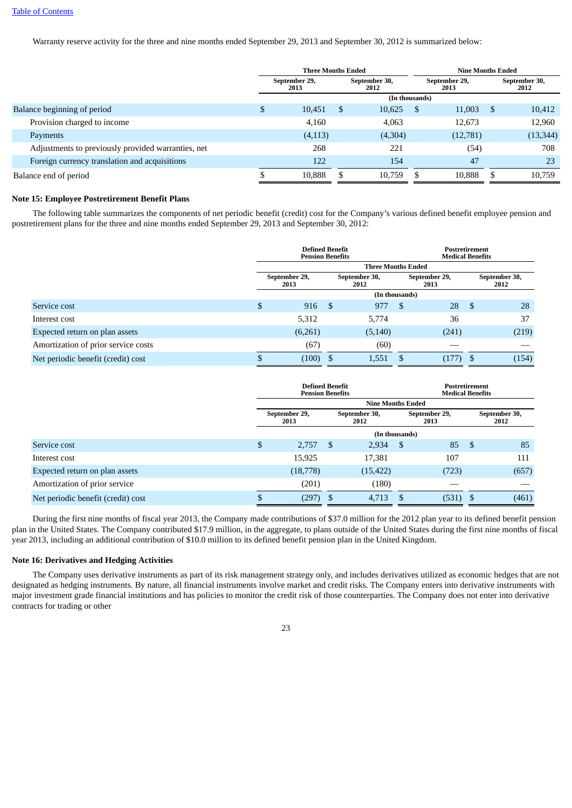Warranty reserve activity for the three and nine months ended September 29, 2013 and September 30, 2012 is summarized below:

|                                                    | <b>Three Months Ended</b> |          |                       |                | <b>Nine Months Ended</b> |          |      |                       |
|----------------------------------------------------|---------------------------|----------|-----------------------|----------------|--------------------------|----------|------|-----------------------|
|                                                    | September 29,<br>2013     |          | September 30,<br>2012 |                | September 29,<br>2013    |          |      | September 30,<br>2012 |
|                                                    |                           |          |                       | (In thousands) |                          |          |      |                       |
| Balance beginning of period                        | \$                        | 10,451   | -S                    | 10,625         | -S                       | 11,003   | - \$ | 10,412                |
| Provision charged to income                        |                           | 4,160    |                       | 4,063          |                          | 12,673   |      | 12,960                |
| <b>Payments</b>                                    |                           | (4, 113) |                       | (4,304)        |                          | (12,781) |      | (13, 344)             |
| Adjustments to previously provided warranties, net |                           | 268      |                       | 221            |                          | (54)     |      | 708                   |
| Foreign currency translation and acquisitions      |                           | 122      |                       | 154            |                          | 47       |      | 23                    |
| Balance end of period                              |                           | 10,888   |                       | 10,759         | \$.                      | 10,888   |      | 10,759                |

# **Note 15: Employee Postretirement Benefit Plans**

The following table summarizes the components of net periodic benefit (credit) cost for the Company's various defined benefit employee pension and postretirement plans for the three and nine months ended September 29, 2013 and September 30, 2012:

|                                     | <b>Defined Benefit</b><br><b>Pension Benefits</b> |                       |               | Postretirement<br><b>Medical Benefits</b> |   |                       |     |                       |
|-------------------------------------|---------------------------------------------------|-----------------------|---------------|-------------------------------------------|---|-----------------------|-----|-----------------------|
|                                     |                                                   |                       |               | <b>Three Months Ended</b>                 |   |                       |     |                       |
|                                     |                                                   | September 29,<br>2013 |               | September 30,<br>2012                     |   | September 29,<br>2013 |     | September 30,<br>2012 |
|                                     |                                                   |                       |               | (In thousands)                            |   |                       |     |                       |
| Service cost                        | \$                                                | 916                   | <sup>\$</sup> | 977                                       | S | 28                    | -\$ | 28                    |
| Interest cost                       |                                                   | 5,312                 |               | 5,774                                     |   | 36                    |     | 37                    |
| Expected return on plan assets      |                                                   | (6,261)               |               | (5, 140)                                  |   | (241)                 |     | (219)                 |
| Amortization of prior service costs |                                                   | (67)                  |               | (60)                                      |   |                       |     |                       |
| Net periodic benefit (credit) cost  | \$                                                | $(100)$ \$            |               | 1,551                                     | S | (177)                 |     | (154)                 |

|                                    |    | <b>Defined Benefit</b><br><b>Pension Benefits</b> |    |                          |               | Postretirement<br><b>Medical Benefits</b> |     |                       |  |
|------------------------------------|----|---------------------------------------------------|----|--------------------------|---------------|-------------------------------------------|-----|-----------------------|--|
|                                    |    |                                                   |    | <b>Nine Months Ended</b> |               |                                           |     |                       |  |
|                                    |    | September 29,<br>2013                             |    | September 30,<br>2012    |               | September 29,<br>2013                     |     | September 30,<br>2012 |  |
|                                    |    |                                                   |    | (In thousands)           |               |                                           |     |                       |  |
| Service cost                       | \$ | 2,757                                             | S  | 2,934                    | <sup>\$</sup> | 85                                        | -\$ | 85                    |  |
| Interest cost                      |    | 15,925                                            |    | 17,381                   |               | 107                                       |     | 111                   |  |
| Expected return on plan assets     |    | (18, 778)                                         |    | (15, 422)                |               | (723)                                     |     | (657)                 |  |
| Amortization of prior service      |    | (201)                                             |    | (180)                    |               |                                           |     |                       |  |
| Net periodic benefit (credit) cost | Φ  | (297)                                             | \$ | 4,713                    |               | (531)                                     | S.  | (461)                 |  |

During the first nine months of fiscal year 2013, the Company made contributions of \$37.0 million for the 2012 plan year to its defined benefit pension plan in the United States. The Company contributed \$17.9 million, in the aggregate, to plans outside of the United States during the first nine months of fiscal year 2013, including an additional contribution of \$10.0 million to its defined benefit pension plan in the United Kingdom.

# **Note 16: Derivatives and Hedging Activities**

The Company uses derivative instruments as part of its risk management strategy only, and includes derivatives utilized as economic hedges that are not designated as hedging instruments. By nature, all financial instruments involve market and credit risks. The Company enters into derivative instruments with major investment grade financial institutions and has policies to monitor the credit risk of those counterparties. The Company does not enter into derivative contracts for trading or other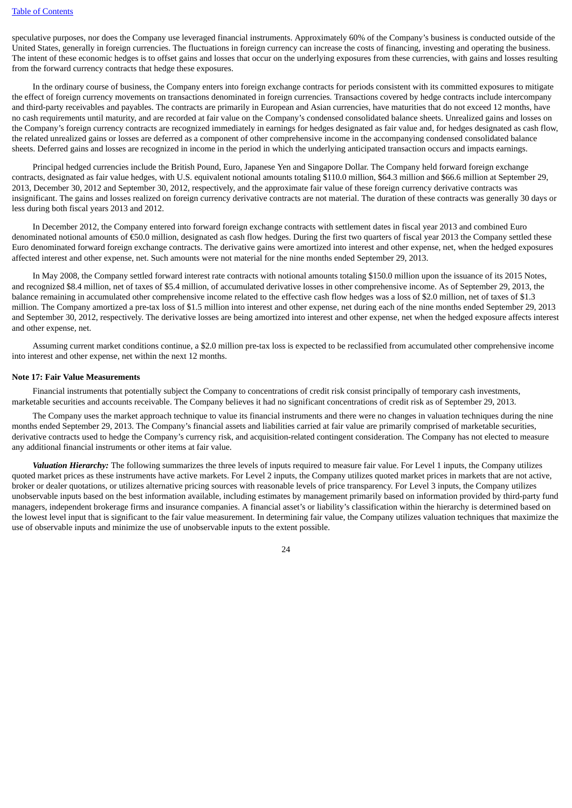speculative purposes, nor does the Company use leveraged financial instruments. Approximately 60% of the Company's business is conducted outside of the United States, generally in foreign currencies. The fluctuations in foreign currency can increase the costs of financing, investing and operating the business. The intent of these economic hedges is to offset gains and losses that occur on the underlying exposures from these currencies, with gains and losses resulting from the forward currency contracts that hedge these exposures.

In the ordinary course of business, the Company enters into foreign exchange contracts for periods consistent with its committed exposures to mitigate the effect of foreign currency movements on transactions denominated in foreign currencies. Transactions covered by hedge contracts include intercompany and third-party receivables and payables. The contracts are primarily in European and Asian currencies, have maturities that do not exceed 12 months, have no cash requirements until maturity, and are recorded at fair value on the Company's condensed consolidated balance sheets. Unrealized gains and losses on the Company's foreign currency contracts are recognized immediately in earnings for hedges designated as fair value and, for hedges designated as cash flow, the related unrealized gains or losses are deferred as a component of other comprehensive income in the accompanying condensed consolidated balance sheets. Deferred gains and losses are recognized in income in the period in which the underlying anticipated transaction occurs and impacts earnings.

Principal hedged currencies include the British Pound, Euro, Japanese Yen and Singapore Dollar. The Company held forward foreign exchange contracts, designated as fair value hedges, with U.S. equivalent notional amounts totaling \$110.0 million, \$64.3 million and \$66.6 million at September 29, 2013, December 30, 2012 and September 30, 2012, respectively, and the approximate fair value of these foreign currency derivative contracts was insignificant. The gains and losses realized on foreign currency derivative contracts are not material. The duration of these contracts was generally 30 days or less during both fiscal years 2013 and 2012.

In December 2012, the Company entered into forward foreign exchange contracts with settlement dates in fiscal year 2013 and combined Euro denominated notional amounts of €50.0 million, designated as cash flow hedges. During the first two quarters of fiscal year 2013 the Company settled these Euro denominated forward foreign exchange contracts. The derivative gains were amortized into interest and other expense, net, when the hedged exposures affected interest and other expense, net. Such amounts were not material for the nine months ended September 29, 2013.

In May 2008, the Company settled forward interest rate contracts with notional amounts totaling \$150.0 million upon the issuance of its 2015 Notes, and recognized \$8.4 million, net of taxes of \$5.4 million, of accumulated derivative losses in other comprehensive income. As of September 29, 2013, the balance remaining in accumulated other comprehensive income related to the effective cash flow hedges was a loss of \$2.0 million, net of taxes of \$1.3 million. The Company amortized a pre-tax loss of \$1.5 million into interest and other expense, net during each of the nine months ended September 29, 2013 and September 30, 2012, respectively. The derivative losses are being amortized into interest and other expense, net when the hedged exposure affects interest and other expense, net.

Assuming current market conditions continue, a \$2.0 million pre-tax loss is expected to be reclassified from accumulated other comprehensive income into interest and other expense, net within the next 12 months.

#### **Note 17: Fair Value Measurements**

Financial instruments that potentially subject the Company to concentrations of credit risk consist principally of temporary cash investments, marketable securities and accounts receivable. The Company believes it had no significant concentrations of credit risk as of September 29, 2013.

The Company uses the market approach technique to value its financial instruments and there were no changes in valuation techniques during the nine months ended September 29, 2013. The Company's financial assets and liabilities carried at fair value are primarily comprised of marketable securities, derivative contracts used to hedge the Company's currency risk, and acquisition-related contingent consideration. The Company has not elected to measure any additional financial instruments or other items at fair value.

*Valuation Hierarchy:* The following summarizes the three levels of inputs required to measure fair value. For Level 1 inputs, the Company utilizes quoted market prices as these instruments have active markets. For Level 2 inputs, the Company utilizes quoted market prices in markets that are not active, broker or dealer quotations, or utilizes alternative pricing sources with reasonable levels of price transparency. For Level 3 inputs, the Company utilizes unobservable inputs based on the best information available, including estimates by management primarily based on information provided by third-party fund managers, independent brokerage firms and insurance companies. A financial asset's or liability's classification within the hierarchy is determined based on the lowest level input that is significant to the fair value measurement. In determining fair value, the Company utilizes valuation techniques that maximize the use of observable inputs and minimize the use of unobservable inputs to the extent possible.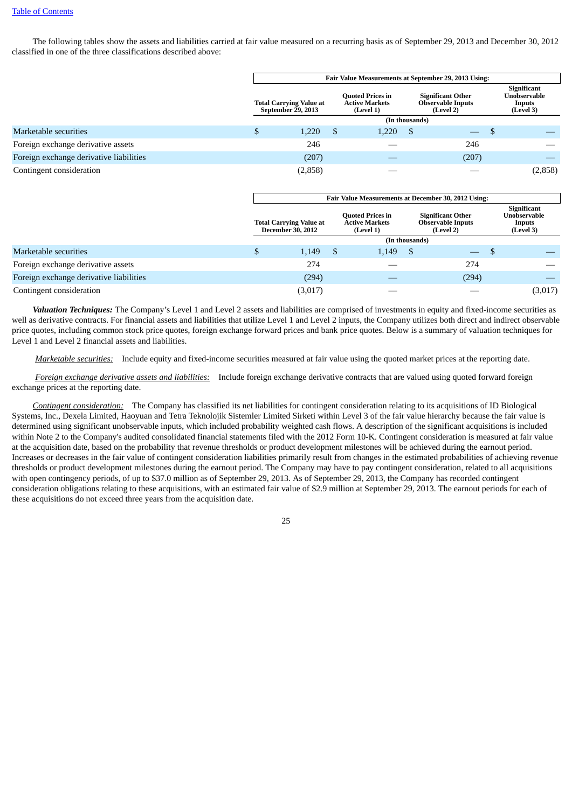The following tables show the assets and liabilities carried at fair value measured on a recurring basis as of September 29, 2013 and December 30, 2012 classified in one of the three classifications described above:

|                                         | Fair Value Measurements at September 29, 2013 Using:        |         |                                                               |                |                                                                   |                                |                                                    |  |
|-----------------------------------------|-------------------------------------------------------------|---------|---------------------------------------------------------------|----------------|-------------------------------------------------------------------|--------------------------------|----------------------------------------------------|--|
|                                         | <b>Total Carrying Value at</b><br><b>September 29, 2013</b> |         | <b>Quoted Prices in</b><br><b>Active Markets</b><br>(Level 1) |                | <b>Significant Other</b><br><b>Observable Inputs</b><br>(Level 2) |                                | Significant<br>Unobservable<br>Inputs<br>(Level 3) |  |
|                                         |                                                             |         |                                                               | (In thousands) |                                                                   |                                |                                                    |  |
| Marketable securities                   |                                                             | 1,220   | - \$                                                          | 1.220          | - \$                                                              | -S<br>$\overline{\phantom{m}}$ |                                                    |  |
| Foreign exchange derivative assets      |                                                             | 246     |                                                               |                |                                                                   | 246                            |                                                    |  |
| Foreign exchange derivative liabilities |                                                             | (207)   |                                                               |                |                                                                   | (207)                          |                                                    |  |
| Contingent consideration                |                                                             | (2,858) |                                                               |                |                                                                   |                                | (2,858)                                            |  |

|                                         | Fair Value Measurements at December 30, 2012 Using:        |         |    |       |                                                               |       |                                                                   |         |  |                                                           |
|-----------------------------------------|------------------------------------------------------------|---------|----|-------|---------------------------------------------------------------|-------|-------------------------------------------------------------------|---------|--|-----------------------------------------------------------|
|                                         | <b>Total Carrying Value at</b><br><b>December 30, 2012</b> |         |    |       | <b>Quoted Prices in</b><br><b>Active Markets</b><br>(Level 1) |       | <b>Significant Other</b><br><b>Observable Inputs</b><br>(Level 2) |         |  | Significant<br><b>Unobservable</b><br>Inputs<br>(Level 3) |
|                                         |                                                            |         |    |       | (In thousands)                                                |       |                                                                   |         |  |                                                           |
| Marketable securities                   | \$                                                         | 1,149   | -S | 1,149 | - \$                                                          |       | -S                                                                |         |  |                                                           |
| Foreign exchange derivative assets      |                                                            | 274     |    |       |                                                               | 274   |                                                                   |         |  |                                                           |
| Foreign exchange derivative liabilities |                                                            | (294)   |    |       |                                                               | (294) |                                                                   |         |  |                                                           |
| Contingent consideration                |                                                            | (3,017) |    |       |                                                               |       |                                                                   | (3,017) |  |                                                           |

*Valuation Techniques:* The Company's Level 1 and Level 2 assets and liabilities are comprised of investments in equity and fixed-income securities as well as derivative contracts. For financial assets and liabilities that utilize Level 1 and Level 2 inputs, the Company utilizes both direct and indirect observable price quotes, including common stock price quotes, foreign exchange forward prices and bank price quotes. Below is a summary of valuation techniques for Level 1 and Level 2 financial assets and liabilities.

*Marketable securities:* Include equity and fixed-income securities measured at fair value using the quoted market prices at the reporting date.

*Foreign exchange derivative assets and liabilities:* Include foreign exchange derivative contracts that are valued using quoted forward foreign exchange prices at the reporting date.

*Contingent consideration:* The Company has classified its net liabilities for contingent consideration relating to its acquisitions of ID Biological Systems, Inc., Dexela Limited, Haoyuan and Tetra Teknolojik Sistemler Limited Sirketi within Level 3 of the fair value hierarchy because the fair value is determined using significant unobservable inputs, which included probability weighted cash flows. A description of the significant acquisitions is included within Note 2 to the Company's audited consolidated financial statements filed with the 2012 Form 10-K. Contingent consideration is measured at fair value at the acquisition date, based on the probability that revenue thresholds or product development milestones will be achieved during the earnout period. Increases or decreases in the fair value of contingent consideration liabilities primarily result from changes in the estimated probabilities of achieving revenue thresholds or product development milestones during the earnout period. The Company may have to pay contingent consideration, related to all acquisitions with open contingency periods, of up to \$37.0 million as of September 29, 2013. As of September 29, 2013, the Company has recorded contingent consideration obligations relating to these acquisitions, with an estimated fair value of \$2.9 million at September 29, 2013. The earnout periods for each of these acquisitions do not exceed three years from the acquisition date.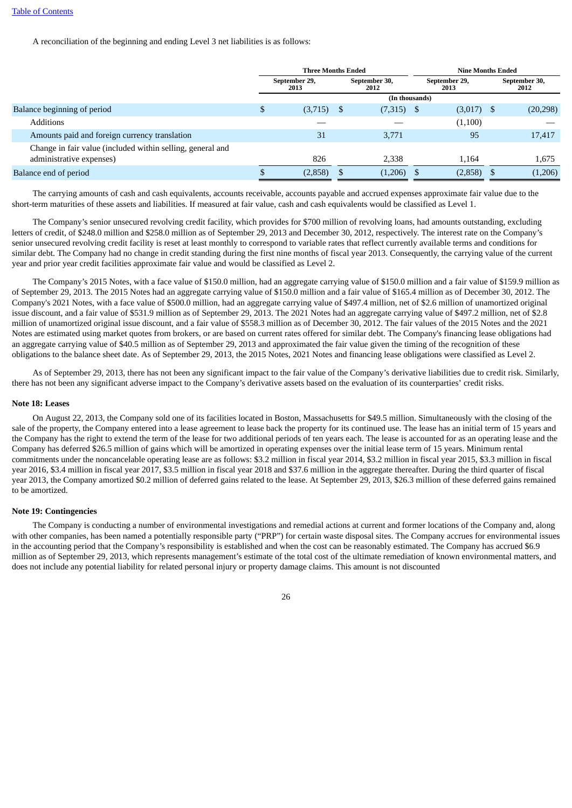A reconciliation of the beginning and ending Level 3 net liabilities is as follows:

|                                                            |                       | <b>Three Months Ended</b> |                       |                | <b>Nine Months Ended</b> |              |  |                       |
|------------------------------------------------------------|-----------------------|---------------------------|-----------------------|----------------|--------------------------|--------------|--|-----------------------|
|                                                            | September 29,<br>2013 |                           | September 30,<br>2012 |                | September 29,<br>2013    |              |  | September 30,<br>2012 |
|                                                            |                       |                           |                       | (In thousands) |                          |              |  |                       |
| Balance beginning of period                                | \$                    | $(3,715)$ \$              |                       | (7,315)        | - \$                     | $(3,017)$ \$ |  | (20, 298)             |
| <b>Additions</b>                                           |                       |                           |                       |                |                          | (1,100)      |  |                       |
| Amounts paid and foreign currency translation              |                       | 31                        |                       | 3.771          |                          | 95           |  | 17,417                |
| Change in fair value (included within selling, general and |                       |                           |                       |                |                          |              |  |                       |
| administrative expenses)                                   |                       | 826                       |                       | 2,338          |                          | 1,164        |  | 1,675                 |
| Balance end of period                                      |                       | (2,858)                   |                       | (1,206)        | -S                       | (2,858)      |  | (1,206)               |

The carrying amounts of cash and cash equivalents, accounts receivable, accounts payable and accrued expenses approximate fair value due to the short-term maturities of these assets and liabilities. If measured at fair value, cash and cash equivalents would be classified as Level 1.

The Company's senior unsecured revolving credit facility, which provides for \$700 million of revolving loans, had amounts outstanding, excluding letters of credit, of \$248.0 million and \$258.0 million as of September 29, 2013 and December 30, 2012, respectively. The interest rate on the Company's senior unsecured revolving credit facility is reset at least monthly to correspond to variable rates that reflect currently available terms and conditions for similar debt. The Company had no change in credit standing during the first nine months of fiscal year 2013. Consequently, the carrying value of the current year and prior year credit facilities approximate fair value and would be classified as Level 2.

The Company's 2015 Notes, with a face value of \$150.0 million, had an aggregate carrying value of \$150.0 million and a fair value of \$159.9 million as of September 29, 2013. The 2015 Notes had an aggregate carrying value of \$150.0 million and a fair value of \$165.4 million as of December 30, 2012. The Company's 2021 Notes, with a face value of \$500.0 million, had an aggregate carrying value of \$497.4 million, net of \$2.6 million of unamortized original issue discount, and a fair value of \$531.9 million as of September 29, 2013. The 2021 Notes had an aggregate carrying value of \$497.2 million, net of \$2.8 million of unamortized original issue discount, and a fair value of \$558.3 million as of December 30, 2012. The fair values of the 2015 Notes and the 2021 Notes are estimated using market quotes from brokers, or are based on current rates offered for similar debt. The Company's financing lease obligations had an aggregate carrying value of \$40.5 million as of September 29, 2013 and approximated the fair value given the timing of the recognition of these obligations to the balance sheet date. As of September 29, 2013, the 2015 Notes, 2021 Notes and financing lease obligations were classified as Level 2.

As of September 29, 2013, there has not been any significant impact to the fair value of the Company's derivative liabilities due to credit risk. Similarly, there has not been any significant adverse impact to the Company's derivative assets based on the evaluation of its counterparties' credit risks.

# **Note 18: Leases**

On August 22, 2013, the Company sold one of its facilities located in Boston, Massachusetts for \$49.5 million. Simultaneously with the closing of the sale of the property, the Company entered into a lease agreement to lease back the property for its continued use. The lease has an initial term of 15 years and the Company has the right to extend the term of the lease for two additional periods of ten years each. The lease is accounted for as an operating lease and the Company has deferred \$26.5 million of gains which will be amortized in operating expenses over the initial lease term of 15 years. Minimum rental commitments under the noncancelable operating lease are as follows: \$3.2 million in fiscal year 2014, \$3.2 million in fiscal year 2015, \$3.3 million in fiscal year 2016, \$3.4 million in fiscal year 2017, \$3.5 million in fiscal year 2018 and \$37.6 million in the aggregate thereafter. During the third quarter of fiscal year 2013, the Company amortized \$0.2 million of deferred gains related to the lease. At September 29, 2013, \$26.3 million of these deferred gains remained to be amortized.

#### **Note 19: Contingencies**

The Company is conducting a number of environmental investigations and remedial actions at current and former locations of the Company and, along with other companies, has been named a potentially responsible party ("PRP") for certain waste disposal sites. The Company accrues for environmental issues in the accounting period that the Company's responsibility is established and when the cost can be reasonably estimated. The Company has accrued \$6.9 million as of September 29, 2013, which represents management's estimate of the total cost of the ultimate remediation of known environmental matters, and does not include any potential liability for related personal injury or property damage claims. This amount is not discounted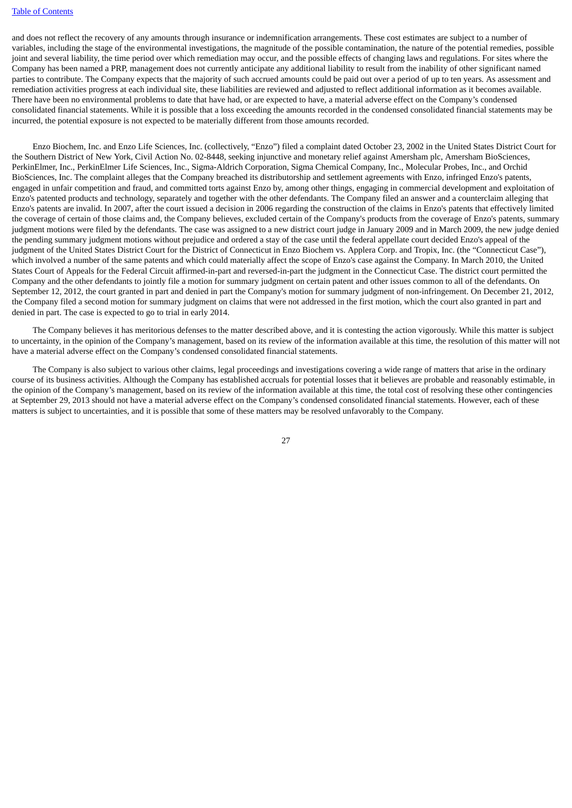and does not reflect the recovery of any amounts through insurance or indemnification arrangements. These cost estimates are subject to a number of variables, including the stage of the environmental investigations, the magnitude of the possible contamination, the nature of the potential remedies, possible joint and several liability, the time period over which remediation may occur, and the possible effects of changing laws and regulations. For sites where the Company has been named a PRP, management does not currently anticipate any additional liability to result from the inability of other significant named parties to contribute. The Company expects that the majority of such accrued amounts could be paid out over a period of up to ten years. As assessment and remediation activities progress at each individual site, these liabilities are reviewed and adjusted to reflect additional information as it becomes available. There have been no environmental problems to date that have had, or are expected to have, a material adverse effect on the Company's condensed consolidated financial statements. While it is possible that a loss exceeding the amounts recorded in the condensed consolidated financial statements may be incurred, the potential exposure is not expected to be materially different from those amounts recorded.

Enzo Biochem, Inc. and Enzo Life Sciences, Inc. (collectively, "Enzo") filed a complaint dated October 23, 2002 in the United States District Court for the Southern District of New York, Civil Action No. 02-8448, seeking injunctive and monetary relief against Amersham plc, Amersham BioSciences, PerkinElmer, Inc., PerkinElmer Life Sciences, Inc., Sigma-Aldrich Corporation, Sigma Chemical Company, Inc., Molecular Probes, Inc., and Orchid BioSciences, Inc. The complaint alleges that the Company breached its distributorship and settlement agreements with Enzo, infringed Enzo's patents, engaged in unfair competition and fraud, and committed torts against Enzo by, among other things, engaging in commercial development and exploitation of Enzo's patented products and technology, separately and together with the other defendants. The Company filed an answer and a counterclaim alleging that Enzo's patents are invalid. In 2007, after the court issued a decision in 2006 regarding the construction of the claims in Enzo's patents that effectively limited the coverage of certain of those claims and, the Company believes, excluded certain of the Company's products from the coverage of Enzo's patents, summary judgment motions were filed by the defendants. The case was assigned to a new district court judge in January 2009 and in March 2009, the new judge denied the pending summary judgment motions without prejudice and ordered a stay of the case until the federal appellate court decided Enzo's appeal of the judgment of the United States District Court for the District of Connecticut in Enzo Biochem vs. Applera Corp. and Tropix, Inc. (the "Connecticut Case"), which involved a number of the same patents and which could materially affect the scope of Enzo's case against the Company. In March 2010, the United States Court of Appeals for the Federal Circuit affirmed-in-part and reversed-in-part the judgment in the Connecticut Case. The district court permitted the Company and the other defendants to jointly file a motion for summary judgment on certain patent and other issues common to all of the defendants. On September 12, 2012, the court granted in part and denied in part the Company's motion for summary judgment of non-infringement. On December 21, 2012, the Company filed a second motion for summary judgment on claims that were not addressed in the first motion, which the court also granted in part and denied in part. The case is expected to go to trial in early 2014.

The Company believes it has meritorious defenses to the matter described above, and it is contesting the action vigorously. While this matter is subject to uncertainty, in the opinion of the Company's management, based on its review of the information available at this time, the resolution of this matter will not have a material adverse effect on the Company's condensed consolidated financial statements.

<span id="page-26-0"></span>The Company is also subject to various other claims, legal proceedings and investigations covering a wide range of matters that arise in the ordinary course of its business activities. Although the Company has established accruals for potential losses that it believes are probable and reasonably estimable, in the opinion of the Company's management, based on its review of the information available at this time, the total cost of resolving these other contingencies at September 29, 2013 should not have a material adverse effect on the Company's condensed consolidated financial statements. However, each of these matters is subject to uncertainties, and it is possible that some of these matters may be resolved unfavorably to the Company.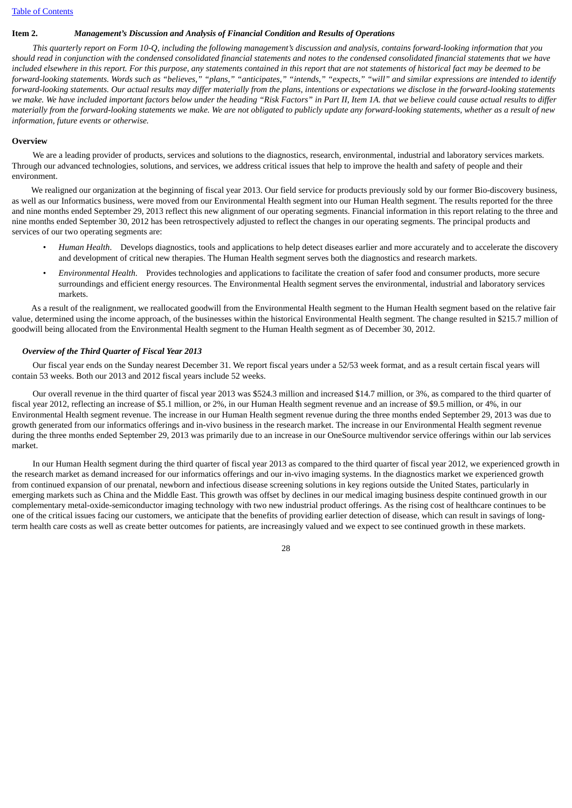# **Item 2.** *Management's Discussion and Analysis of Financial Condition and Results of Operations*

This quarterly report on Form 10-Q, including the following management's discussion and analysis, contains forward-looking information that you should read in conjunction with the condensed consolidated financial statements and notes to the condensed consolidated financial statements that we have included elsewhere in this report. For this purpose, any statements contained in this report that are not statements of historical fact may be deemed to be forward-looking statements. Words such as "believes," "plans," "anticipates," "intends," "expects," "will" and similar expressions are intended to identify forward-looking statements. Our actual results may differ materially from the plans, intentions or expectations we disclose in the forward-looking statements we make. We have included important factors below under the heading "Risk Factors" in Part II, Item 1A. that we believe could cause actual results to differ materially from the forward-looking statements we make. We are not obligated to publicly update any forward-looking statements, whether as a result of new *information, future events or otherwise.*

# <span id="page-27-0"></span>**Overview**

We are a leading provider of products, services and solutions to the diagnostics, research, environmental, industrial and laboratory services markets. Through our advanced technologies, solutions, and services, we address critical issues that help to improve the health and safety of people and their environment.

We realigned our organization at the beginning of fiscal year 2013. Our field service for products previously sold by our former Bio-discovery business, as well as our Informatics business, were moved from our Environmental Health segment into our Human Health segment. The results reported for the three and nine months ended September 29, 2013 reflect this new alignment of our operating segments. Financial information in this report relating to the three and nine months ended September 30, 2012 has been retrospectively adjusted to reflect the changes in our operating segments. The principal products and services of our two operating segments are:

- *Human Health*. Develops diagnostics, tools and applications to help detect diseases earlier and more accurately and to accelerate the discovery and development of critical new therapies. The Human Health segment serves both the diagnostics and research markets.
- *Environmental Health*. Provides technologies and applications to facilitate the creation of safer food and consumer products, more secure surroundings and efficient energy resources. The Environmental Health segment serves the environmental, industrial and laboratory services markets.

As a result of the realignment, we reallocated goodwill from the Environmental Health segment to the Human Health segment based on the relative fair value, determined using the income approach, of the businesses within the historical Environmental Health segment. The change resulted in \$215.7 million of goodwill being allocated from the Environmental Health segment to the Human Health segment as of December 30, 2012.

# *Overview of the Third Quarter of Fiscal Year 2013*

Our fiscal year ends on the Sunday nearest December 31. We report fiscal years under a 52/53 week format, and as a result certain fiscal years will contain 53 weeks. Both our 2013 and 2012 fiscal years include 52 weeks.

Our overall revenue in the third quarter of fiscal year 2013 was \$524.3 million and increased \$14.7 million, or 3%, as compared to the third quarter of fiscal year 2012, reflecting an increase of \$5.1 million, or 2%, in our Human Health segment revenue and an increase of \$9.5 million, or 4%, in our Environmental Health segment revenue. The increase in our Human Health segment revenue during the three months ended September 29, 2013 was due to growth generated from our informatics offerings and in-vivo business in the research market. The increase in our Environmental Health segment revenue during the three months ended September 29, 2013 was primarily due to an increase in our OneSource multivendor service offerings within our lab services market.

In our Human Health segment during the third quarter of fiscal year 2013 as compared to the third quarter of fiscal year 2012, we experienced growth in the research market as demand increased for our informatics offerings and our in-vivo imaging systems. In the diagnostics market we experienced growth from continued expansion of our prenatal, newborn and infectious disease screening solutions in key regions outside the United States, particularly in emerging markets such as China and the Middle East. This growth was offset by declines in our medical imaging business despite continued growth in our complementary metal-oxide-semiconductor imaging technology with two new industrial product offerings. As the rising cost of healthcare continues to be one of the critical issues facing our customers, we anticipate that the benefits of providing earlier detection of disease, which can result in savings of longterm health care costs as well as create better outcomes for patients, are increasingly valued and we expect to see continued growth in these markets.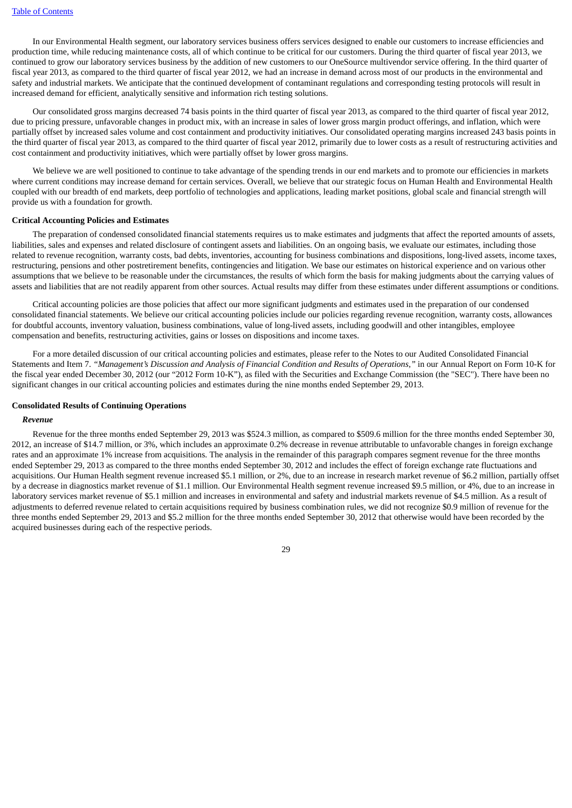In our Environmental Health segment, our laboratory services business offers services designed to enable our customers to increase efficiencies and production time, while reducing maintenance costs, all of which continue to be critical for our customers. During the third quarter of fiscal year 2013, we continued to grow our laboratory services business by the addition of new customers to our OneSource multivendor service offering. In the third quarter of fiscal year 2013, as compared to the third quarter of fiscal year 2012, we had an increase in demand across most of our products in the environmental and safety and industrial markets. We anticipate that the continued development of contaminant regulations and corresponding testing protocols will result in increased demand for efficient, analytically sensitive and information rich testing solutions.

Our consolidated gross margins decreased 74 basis points in the third quarter of fiscal year 2013, as compared to the third quarter of fiscal year 2012, due to pricing pressure, unfavorable changes in product mix, with an increase in sales of lower gross margin product offerings, and inflation, which were partially offset by increased sales volume and cost containment and productivity initiatives. Our consolidated operating margins increased 243 basis points in the third quarter of fiscal year 2013, as compared to the third quarter of fiscal year 2012, primarily due to lower costs as a result of restructuring activities and cost containment and productivity initiatives, which were partially offset by lower gross margins.

We believe we are well positioned to continue to take advantage of the spending trends in our end markets and to promote our efficiencies in markets where current conditions may increase demand for certain services. Overall, we believe that our strategic focus on Human Health and Environmental Health coupled with our breadth of end markets, deep portfolio of technologies and applications, leading market positions, global scale and financial strength will provide us with a foundation for growth.

#### <span id="page-28-0"></span>**Critical Accounting Policies and Estimates**

The preparation of condensed consolidated financial statements requires us to make estimates and judgments that affect the reported amounts of assets, liabilities, sales and expenses and related disclosure of contingent assets and liabilities. On an ongoing basis, we evaluate our estimates, including those related to revenue recognition, warranty costs, bad debts, inventories, accounting for business combinations and dispositions, long-lived assets, income taxes, restructuring, pensions and other postretirement benefits, contingencies and litigation. We base our estimates on historical experience and on various other assumptions that we believe to be reasonable under the circumstances, the results of which form the basis for making judgments about the carrying values of assets and liabilities that are not readily apparent from other sources. Actual results may differ from these estimates under different assumptions or conditions.

Critical accounting policies are those policies that affect our more significant judgments and estimates used in the preparation of our condensed consolidated financial statements. We believe our critical accounting policies include our policies regarding revenue recognition, warranty costs, allowances for doubtful accounts, inventory valuation, business combinations, value of long-lived assets, including goodwill and other intangibles, employee compensation and benefits, restructuring activities, gains or losses on dispositions and income taxes.

For a more detailed discussion of our critical accounting policies and estimates, please refer to the Notes to our Audited Consolidated Financial Statements and Item 7. "Management's Discussion and Analysis of Financial Condition and Results of Operations," in our Annual Report on Form 10-K for the fiscal year ended December 30, 2012 (our "2012 Form 10-K"), as filed with the Securities and Exchange Commission (the "SEC"). There have been no significant changes in our critical accounting policies and estimates during the nine months ended September 29, 2013.

#### <span id="page-28-1"></span>**Consolidated Results of Continuing Operations**

#### *Revenue*

Revenue for the three months ended September 29, 2013 was \$524.3 million, as compared to \$509.6 million for the three months ended September 30, 2012, an increase of \$14.7 million, or 3%, which includes an approximate 0.2% decrease in revenue attributable to unfavorable changes in foreign exchange rates and an approximate 1% increase from acquisitions. The analysis in the remainder of this paragraph compares segment revenue for the three months ended September 29, 2013 as compared to the three months ended September 30, 2012 and includes the effect of foreign exchange rate fluctuations and acquisitions. Our Human Health segment revenue increased \$5.1 million, or 2%, due to an increase in research market revenue of \$6.2 million, partially offset by a decrease in diagnostics market revenue of \$1.1 million. Our Environmental Health segment revenue increased \$9.5 million, or 4%, due to an increase in laboratory services market revenue of \$5.1 million and increases in environmental and safety and industrial markets revenue of \$4.5 million. As a result of adjustments to deferred revenue related to certain acquisitions required by business combination rules, we did not recognize \$0.9 million of revenue for the three months ended September 29, 2013 and \$5.2 million for the three months ended September 30, 2012 that otherwise would have been recorded by the acquired businesses during each of the respective periods.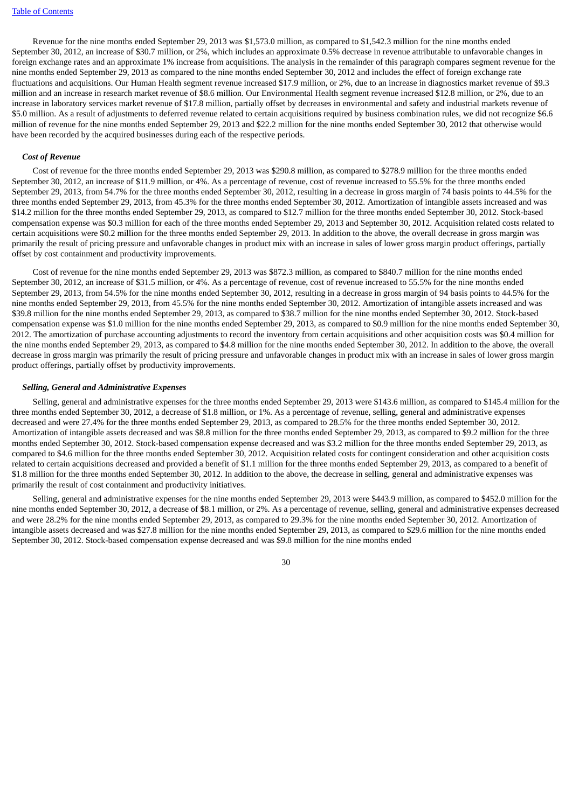Revenue for the nine months ended September 29, 2013 was \$1,573.0 million, as compared to \$1,542.3 million for the nine months ended September 30, 2012, an increase of \$30.7 million, or 2%, which includes an approximate 0.5% decrease in revenue attributable to unfavorable changes in foreign exchange rates and an approximate 1% increase from acquisitions. The analysis in the remainder of this paragraph compares segment revenue for the nine months ended September 29, 2013 as compared to the nine months ended September 30, 2012 and includes the effect of foreign exchange rate fluctuations and acquisitions. Our Human Health segment revenue increased \$17.9 million, or 2%, due to an increase in diagnostics market revenue of \$9.3 million and an increase in research market revenue of \$8.6 million. Our Environmental Health segment revenue increased \$12.8 million, or 2%, due to an increase in laboratory services market revenue of \$17.8 million, partially offset by decreases in environmental and safety and industrial markets revenue of \$5.0 million. As a result of adjustments to deferred revenue related to certain acquisitions required by business combination rules, we did not recognize \$6.6 million of revenue for the nine months ended September 29, 2013 and \$22.2 million for the nine months ended September 30, 2012 that otherwise would have been recorded by the acquired businesses during each of the respective periods.

# *Cost of Revenue*

Cost of revenue for the three months ended September 29, 2013 was \$290.8 million, as compared to \$278.9 million for the three months ended September 30, 2012, an increase of \$11.9 million, or 4%. As a percentage of revenue, cost of revenue increased to 55.5% for the three months ended September 29, 2013, from 54.7% for the three months ended September 30, 2012, resulting in a decrease in gross margin of 74 basis points to 44.5% for the three months ended September 29, 2013, from 45.3% for the three months ended September 30, 2012. Amortization of intangible assets increased and was \$14.2 million for the three months ended September 29, 2013, as compared to \$12.7 million for the three months ended September 30, 2012. Stock-based compensation expense was \$0.3 million for each of the three months ended September 29, 2013 and September 30, 2012. Acquisition related costs related to certain acquisitions were \$0.2 million for the three months ended September 29, 2013. In addition to the above, the overall decrease in gross margin was primarily the result of pricing pressure and unfavorable changes in product mix with an increase in sales of lower gross margin product offerings, partially offset by cost containment and productivity improvements.

Cost of revenue for the nine months ended September 29, 2013 was \$872.3 million, as compared to \$840.7 million for the nine months ended September 30, 2012, an increase of \$31.5 million, or 4%. As a percentage of revenue, cost of revenue increased to 55.5% for the nine months ended September 29, 2013, from 54.5% for the nine months ended September 30, 2012, resulting in a decrease in gross margin of 94 basis points to 44.5% for the nine months ended September 29, 2013, from 45.5% for the nine months ended September 30, 2012. Amortization of intangible assets increased and was \$39.8 million for the nine months ended September 29, 2013, as compared to \$38.7 million for the nine months ended September 30, 2012. Stock-based compensation expense was \$1.0 million for the nine months ended September 29, 2013, as compared to \$0.9 million for the nine months ended September 30, 2012. The amortization of purchase accounting adjustments to record the inventory from certain acquisitions and other acquisition costs was \$0.4 million for the nine months ended September 29, 2013, as compared to \$4.8 million for the nine months ended September 30, 2012. In addition to the above, the overall decrease in gross margin was primarily the result of pricing pressure and unfavorable changes in product mix with an increase in sales of lower gross margin product offerings, partially offset by productivity improvements.

# *Selling, General and Administrative Expenses*

Selling, general and administrative expenses for the three months ended September 29, 2013 were \$143.6 million, as compared to \$145.4 million for the three months ended September 30, 2012, a decrease of \$1.8 million, or 1%. As a percentage of revenue, selling, general and administrative expenses decreased and were 27.4% for the three months ended September 29, 2013, as compared to 28.5% for the three months ended September 30, 2012. Amortization of intangible assets decreased and was \$8.8 million for the three months ended September 29, 2013, as compared to \$9.2 million for the three months ended September 30, 2012. Stock-based compensation expense decreased and was \$3.2 million for the three months ended September 29, 2013, as compared to \$4.6 million for the three months ended September 30, 2012. Acquisition related costs for contingent consideration and other acquisition costs related to certain acquisitions decreased and provided a benefit of \$1.1 million for the three months ended September 29, 2013, as compared to a benefit of \$1.8 million for the three months ended September 30, 2012. In addition to the above, the decrease in selling, general and administrative expenses was primarily the result of cost containment and productivity initiatives.

Selling, general and administrative expenses for the nine months ended September 29, 2013 were \$443.9 million, as compared to \$452.0 million for the nine months ended September 30, 2012, a decrease of \$8.1 million, or 2%. As a percentage of revenue, selling, general and administrative expenses decreased and were 28.2% for the nine months ended September 29, 2013, as compared to 29.3% for the nine months ended September 30, 2012. Amortization of intangible assets decreased and was \$27.8 million for the nine months ended September 29, 2013, as compared to \$29.6 million for the nine months ended September 30, 2012. Stock-based compensation expense decreased and was \$9.8 million for the nine months ended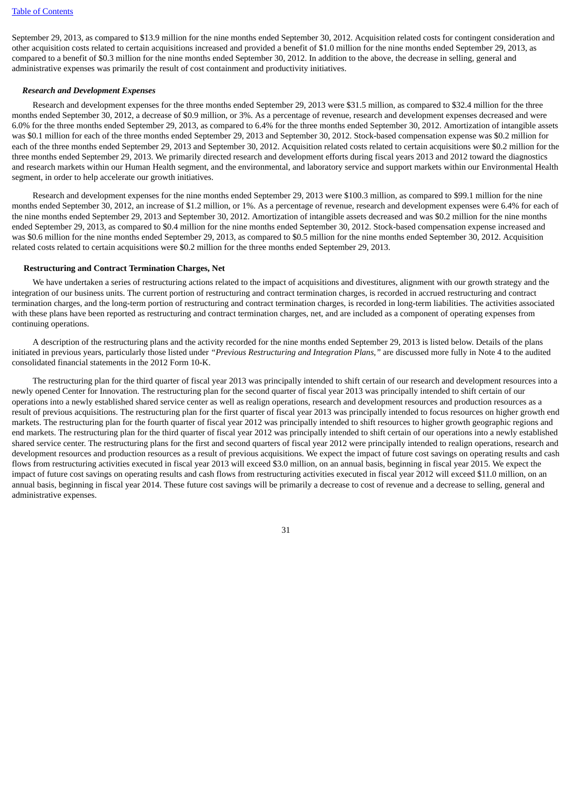September 29, 2013, as compared to \$13.9 million for the nine months ended September 30, 2012. Acquisition related costs for contingent consideration and other acquisition costs related to certain acquisitions increased and provided a benefit of \$1.0 million for the nine months ended September 29, 2013, as compared to a benefit of \$0.3 million for the nine months ended September 30, 2012. In addition to the above, the decrease in selling, general and administrative expenses was primarily the result of cost containment and productivity initiatives.

## *Research and Development Expenses*

Research and development expenses for the three months ended September 29, 2013 were \$31.5 million, as compared to \$32.4 million for the three months ended September 30, 2012, a decrease of \$0.9 million, or 3%. As a percentage of revenue, research and development expenses decreased and were 6.0% for the three months ended September 29, 2013, as compared to 6.4% for the three months ended September 30, 2012. Amortization of intangible assets was \$0.1 million for each of the three months ended September 29, 2013 and September 30, 2012. Stock-based compensation expense was \$0.2 million for each of the three months ended September 29, 2013 and September 30, 2012. Acquisition related costs related to certain acquisitions were \$0.2 million for the three months ended September 29, 2013. We primarily directed research and development efforts during fiscal years 2013 and 2012 toward the diagnostics and research markets within our Human Health segment, and the environmental, and laboratory service and support markets within our Environmental Health segment, in order to help accelerate our growth initiatives.

Research and development expenses for the nine months ended September 29, 2013 were \$100.3 million, as compared to \$99.1 million for the nine months ended September 30, 2012, an increase of \$1.2 million, or 1%. As a percentage of revenue, research and development expenses were 6.4% for each of the nine months ended September 29, 2013 and September 30, 2012. Amortization of intangible assets decreased and was \$0.2 million for the nine months ended September 29, 2013, as compared to \$0.4 million for the nine months ended September 30, 2012. Stock-based compensation expense increased and was \$0.6 million for the nine months ended September 29, 2013, as compared to \$0.5 million for the nine months ended September 30, 2012. Acquisition related costs related to certain acquisitions were \$0.2 million for the three months ended September 29, 2013.

#### **Restructuring and Contract Termination Charges, Net**

We have undertaken a series of restructuring actions related to the impact of acquisitions and divestitures, alignment with our growth strategy and the integration of our business units. The current portion of restructuring and contract termination charges, is recorded in accrued restructuring and contract termination charges, and the long-term portion of restructuring and contract termination charges, is recorded in long-term liabilities. The activities associated with these plans have been reported as restructuring and contract termination charges, net, and are included as a component of operating expenses from continuing operations.

A description of the restructuring plans and the activity recorded for the nine months ended September 29, 2013 is listed below. Details of the plans initiated in previous years, particularly those listed under *"Previous Restructuring and Integration Plans,"* are discussed more fully in Note 4 to the audited consolidated financial statements in the 2012 Form 10-K.

The restructuring plan for the third quarter of fiscal year 2013 was principally intended to shift certain of our research and development resources into a newly opened Center for Innovation. The restructuring plan for the second quarter of fiscal year 2013 was principally intended to shift certain of our operations into a newly established shared service center as well as realign operations, research and development resources and production resources as a result of previous acquisitions. The restructuring plan for the first quarter of fiscal year 2013 was principally intended to focus resources on higher growth end markets. The restructuring plan for the fourth quarter of fiscal year 2012 was principally intended to shift resources to higher growth geographic regions and end markets. The restructuring plan for the third quarter of fiscal year 2012 was principally intended to shift certain of our operations into a newly established shared service center. The restructuring plans for the first and second quarters of fiscal year 2012 were principally intended to realign operations, research and development resources and production resources as a result of previous acquisitions. We expect the impact of future cost savings on operating results and cash flows from restructuring activities executed in fiscal year 2013 will exceed \$3.0 million, on an annual basis, beginning in fiscal year 2015. We expect the impact of future cost savings on operating results and cash flows from restructuring activities executed in fiscal year 2012 will exceed \$11.0 million, on an annual basis, beginning in fiscal year 2014. These future cost savings will be primarily a decrease to cost of revenue and a decrease to selling, general and administrative expenses.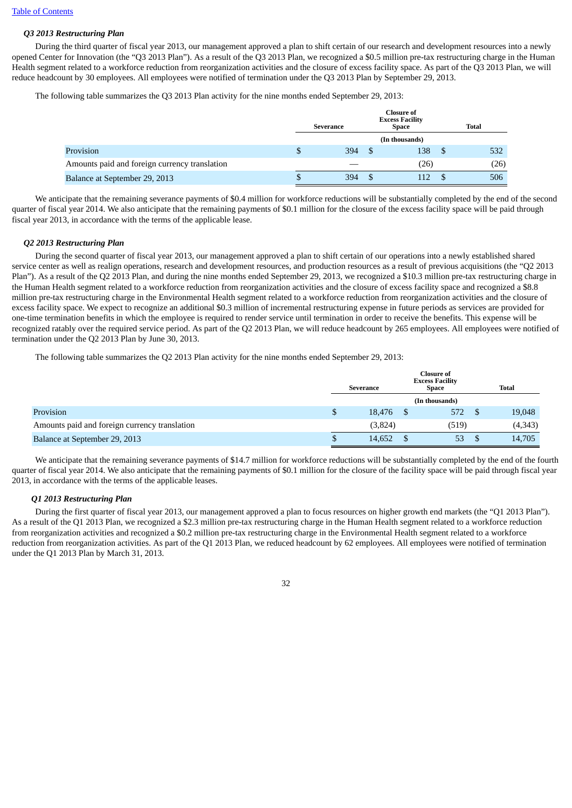# *Q3 2013 Restructuring Plan*

During the third quarter of fiscal year 2013, our management approved a plan to shift certain of our research and development resources into a newly opened Center for Innovation (the "Q3 2013 Plan"). As a result of the Q3 2013 Plan, we recognized a \$0.5 million pre-tax restructuring charge in the Human Health segment related to a workforce reduction from reorganization activities and the closure of excess facility space. As part of the Q3 2013 Plan, we will reduce headcount by 30 employees. All employees were notified of termination under the Q3 2013 Plan by September 29, 2013.

The following table summarizes the Q3 2013 Plan activity for the nine months ended September 29, 2013:

|                                               | Severance | <b>Closure of</b><br><b>Excess Facility</b><br>Space | <b>Total</b> |
|-----------------------------------------------|-----------|------------------------------------------------------|--------------|
|                                               |           | (In thousands)                                       |              |
| Provision                                     | 394       | 138                                                  | 532          |
| Amounts paid and foreign currency translation |           | (26)                                                 | (26)         |
| Balance at September 29, 2013                 | 394       | 112                                                  | 506          |

We anticipate that the remaining severance payments of \$0.4 million for workforce reductions will be substantially completed by the end of the second quarter of fiscal year 2014. We also anticipate that the remaining payments of \$0.1 million for the closure of the excess facility space will be paid through fiscal year 2013, in accordance with the terms of the applicable lease.

# *Q2 2013 Restructuring Plan*

During the second quarter of fiscal year 2013, our management approved a plan to shift certain of our operations into a newly established shared service center as well as realign operations, research and development resources, and production resources as a result of previous acquisitions (the "Q2 2013 Plan"). As a result of the Q2 2013 Plan, and during the nine months ended September 29, 2013, we recognized a \$10.3 million pre-tax restructuring charge in the Human Health segment related to a workforce reduction from reorganization activities and the closure of excess facility space and recognized a \$8.8 million pre-tax restructuring charge in the Environmental Health segment related to a workforce reduction from reorganization activities and the closure of excess facility space. We expect to recognize an additional \$0.3 million of incremental restructuring expense in future periods as services are provided for one-time termination benefits in which the employee is required to render service until termination in order to receive the benefits. This expense will be recognized ratably over the required service period. As part of the Q2 2013 Plan, we will reduce headcount by 265 employees. All employees were notified of termination under the Q2 2013 Plan by June 30, 2013.

The following table summarizes the Q2 2013 Plan activity for the nine months ended September 29, 2013:

|                                               | <b>Closure of</b><br><b>Excess Facility</b><br>Severance<br>Space |  |                |   | Total   |  |
|-----------------------------------------------|-------------------------------------------------------------------|--|----------------|---|---------|--|
|                                               |                                                                   |  | (In thousands) |   |         |  |
| Provision                                     | \$<br>18,476                                                      |  | 572            |   | 19,048  |  |
| Amounts paid and foreign currency translation | (3,824)                                                           |  | (519)          |   | (4,343) |  |
| Balance at September 29, 2013                 | \$<br>14,652                                                      |  | 53             | ъ | 14,705  |  |

We anticipate that the remaining severance payments of \$14.7 million for workforce reductions will be substantially completed by the end of the fourth quarter of fiscal year 2014. We also anticipate that the remaining payments of \$0.1 million for the closure of the facility space will be paid through fiscal year 2013, in accordance with the terms of the applicable leases.

# *Q1 2013 Restructuring Plan*

During the first quarter of fiscal year 2013, our management approved a plan to focus resources on higher growth end markets (the "Q1 2013 Plan"). As a result of the Q1 2013 Plan, we recognized a \$2.3 million pre-tax restructuring charge in the Human Health segment related to a workforce reduction from reorganization activities and recognized a \$0.2 million pre-tax restructuring charge in the Environmental Health segment related to a workforce reduction from reorganization activities. As part of the Q1 2013 Plan, we reduced headcount by 62 employees. All employees were notified of termination under the Q1 2013 Plan by March 31, 2013.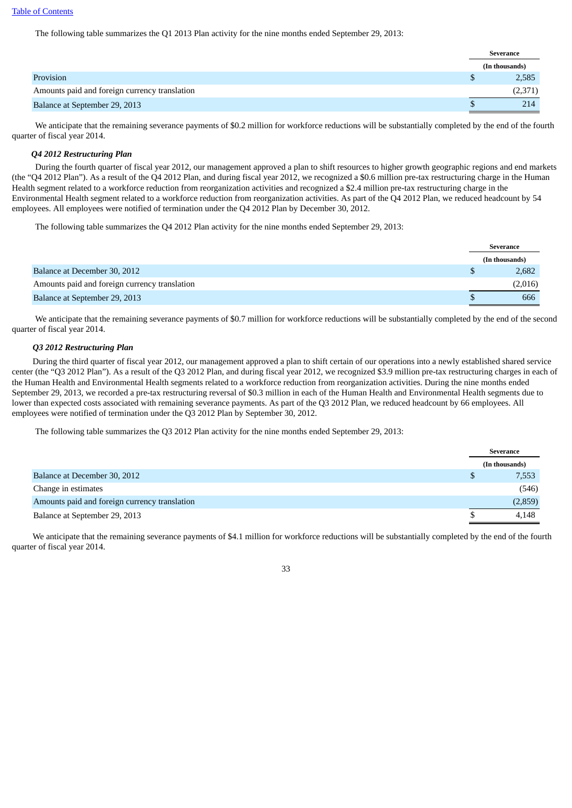The following table summarizes the Q1 2013 Plan activity for the nine months ended September 29, 2013:

|                                               | Severance      |
|-----------------------------------------------|----------------|
|                                               | (In thousands) |
| Provision                                     | 2,585          |
| Amounts paid and foreign currency translation | (2,371)        |
| Balance at September 29, 2013                 | 214            |

We anticipate that the remaining severance payments of \$0.2 million for workforce reductions will be substantially completed by the end of the fourth quarter of fiscal year 2014.

# *Q4 2012 Restructuring Plan*

During the fourth quarter of fiscal year 2012, our management approved a plan to shift resources to higher growth geographic regions and end markets (the "Q4 2012 Plan"). As a result of the Q4 2012 Plan, and during fiscal year 2012, we recognized a \$0.6 million pre-tax restructuring charge in the Human Health segment related to a workforce reduction from reorganization activities and recognized a \$2.4 million pre-tax restructuring charge in the Environmental Health segment related to a workforce reduction from reorganization activities. As part of the Q4 2012 Plan, we reduced headcount by 54 employees. All employees were notified of termination under the Q4 2012 Plan by December 30, 2012.

The following table summarizes the Q4 2012 Plan activity for the nine months ended September 29, 2013:

|                                               | Severance      |
|-----------------------------------------------|----------------|
|                                               | (In thousands) |
| Balance at December 30, 2012                  | 2,682          |
| Amounts paid and foreign currency translation | (2,016)        |
| Balance at September 29, 2013                 | 666            |

We anticipate that the remaining severance payments of \$0.7 million for workforce reductions will be substantially completed by the end of the second quarter of fiscal year 2014.

# *Q3 2012 Restructuring Plan*

During the third quarter of fiscal year 2012, our management approved a plan to shift certain of our operations into a newly established shared service center (the "Q3 2012 Plan"). As a result of the Q3 2012 Plan, and during fiscal year 2012, we recognized \$3.9 million pre-tax restructuring charges in each of the Human Health and Environmental Health segments related to a workforce reduction from reorganization activities. During the nine months ended September 29, 2013, we recorded a pre-tax restructuring reversal of \$0.3 million in each of the Human Health and Environmental Health segments due to lower than expected costs associated with remaining severance payments. As part of the Q3 2012 Plan, we reduced headcount by 66 employees. All employees were notified of termination under the Q3 2012 Plan by September 30, 2012.

The following table summarizes the Q3 2012 Plan activity for the nine months ended September 29, 2013:

|                                               |    | Severance      |
|-----------------------------------------------|----|----------------|
|                                               |    | (In thousands) |
| Balance at December 30, 2012                  | ۰D | 7,553          |
| Change in estimates                           |    | (546)          |
| Amounts paid and foreign currency translation |    | (2,859)        |
| Balance at September 29, 2013                 |    | 4,148          |

We anticipate that the remaining severance payments of \$4.1 million for workforce reductions will be substantially completed by the end of the fourth quarter of fiscal year 2014.

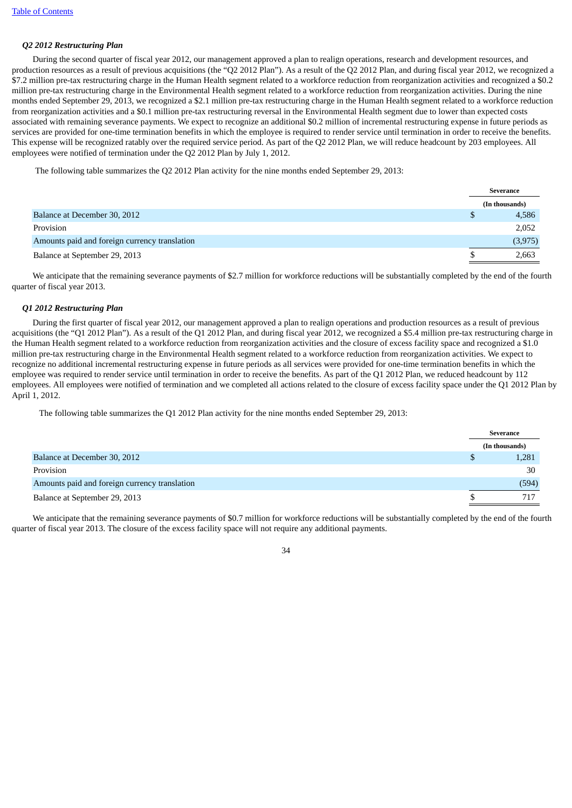# *Q2 2012 Restructuring Plan*

During the second quarter of fiscal year 2012, our management approved a plan to realign operations, research and development resources, and production resources as a result of previous acquisitions (the "Q2 2012 Plan"). As a result of the Q2 2012 Plan, and during fiscal year 2012, we recognized a \$7.2 million pre-tax restructuring charge in the Human Health segment related to a workforce reduction from reorganization activities and recognized a \$0.2 million pre-tax restructuring charge in the Environmental Health segment related to a workforce reduction from reorganization activities. During the nine months ended September 29, 2013, we recognized a \$2.1 million pre-tax restructuring charge in the Human Health segment related to a workforce reduction from reorganization activities and a \$0.1 million pre-tax restructuring reversal in the Environmental Health segment due to lower than expected costs associated with remaining severance payments. We expect to recognize an additional \$0.2 million of incremental restructuring expense in future periods as services are provided for one-time termination benefits in which the employee is required to render service until termination in order to receive the benefits. This expense will be recognized ratably over the required service period. As part of the Q2 2012 Plan, we will reduce headcount by 203 employees. All employees were notified of termination under the Q2 2012 Plan by July 1, 2012.

The following table summarizes the Q2 2012 Plan activity for the nine months ended September 29, 2013:

|                                               |     | Severance      |  |
|-----------------------------------------------|-----|----------------|--|
|                                               |     | (In thousands) |  |
| Balance at December 30, 2012                  | C   | 4,586          |  |
| Provision                                     |     | 2,052          |  |
| Amounts paid and foreign currency translation |     | (3, 975)       |  |
| Balance at September 29, 2013                 | ٦b. | 2,663          |  |

We anticipate that the remaining severance payments of \$2.7 million for workforce reductions will be substantially completed by the end of the fourth quarter of fiscal year 2013.

# *Q1 2012 Restructuring Plan*

During the first quarter of fiscal year 2012, our management approved a plan to realign operations and production resources as a result of previous acquisitions (the "Q1 2012 Plan"). As a result of the Q1 2012 Plan, and during fiscal year 2012, we recognized a \$5.4 million pre-tax restructuring charge in the Human Health segment related to a workforce reduction from reorganization activities and the closure of excess facility space and recognized a \$1.0 million pre-tax restructuring charge in the Environmental Health segment related to a workforce reduction from reorganization activities. We expect to recognize no additional incremental restructuring expense in future periods as all services were provided for one-time termination benefits in which the employee was required to render service until termination in order to receive the benefits. As part of the Q1 2012 Plan, we reduced headcount by 112 employees. All employees were notified of termination and we completed all actions related to the closure of excess facility space under the Q1 2012 Plan by April 1, 2012.

The following table summarizes the Q1 2012 Plan activity for the nine months ended September 29, 2013:

|                                               | Severance      |
|-----------------------------------------------|----------------|
|                                               | (In thousands) |
| Balance at December 30, 2012                  | \$<br>1,281    |
| Provision                                     | 30             |
| Amounts paid and foreign currency translation | (594)          |
| Balance at September 29, 2013                 | 717            |

We anticipate that the remaining severance payments of \$0.7 million for workforce reductions will be substantially completed by the end of the fourth quarter of fiscal year 2013. The closure of the excess facility space will not require any additional payments.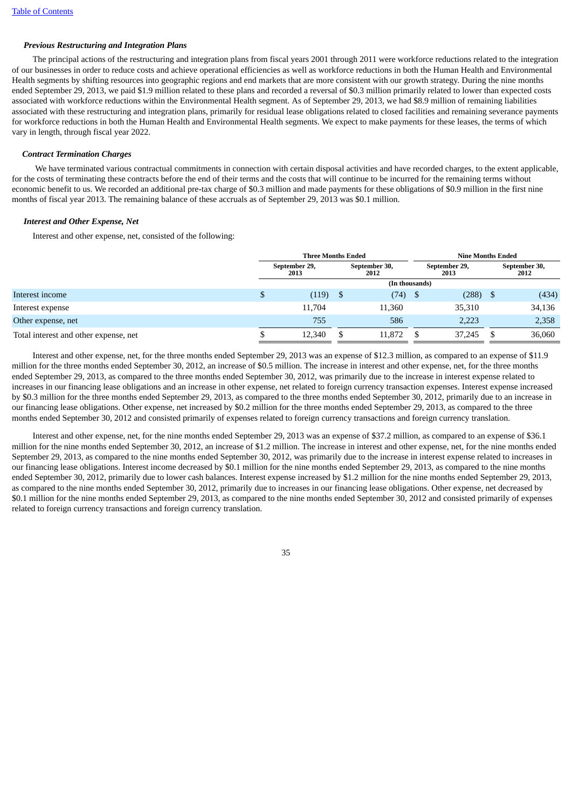# *Previous Restructuring and Integration Plans*

The principal actions of the restructuring and integration plans from fiscal years 2001 through 2011 were workforce reductions related to the integration of our businesses in order to reduce costs and achieve operational efficiencies as well as workforce reductions in both the Human Health and Environmental Health segments by shifting resources into geographic regions and end markets that are more consistent with our growth strategy. During the nine months ended September 29, 2013, we paid \$1.9 million related to these plans and recorded a reversal of \$0.3 million primarily related to lower than expected costs associated with workforce reductions within the Environmental Health segment. As of September 29, 2013, we had \$8.9 million of remaining liabilities associated with these restructuring and integration plans, primarily for residual lease obligations related to closed facilities and remaining severance payments for workforce reductions in both the Human Health and Environmental Health segments. We expect to make payments for these leases, the terms of which vary in length, through fiscal year 2022.

# *Contract Termination Charges*

We have terminated various contractual commitments in connection with certain disposal activities and have recorded charges, to the extent applicable, for the costs of terminating these contracts before the end of their terms and the costs that will continue to be incurred for the remaining terms without economic benefit to us. We recorded an additional pre-tax charge of \$0.3 million and made payments for these obligations of \$0.9 million in the first nine months of fiscal year 2013. The remaining balance of these accruals as of September 29, 2013 was \$0.1 million.

#### *Interest and Other Expense, Net*

Interest and other expense, net, consisted of the following:

|                                       |                       | <b>Three Months Ended</b> |                       |        |                       | <b>Nine Months Ended</b> |                       |        |  |
|---------------------------------------|-----------------------|---------------------------|-----------------------|--------|-----------------------|--------------------------|-----------------------|--------|--|
|                                       | September 29,<br>2013 |                           | September 30,<br>2012 |        | September 29,<br>2013 |                          | September 30,<br>2012 |        |  |
|                                       |                       | (In thousands)            |                       |        |                       |                          |                       |        |  |
| Interest income                       |                       | (119)                     |                       | (74)   | - S                   | (288)                    | - \$                  | (434)  |  |
| Interest expense                      |                       | 11,704                    |                       | 11,360 |                       | 35,310                   |                       | 34,136 |  |
| Other expense, net                    |                       | 755                       |                       | 586    |                       | 2,223                    |                       | 2,358  |  |
| Total interest and other expense, net |                       | 12,340                    |                       | 11,872 | S                     | 37,245                   | -\$                   | 36,060 |  |

Interest and other expense, net, for the three months ended September 29, 2013 was an expense of \$12.3 million, as compared to an expense of \$11.9 million for the three months ended September 30, 2012, an increase of \$0.5 million. The increase in interest and other expense, net, for the three months ended September 29, 2013, as compared to the three months ended September 30, 2012, was primarily due to the increase in interest expense related to increases in our financing lease obligations and an increase in other expense, net related to foreign currency transaction expenses. Interest expense increased by \$0.3 million for the three months ended September 29, 2013, as compared to the three months ended September 30, 2012, primarily due to an increase in our financing lease obligations. Other expense, net increased by \$0.2 million for the three months ended September 29, 2013, as compared to the three months ended September 30, 2012 and consisted primarily of expenses related to foreign currency transactions and foreign currency translation.

Interest and other expense, net, for the nine months ended September 29, 2013 was an expense of \$37.2 million, as compared to an expense of \$36.1 million for the nine months ended September 30, 2012, an increase of \$1.2 million. The increase in interest and other expense, net, for the nine months ended September 29, 2013, as compared to the nine months ended September 30, 2012, was primarily due to the increase in interest expense related to increases in our financing lease obligations. Interest income decreased by \$0.1 million for the nine months ended September 29, 2013, as compared to the nine months ended September 30, 2012, primarily due to lower cash balances. Interest expense increased by \$1.2 million for the nine months ended September 29, 2013, as compared to the nine months ended September 30, 2012, primarily due to increases in our financing lease obligations. Other expense, net decreased by \$0.1 million for the nine months ended September 29, 2013, as compared to the nine months ended September 30, 2012 and consisted primarily of expenses related to foreign currency transactions and foreign currency translation.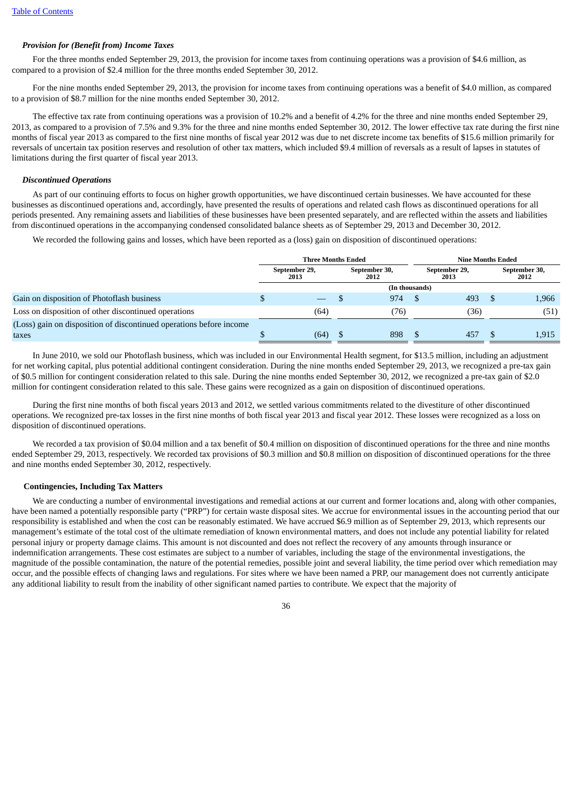# *Provision for (Benefit from) Income Taxes*

For the three months ended September 29, 2013, the provision for income taxes from continuing operations was a provision of \$4.6 million, as compared to a provision of \$2.4 million for the three months ended September 30, 2012.

For the nine months ended September 29, 2013, the provision for income taxes from continuing operations was a benefit of \$4.0 million, as compared to a provision of \$8.7 million for the nine months ended September 30, 2012.

The effective tax rate from continuing operations was a provision of 10.2% and a benefit of 4.2% for the three and nine months ended September 29, 2013, as compared to a provision of 7.5% and 9.3% for the three and nine months ended September 30, 2012. The lower effective tax rate during the first nine months of fiscal year 2013 as compared to the first nine months of fiscal year 2012 was due to net discrete income tax benefits of \$15.6 million primarily for reversals of uncertain tax position reserves and resolution of other tax matters, which included \$9.4 million of reversals as a result of lapses in statutes of limitations during the first quarter of fiscal year 2013.

# *Discontinued Operations*

As part of our continuing efforts to focus on higher growth opportunities, we have discontinued certain businesses. We have accounted for these businesses as discontinued operations and, accordingly, have presented the results of operations and related cash flows as discontinued operations for all periods presented. Any remaining assets and liabilities of these businesses have been presented separately, and are reflected within the assets and liabilities from discontinued operations in the accompanying condensed consolidated balance sheets as of September 29, 2013 and December 30, 2012.

We recorded the following gains and losses, which have been reported as a (loss) gain on disposition of discontinued operations:

|                                                                              | <b>Three Months Ended</b> |      |                       | <b>Nine Months Ended</b> |                       |      |                       |       |
|------------------------------------------------------------------------------|---------------------------|------|-----------------------|--------------------------|-----------------------|------|-----------------------|-------|
|                                                                              | September 29,<br>2013     |      | September 30,<br>2012 |                          | September 29,<br>2013 |      | September 30,<br>2012 |       |
|                                                                              |                           |      |                       | (In thousands)           |                       |      |                       |       |
| Gain on disposition of Photoflash business                                   |                           |      |                       | 974                      |                       | 493  |                       | 1,966 |
| Loss on disposition of other discontinued operations                         |                           | (64) |                       | (76)                     |                       | (36) |                       | (51)  |
| (Loss) gain on disposition of discontinued operations before income<br>taxes |                           | (64) |                       | 898                      |                       | 457  | -8                    | 1.915 |

In June 2010, we sold our Photoflash business, which was included in our Environmental Health segment, for \$13.5 million, including an adjustment for net working capital, plus potential additional contingent consideration. During the nine months ended September 29, 2013, we recognized a pre-tax gain of \$0.5 million for contingent consideration related to this sale. During the nine months ended September 30, 2012, we recognized a pre-tax gain of \$2.0 million for contingent consideration related to this sale. These gains were recognized as a gain on disposition of discontinued operations.

During the first nine months of both fiscal years 2013 and 2012, we settled various commitments related to the divestiture of other discontinued operations. We recognized pre-tax losses in the first nine months of both fiscal year 2013 and fiscal year 2012. These losses were recognized as a loss on disposition of discontinued operations.

We recorded a tax provision of \$0.04 million and a tax benefit of \$0.4 million on disposition of discontinued operations for the three and nine months ended September 29, 2013, respectively. We recorded tax provisions of \$0.3 million and \$0.8 million on disposition of discontinued operations for the three and nine months ended September 30, 2012, respectively.

# **Contingencies, Including Tax Matters**

We are conducting a number of environmental investigations and remedial actions at our current and former locations and, along with other companies, have been named a potentially responsible party ("PRP") for certain waste disposal sites. We accrue for environmental issues in the accounting period that our responsibility is established and when the cost can be reasonably estimated. We have accrued \$6.9 million as of September 29, 2013, which represents our management's estimate of the total cost of the ultimate remediation of known environmental matters, and does not include any potential liability for related personal injury or property damage claims. This amount is not discounted and does not reflect the recovery of any amounts through insurance or indemnification arrangements. These cost estimates are subject to a number of variables, including the stage of the environmental investigations, the magnitude of the possible contamination, the nature of the potential remedies, possible joint and several liability, the time period over which remediation may occur, and the possible effects of changing laws and regulations. For sites where we have been named a PRP, our management does not currently anticipate any additional liability to result from the inability of other significant named parties to contribute. We expect that the majority of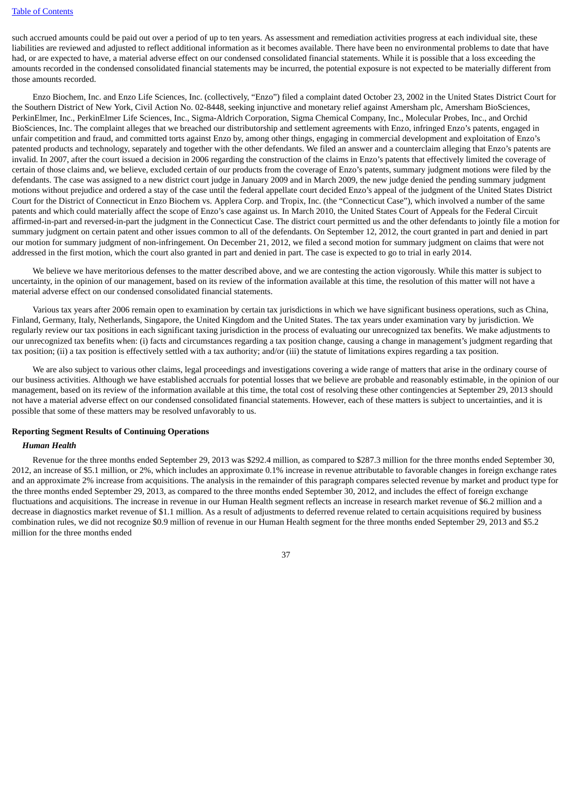such accrued amounts could be paid out over a period of up to ten years. As assessment and remediation activities progress at each individual site, these liabilities are reviewed and adjusted to reflect additional information as it becomes available. There have been no environmental problems to date that have had, or are expected to have, a material adverse effect on our condensed consolidated financial statements. While it is possible that a loss exceeding the amounts recorded in the condensed consolidated financial statements may be incurred, the potential exposure is not expected to be materially different from those amounts recorded.

Enzo Biochem, Inc. and Enzo Life Sciences, Inc. (collectively, "Enzo") filed a complaint dated October 23, 2002 in the United States District Court for the Southern District of New York, Civil Action No. 02-8448, seeking injunctive and monetary relief against Amersham plc, Amersham BioSciences, PerkinElmer, Inc., PerkinElmer Life Sciences, Inc., Sigma-Aldrich Corporation, Sigma Chemical Company, Inc., Molecular Probes, Inc., and Orchid BioSciences, Inc. The complaint alleges that we breached our distributorship and settlement agreements with Enzo, infringed Enzo's patents, engaged in unfair competition and fraud, and committed torts against Enzo by, among other things, engaging in commercial development and exploitation of Enzo's patented products and technology, separately and together with the other defendants. We filed an answer and a counterclaim alleging that Enzo's patents are invalid. In 2007, after the court issued a decision in 2006 regarding the construction of the claims in Enzo's patents that effectively limited the coverage of certain of those claims and, we believe, excluded certain of our products from the coverage of Enzo's patents, summary judgment motions were filed by the defendants. The case was assigned to a new district court judge in January 2009 and in March 2009, the new judge denied the pending summary judgment motions without prejudice and ordered a stay of the case until the federal appellate court decided Enzo's appeal of the judgment of the United States District Court for the District of Connecticut in Enzo Biochem vs. Applera Corp. and Tropix, Inc. (the "Connecticut Case"), which involved a number of the same patents and which could materially affect the scope of Enzo's case against us. In March 2010, the United States Court of Appeals for the Federal Circuit affirmed-in-part and reversed-in-part the judgment in the Connecticut Case. The district court permitted us and the other defendants to jointly file a motion for summary judgment on certain patent and other issues common to all of the defendants. On September 12, 2012, the court granted in part and denied in part our motion for summary judgment of non-infringement. On December 21, 2012, we filed a second motion for summary judgment on claims that were not addressed in the first motion, which the court also granted in part and denied in part. The case is expected to go to trial in early 2014.

We believe we have meritorious defenses to the matter described above, and we are contesting the action vigorously. While this matter is subject to uncertainty, in the opinion of our management, based on its review of the information available at this time, the resolution of this matter will not have a material adverse effect on our condensed consolidated financial statements.

Various tax years after 2006 remain open to examination by certain tax jurisdictions in which we have significant business operations, such as China, Finland, Germany, Italy, Netherlands, Singapore, the United Kingdom and the United States. The tax years under examination vary by jurisdiction. We regularly review our tax positions in each significant taxing jurisdiction in the process of evaluating our unrecognized tax benefits. We make adjustments to our unrecognized tax benefits when: (i) facts and circumstances regarding a tax position change, causing a change in management's judgment regarding that tax position; (ii) a tax position is effectively settled with a tax authority; and/or (iii) the statute of limitations expires regarding a tax position.

We are also subject to various other claims, legal proceedings and investigations covering a wide range of matters that arise in the ordinary course of our business activities. Although we have established accruals for potential losses that we believe are probable and reasonably estimable, in the opinion of our management, based on its review of the information available at this time, the total cost of resolving these other contingencies at September 29, 2013 should not have a material adverse effect on our condensed consolidated financial statements. However, each of these matters is subject to uncertainties, and it is possible that some of these matters may be resolved unfavorably to us.

#### <span id="page-36-0"></span>**Reporting Segment Results of Continuing Operations**

#### *Human Health*

Revenue for the three months ended September 29, 2013 was \$292.4 million, as compared to \$287.3 million for the three months ended September 30, 2012, an increase of \$5.1 million, or 2%, which includes an approximate 0.1% increase in revenue attributable to favorable changes in foreign exchange rates and an approximate 2% increase from acquisitions. The analysis in the remainder of this paragraph compares selected revenue by market and product type for the three months ended September 29, 2013, as compared to the three months ended September 30, 2012, and includes the effect of foreign exchange fluctuations and acquisitions. The increase in revenue in our Human Health segment reflects an increase in research market revenue of \$6.2 million and a decrease in diagnostics market revenue of \$1.1 million. As a result of adjustments to deferred revenue related to certain acquisitions required by business combination rules, we did not recognize \$0.9 million of revenue in our Human Health segment for the three months ended September 29, 2013 and \$5.2 million for the three months ended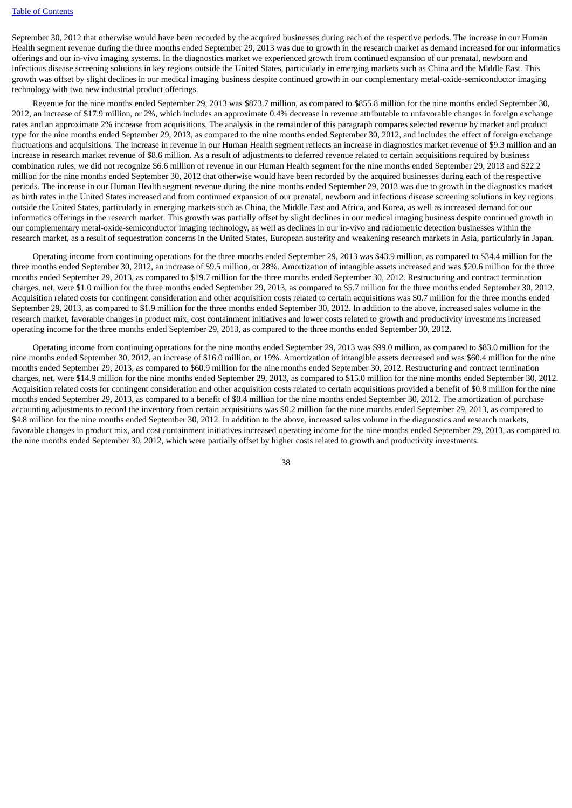September 30, 2012 that otherwise would have been recorded by the acquired businesses during each of the respective periods. The increase in our Human Health segment revenue during the three months ended September 29, 2013 was due to growth in the research market as demand increased for our informatics offerings and our in-vivo imaging systems. In the diagnostics market we experienced growth from continued expansion of our prenatal, newborn and infectious disease screening solutions in key regions outside the United States, particularly in emerging markets such as China and the Middle East. This growth was offset by slight declines in our medical imaging business despite continued growth in our complementary metal-oxide-semiconductor imaging technology with two new industrial product offerings.

Revenue for the nine months ended September 29, 2013 was \$873.7 million, as compared to \$855.8 million for the nine months ended September 30, 2012, an increase of \$17.9 million, or 2%, which includes an approximate 0.4% decrease in revenue attributable to unfavorable changes in foreign exchange rates and an approximate 2% increase from acquisitions. The analysis in the remainder of this paragraph compares selected revenue by market and product type for the nine months ended September 29, 2013, as compared to the nine months ended September 30, 2012, and includes the effect of foreign exchange fluctuations and acquisitions. The increase in revenue in our Human Health segment reflects an increase in diagnostics market revenue of \$9.3 million and an increase in research market revenue of \$8.6 million. As a result of adjustments to deferred revenue related to certain acquisitions required by business combination rules, we did not recognize \$6.6 million of revenue in our Human Health segment for the nine months ended September 29, 2013 and \$22.2 million for the nine months ended September 30, 2012 that otherwise would have been recorded by the acquired businesses during each of the respective periods. The increase in our Human Health segment revenue during the nine months ended September 29, 2013 was due to growth in the diagnostics market as birth rates in the United States increased and from continued expansion of our prenatal, newborn and infectious disease screening solutions in key regions outside the United States, particularly in emerging markets such as China, the Middle East and Africa, and Korea, as well as increased demand for our informatics offerings in the research market. This growth was partially offset by slight declines in our medical imaging business despite continued growth in our complementary metal-oxide-semiconductor imaging technology, as well as declines in our in-vivo and radiometric detection businesses within the research market, as a result of sequestration concerns in the United States, European austerity and weakening research markets in Asia, particularly in Japan.

Operating income from continuing operations for the three months ended September 29, 2013 was \$43.9 million, as compared to \$34.4 million for the three months ended September 30, 2012, an increase of \$9.5 million, or 28%. Amortization of intangible assets increased and was \$20.6 million for the three months ended September 29, 2013, as compared to \$19.7 million for the three months ended September 30, 2012. Restructuring and contract termination charges, net, were \$1.0 million for the three months ended September 29, 2013, as compared to \$5.7 million for the three months ended September 30, 2012. Acquisition related costs for contingent consideration and other acquisition costs related to certain acquisitions was \$0.7 million for the three months ended September 29, 2013, as compared to \$1.9 million for the three months ended September 30, 2012. In addition to the above, increased sales volume in the research market, favorable changes in product mix, cost containment initiatives and lower costs related to growth and productivity investments increased operating income for the three months ended September 29, 2013, as compared to the three months ended September 30, 2012.

Operating income from continuing operations for the nine months ended September 29, 2013 was \$99.0 million, as compared to \$83.0 million for the nine months ended September 30, 2012, an increase of \$16.0 million, or 19%. Amortization of intangible assets decreased and was \$60.4 million for the nine months ended September 29, 2013, as compared to \$60.9 million for the nine months ended September 30, 2012. Restructuring and contract termination charges, net, were \$14.9 million for the nine months ended September 29, 2013, as compared to \$15.0 million for the nine months ended September 30, 2012. Acquisition related costs for contingent consideration and other acquisition costs related to certain acquisitions provided a benefit of \$0.8 million for the nine months ended September 29, 2013, as compared to a benefit of \$0.4 million for the nine months ended September 30, 2012. The amortization of purchase accounting adjustments to record the inventory from certain acquisitions was \$0.2 million for the nine months ended September 29, 2013, as compared to \$4.8 million for the nine months ended September 30, 2012. In addition to the above, increased sales volume in the diagnostics and research markets, favorable changes in product mix, and cost containment initiatives increased operating income for the nine months ended September 29, 2013, as compared to the nine months ended September 30, 2012, which were partially offset by higher costs related to growth and productivity investments.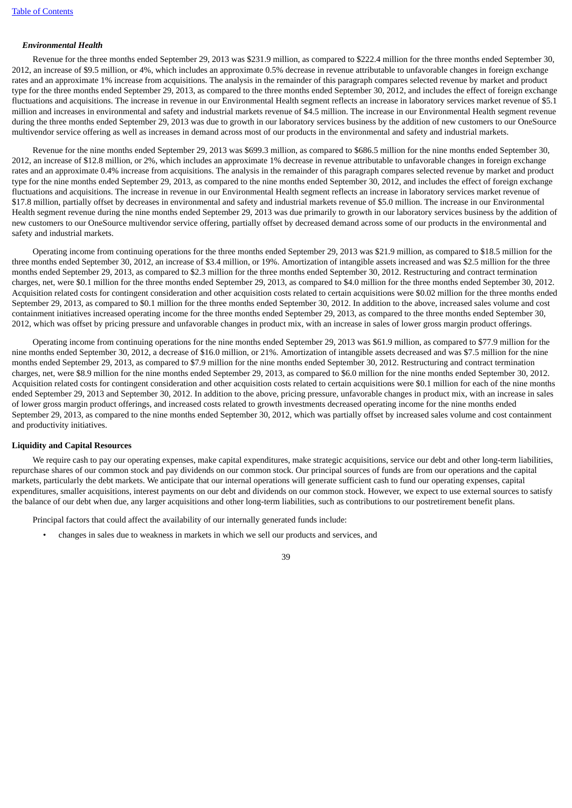# *Environmental Health*

Revenue for the three months ended September 29, 2013 was \$231.9 million, as compared to \$222.4 million for the three months ended September 30, 2012, an increase of \$9.5 million, or 4%, which includes an approximate 0.5% decrease in revenue attributable to unfavorable changes in foreign exchange rates and an approximate 1% increase from acquisitions. The analysis in the remainder of this paragraph compares selected revenue by market and product type for the three months ended September 29, 2013, as compared to the three months ended September 30, 2012, and includes the effect of foreign exchange fluctuations and acquisitions. The increase in revenue in our Environmental Health segment reflects an increase in laboratory services market revenue of \$5.1 million and increases in environmental and safety and industrial markets revenue of \$4.5 million. The increase in our Environmental Health segment revenue during the three months ended September 29, 2013 was due to growth in our laboratory services business by the addition of new customers to our OneSource multivendor service offering as well as increases in demand across most of our products in the environmental and safety and industrial markets.

Revenue for the nine months ended September 29, 2013 was \$699.3 million, as compared to \$686.5 million for the nine months ended September 30, 2012, an increase of \$12.8 million, or 2%, which includes an approximate 1% decrease in revenue attributable to unfavorable changes in foreign exchange rates and an approximate 0.4% increase from acquisitions. The analysis in the remainder of this paragraph compares selected revenue by market and product type for the nine months ended September 29, 2013, as compared to the nine months ended September 30, 2012, and includes the effect of foreign exchange fluctuations and acquisitions. The increase in revenue in our Environmental Health segment reflects an increase in laboratory services market revenue of \$17.8 million, partially offset by decreases in environmental and safety and industrial markets revenue of \$5.0 million. The increase in our Environmental Health segment revenue during the nine months ended September 29, 2013 was due primarily to growth in our laboratory services business by the addition of new customers to our OneSource multivendor service offering, partially offset by decreased demand across some of our products in the environmental and safety and industrial markets.

Operating income from continuing operations for the three months ended September 29, 2013 was \$21.9 million, as compared to \$18.5 million for the three months ended September 30, 2012, an increase of \$3.4 million, or 19%. Amortization of intangible assets increased and was \$2.5 million for the three months ended September 29, 2013, as compared to \$2.3 million for the three months ended September 30, 2012. Restructuring and contract termination charges, net, were \$0.1 million for the three months ended September 29, 2013, as compared to \$4.0 million for the three months ended September 30, 2012. Acquisition related costs for contingent consideration and other acquisition costs related to certain acquisitions were \$0.02 million for the three months ended September 29, 2013, as compared to \$0.1 million for the three months ended September 30, 2012. In addition to the above, increased sales volume and cost containment initiatives increased operating income for the three months ended September 29, 2013, as compared to the three months ended September 30, 2012, which was offset by pricing pressure and unfavorable changes in product mix, with an increase in sales of lower gross margin product offerings.

Operating income from continuing operations for the nine months ended September 29, 2013 was \$61.9 million, as compared to \$77.9 million for the nine months ended September 30, 2012, a decrease of \$16.0 million, or 21%. Amortization of intangible assets decreased and was \$7.5 million for the nine months ended September 29, 2013, as compared to \$7.9 million for the nine months ended September 30, 2012. Restructuring and contract termination charges, net, were \$8.9 million for the nine months ended September 29, 2013, as compared to \$6.0 million for the nine months ended September 30, 2012. Acquisition related costs for contingent consideration and other acquisition costs related to certain acquisitions were \$0.1 million for each of the nine months ended September 29, 2013 and September 30, 2012. In addition to the above, pricing pressure, unfavorable changes in product mix, with an increase in sales of lower gross margin product offerings, and increased costs related to growth investments decreased operating income for the nine months ended September 29, 2013, as compared to the nine months ended September 30, 2012, which was partially offset by increased sales volume and cost containment and productivity initiatives.

#### <span id="page-38-0"></span>**Liquidity and Capital Resources**

We require cash to pay our operating expenses, make capital expenditures, make strategic acquisitions, service our debt and other long-term liabilities, repurchase shares of our common stock and pay dividends on our common stock. Our principal sources of funds are from our operations and the capital markets, particularly the debt markets. We anticipate that our internal operations will generate sufficient cash to fund our operating expenses, capital expenditures, smaller acquisitions, interest payments on our debt and dividends on our common stock. However, we expect to use external sources to satisfy the balance of our debt when due, any larger acquisitions and other long-term liabilities, such as contributions to our postretirement benefit plans.

Principal factors that could affect the availability of our internally generated funds include:

• changes in sales due to weakness in markets in which we sell our products and services, and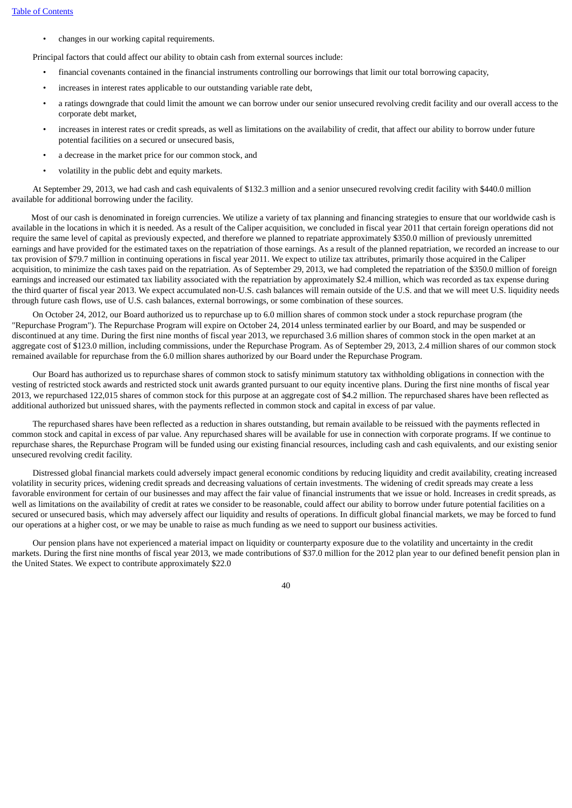• changes in our working capital requirements.

Principal factors that could affect our ability to obtain cash from external sources include:

- financial covenants contained in the financial instruments controlling our borrowings that limit our total borrowing capacity,
- increases in interest rates applicable to our outstanding variable rate debt,
- a ratings downgrade that could limit the amount we can borrow under our senior unsecured revolving credit facility and our overall access to the corporate debt market,
- increases in interest rates or credit spreads, as well as limitations on the availability of credit, that affect our ability to borrow under future potential facilities on a secured or unsecured basis,
- a decrease in the market price for our common stock, and
- volatility in the public debt and equity markets.

At September 29, 2013, we had cash and cash equivalents of \$132.3 million and a senior unsecured revolving credit facility with \$440.0 million available for additional borrowing under the facility.

Most of our cash is denominated in foreign currencies. We utilize a variety of tax planning and financing strategies to ensure that our worldwide cash is available in the locations in which it is needed. As a result of the Caliper acquisition, we concluded in fiscal year 2011 that certain foreign operations did not require the same level of capital as previously expected, and therefore we planned to repatriate approximately \$350.0 million of previously unremitted earnings and have provided for the estimated taxes on the repatriation of those earnings. As a result of the planned repatriation, we recorded an increase to our tax provision of \$79.7 million in continuing operations in fiscal year 2011. We expect to utilize tax attributes, primarily those acquired in the Caliper acquisition, to minimize the cash taxes paid on the repatriation. As of September 29, 2013, we had completed the repatriation of the \$350.0 million of foreign earnings and increased our estimated tax liability associated with the repatriation by approximately \$2.4 million, which was recorded as tax expense during the third quarter of fiscal year 2013. We expect accumulated non-U.S. cash balances will remain outside of the U.S. and that we will meet U.S. liquidity needs through future cash flows, use of U.S. cash balances, external borrowings, or some combination of these sources.

On October 24, 2012, our Board authorized us to repurchase up to 6.0 million shares of common stock under a stock repurchase program (the "Repurchase Program"). The Repurchase Program will expire on October 24, 2014 unless terminated earlier by our Board, and may be suspended or discontinued at any time. During the first nine months of fiscal year 2013, we repurchased 3.6 million shares of common stock in the open market at an aggregate cost of \$123.0 million, including commissions, under the Repurchase Program. As of September 29, 2013, 2.4 million shares of our common stock remained available for repurchase from the 6.0 million shares authorized by our Board under the Repurchase Program.

Our Board has authorized us to repurchase shares of common stock to satisfy minimum statutory tax withholding obligations in connection with the vesting of restricted stock awards and restricted stock unit awards granted pursuant to our equity incentive plans. During the first nine months of fiscal year 2013, we repurchased 122,015 shares of common stock for this purpose at an aggregate cost of \$4.2 million. The repurchased shares have been reflected as additional authorized but unissued shares, with the payments reflected in common stock and capital in excess of par value.

The repurchased shares have been reflected as a reduction in shares outstanding, but remain available to be reissued with the payments reflected in common stock and capital in excess of par value. Any repurchased shares will be available for use in connection with corporate programs. If we continue to repurchase shares, the Repurchase Program will be funded using our existing financial resources, including cash and cash equivalents, and our existing senior unsecured revolving credit facility.

Distressed global financial markets could adversely impact general economic conditions by reducing liquidity and credit availability, creating increased volatility in security prices, widening credit spreads and decreasing valuations of certain investments. The widening of credit spreads may create a less favorable environment for certain of our businesses and may affect the fair value of financial instruments that we issue or hold. Increases in credit spreads, as well as limitations on the availability of credit at rates we consider to be reasonable, could affect our ability to borrow under future potential facilities on a secured or unsecured basis, which may adversely affect our liquidity and results of operations. In difficult global financial markets, we may be forced to fund our operations at a higher cost, or we may be unable to raise as much funding as we need to support our business activities.

Our pension plans have not experienced a material impact on liquidity or counterparty exposure due to the volatility and uncertainty in the credit markets. During the first nine months of fiscal year 2013, we made contributions of \$37.0 million for the 2012 plan year to our defined benefit pension plan in the United States. We expect to contribute approximately \$22.0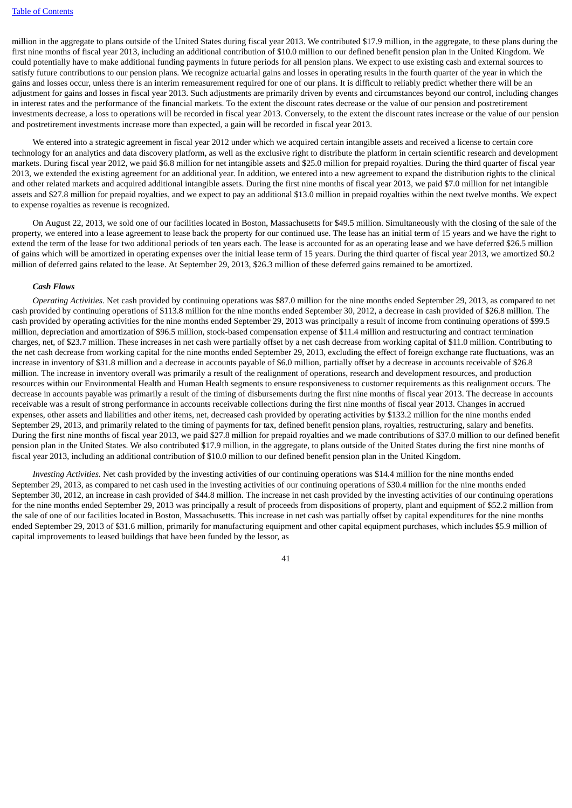million in the aggregate to plans outside of the United States during fiscal year 2013. We contributed \$17.9 million, in the aggregate, to these plans during the first nine months of fiscal year 2013, including an additional contribution of \$10.0 million to our defined benefit pension plan in the United Kingdom. We could potentially have to make additional funding payments in future periods for all pension plans. We expect to use existing cash and external sources to satisfy future contributions to our pension plans. We recognize actuarial gains and losses in operating results in the fourth quarter of the year in which the gains and losses occur, unless there is an interim remeasurement required for one of our plans. It is difficult to reliably predict whether there will be an adjustment for gains and losses in fiscal year 2013. Such adjustments are primarily driven by events and circumstances beyond our control, including changes in interest rates and the performance of the financial markets. To the extent the discount rates decrease or the value of our pension and postretirement investments decrease, a loss to operations will be recorded in fiscal year 2013. Conversely, to the extent the discount rates increase or the value of our pension and postretirement investments increase more than expected, a gain will be recorded in fiscal year 2013.

We entered into a strategic agreement in fiscal year 2012 under which we acquired certain intangible assets and received a license to certain core technology for an analytics and data discovery platform, as well as the exclusive right to distribute the platform in certain scientific research and development markets. During fiscal year 2012, we paid \$6.8 million for net intangible assets and \$25.0 million for prepaid royalties. During the third quarter of fiscal year 2013, we extended the existing agreement for an additional year. In addition, we entered into a new agreement to expand the distribution rights to the clinical and other related markets and acquired additional intangible assets. During the first nine months of fiscal year 2013, we paid \$7.0 million for net intangible assets and \$27.8 million for prepaid royalties, and we expect to pay an additional \$13.0 million in prepaid royalties within the next twelve months. We expect to expense royalties as revenue is recognized.

On August 22, 2013, we sold one of our facilities located in Boston, Massachusetts for \$49.5 million. Simultaneously with the closing of the sale of the property, we entered into a lease agreement to lease back the property for our continued use. The lease has an initial term of 15 years and we have the right to extend the term of the lease for two additional periods of ten years each. The lease is accounted for as an operating lease and we have deferred \$26.5 million of gains which will be amortized in operating expenses over the initial lease term of 15 years. During the third quarter of fiscal year 2013, we amortized \$0.2 million of deferred gains related to the lease. At September 29, 2013, \$26.3 million of these deferred gains remained to be amortized.

# *Cash Flows*

*Operating Activities.* Net cash provided by continuing operations was \$87.0 million for the nine months ended September 29, 2013, as compared to net cash provided by continuing operations of \$113.8 million for the nine months ended September 30, 2012, a decrease in cash provided of \$26.8 million. The cash provided by operating activities for the nine months ended September 29, 2013 was principally a result of income from continuing operations of \$99.5 million, depreciation and amortization of \$96.5 million, stock-based compensation expense of \$11.4 million and restructuring and contract termination charges, net, of \$23.7 million. These increases in net cash were partially offset by a net cash decrease from working capital of \$11.0 million. Contributing to the net cash decrease from working capital for the nine months ended September 29, 2013, excluding the effect of foreign exchange rate fluctuations, was an increase in inventory of \$31.8 million and a decrease in accounts payable of \$6.0 million, partially offset by a decrease in accounts receivable of \$26.8 million. The increase in inventory overall was primarily a result of the realignment of operations, research and development resources, and production resources within our Environmental Health and Human Health segments to ensure responsiveness to customer requirements as this realignment occurs. The decrease in accounts payable was primarily a result of the timing of disbursements during the first nine months of fiscal year 2013. The decrease in accounts receivable was a result of strong performance in accounts receivable collections during the first nine months of fiscal year 2013. Changes in accrued expenses, other assets and liabilities and other items, net, decreased cash provided by operating activities by \$133.2 million for the nine months ended September 29, 2013, and primarily related to the timing of payments for tax, defined benefit pension plans, royalties, restructuring, salary and benefits. During the first nine months of fiscal year 2013, we paid \$27.8 million for prepaid royalties and we made contributions of \$37.0 million to our defined benefit pension plan in the United States. We also contributed \$17.9 million, in the aggregate, to plans outside of the United States during the first nine months of fiscal year 2013, including an additional contribution of \$10.0 million to our defined benefit pension plan in the United Kingdom.

*Investing Activities.* Net cash provided by the investing activities of our continuing operations was \$14.4 million for the nine months ended September 29, 2013, as compared to net cash used in the investing activities of our continuing operations of \$30.4 million for the nine months ended September 30, 2012, an increase in cash provided of \$44.8 million. The increase in net cash provided by the investing activities of our continuing operations for the nine months ended September 29, 2013 was principally a result of proceeds from dispositions of property, plant and equipment of \$52.2 million from the sale of one of our facilities located in Boston, Massachusetts. This increase in net cash was partially offset by capital expenditures for the nine months ended September 29, 2013 of \$31.6 million, primarily for manufacturing equipment and other capital equipment purchases, which includes \$5.9 million of capital improvements to leased buildings that have been funded by the lessor, as

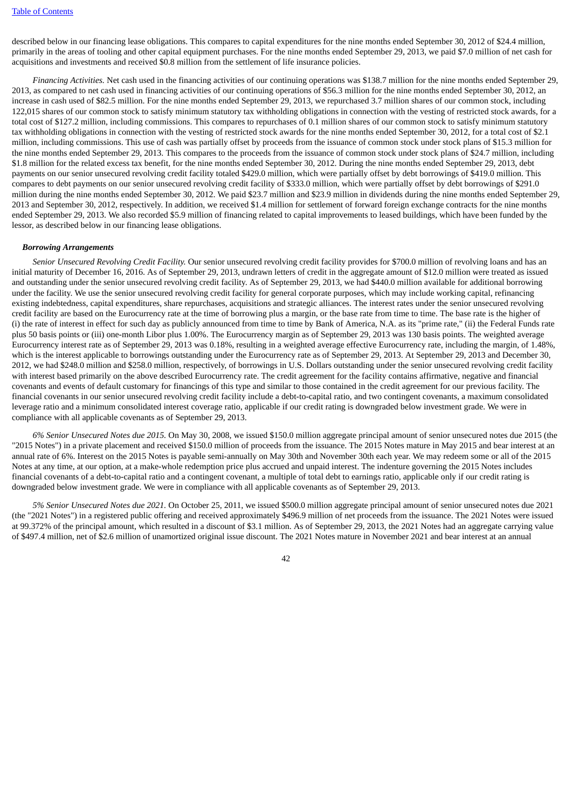described below in our financing lease obligations. This compares to capital expenditures for the nine months ended September 30, 2012 of \$24.4 million, primarily in the areas of tooling and other capital equipment purchases. For the nine months ended September 29, 2013, we paid \$7.0 million of net cash for acquisitions and investments and received \$0.8 million from the settlement of life insurance policies.

*Financing Activities.* Net cash used in the financing activities of our continuing operations was \$138.7 million for the nine months ended September 29, 2013, as compared to net cash used in financing activities of our continuing operations of \$56.3 million for the nine months ended September 30, 2012, an increase in cash used of \$82.5 million. For the nine months ended September 29, 2013, we repurchased 3.7 million shares of our common stock, including 122,015 shares of our common stock to satisfy minimum statutory tax withholding obligations in connection with the vesting of restricted stock awards, for a total cost of \$127.2 million, including commissions. This compares to repurchases of 0.1 million shares of our common stock to satisfy minimum statutory tax withholding obligations in connection with the vesting of restricted stock awards for the nine months ended September 30, 2012, for a total cost of \$2.1 million, including commissions. This use of cash was partially offset by proceeds from the issuance of common stock under stock plans of \$15.3 million for the nine months ended September 29, 2013. This compares to the proceeds from the issuance of common stock under stock plans of \$24.7 million, including \$1.8 million for the related excess tax benefit, for the nine months ended September 30, 2012. During the nine months ended September 29, 2013, debt payments on our senior unsecured revolving credit facility totaled \$429.0 million, which were partially offset by debt borrowings of \$419.0 million. This compares to debt payments on our senior unsecured revolving credit facility of \$333.0 million, which were partially offset by debt borrowings of \$291.0 million during the nine months ended September 30, 2012. We paid \$23.7 million and \$23.9 million in dividends during the nine months ended September 29, 2013 and September 30, 2012, respectively. In addition, we received \$1.4 million for settlement of forward foreign exchange contracts for the nine months ended September 29, 2013. We also recorded \$5.9 million of financing related to capital improvements to leased buildings, which have been funded by the lessor, as described below in our financing lease obligations.

### *Borrowing Arrangements*

*Senior Unsecured Revolving Credit Facility.* Our senior unsecured revolving credit facility provides for \$700.0 million of revolving loans and has an initial maturity of December 16, 2016. As of September 29, 2013, undrawn letters of credit in the aggregate amount of \$12.0 million were treated as issued and outstanding under the senior unsecured revolving credit facility. As of September 29, 2013, we had \$440.0 million available for additional borrowing under the facility. We use the senior unsecured revolving credit facility for general corporate purposes, which may include working capital, refinancing existing indebtedness, capital expenditures, share repurchases, acquisitions and strategic alliances. The interest rates under the senior unsecured revolving credit facility are based on the Eurocurrency rate at the time of borrowing plus a margin, or the base rate from time to time. The base rate is the higher of (i) the rate of interest in effect for such day as publicly announced from time to time by Bank of America, N.A. as its "prime rate," (ii) the Federal Funds rate plus 50 basis points or (iii) one-month Libor plus 1.00%. The Eurocurrency margin as of September 29, 2013 was 130 basis points. The weighted average Eurocurrency interest rate as of September 29, 2013 was 0.18%, resulting in a weighted average effective Eurocurrency rate, including the margin, of 1.48%, which is the interest applicable to borrowings outstanding under the Eurocurrency rate as of September 29, 2013. At September 29, 2013 and December 30, 2012, we had \$248.0 million and \$258.0 million, respectively, of borrowings in U.S. Dollars outstanding under the senior unsecured revolving credit facility with interest based primarily on the above described Eurocurrency rate. The credit agreement for the facility contains affirmative, negative and financial covenants and events of default customary for financings of this type and similar to those contained in the credit agreement for our previous facility. The financial covenants in our senior unsecured revolving credit facility include a debt-to-capital ratio, and two contingent covenants, a maximum consolidated leverage ratio and a minimum consolidated interest coverage ratio, applicable if our credit rating is downgraded below investment grade. We were in compliance with all applicable covenants as of September 29, 2013.

*6% Senior Unsecured Notes due 2015.* On May 30, 2008, we issued \$150.0 million aggregate principal amount of senior unsecured notes due 2015 (the "2015 Notes") in a private placement and received \$150.0 million of proceeds from the issuance. The 2015 Notes mature in May 2015 and bear interest at an annual rate of 6%. Interest on the 2015 Notes is payable semi-annually on May 30th and November 30th each year. We may redeem some or all of the 2015 Notes at any time, at our option, at a make-whole redemption price plus accrued and unpaid interest. The indenture governing the 2015 Notes includes financial covenants of a debt-to-capital ratio and a contingent covenant, a multiple of total debt to earnings ratio, applicable only if our credit rating is downgraded below investment grade. We were in compliance with all applicable covenants as of September 29, 2013.

*5% Senior Unsecured Notes due 2021.* On October 25, 2011, we issued \$500.0 million aggregate principal amount of senior unsecured notes due 2021 (the "2021 Notes") in a registered public offering and received approximately \$496.9 million of net proceeds from the issuance. The 2021 Notes were issued at 99.372% of the principal amount, which resulted in a discount of \$3.1 million. As of September 29, 2013, the 2021 Notes had an aggregate carrying value of \$497.4 million, net of \$2.6 million of unamortized original issue discount. The 2021 Notes mature in November 2021 and bear interest at an annual

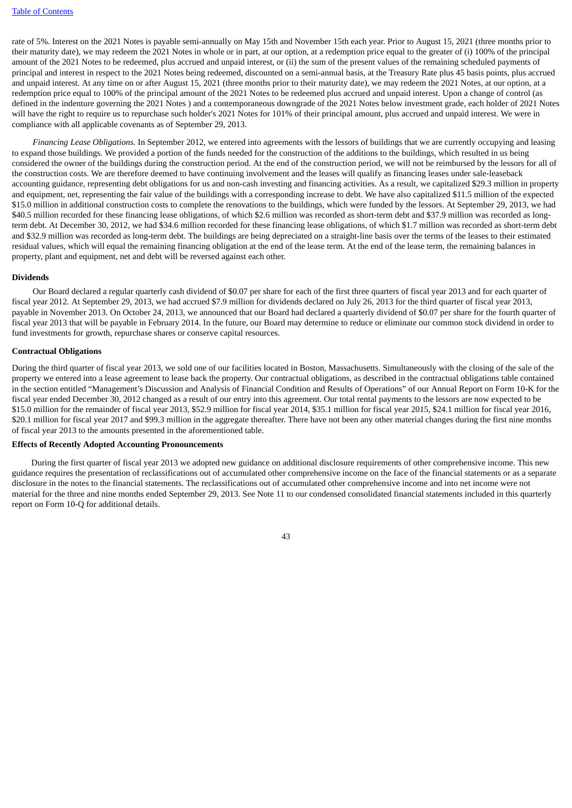rate of 5%. Interest on the 2021 Notes is payable semi-annually on May 15th and November 15th each year. Prior to August 15, 2021 (three months prior to their maturity date), we may redeem the 2021 Notes in whole or in part, at our option, at a redemption price equal to the greater of (i) 100% of the principal amount of the 2021 Notes to be redeemed, plus accrued and unpaid interest, or (ii) the sum of the present values of the remaining scheduled payments of principal and interest in respect to the 2021 Notes being redeemed, discounted on a semi-annual basis, at the Treasury Rate plus 45 basis points, plus accrued and unpaid interest. At any time on or after August 15, 2021 (three months prior to their maturity date), we may redeem the 2021 Notes, at our option, at a redemption price equal to 100% of the principal amount of the 2021 Notes to be redeemed plus accrued and unpaid interest. Upon a change of control (as defined in the indenture governing the 2021 Notes ) and a contemporaneous downgrade of the 2021 Notes below investment grade, each holder of 2021 Notes will have the right to require us to repurchase such holder's 2021 Notes for 101% of their principal amount, plus accrued and unpaid interest. We were in compliance with all applicable covenants as of September 29, 2013.

*Financing Lease Obligations.* In September 2012, we entered into agreements with the lessors of buildings that we are currently occupying and leasing to expand those buildings. We provided a portion of the funds needed for the construction of the additions to the buildings, which resulted in us being considered the owner of the buildings during the construction period. At the end of the construction period, we will not be reimbursed by the lessors for all of the construction costs. We are therefore deemed to have continuing involvement and the leases will qualify as financing leases under sale-leaseback accounting guidance, representing debt obligations for us and non-cash investing and financing activities. As a result, we capitalized \$29.3 million in property and equipment, net, representing the fair value of the buildings with a corresponding increase to debt. We have also capitalized \$11.5 million of the expected \$15.0 million in additional construction costs to complete the renovations to the buildings, which were funded by the lessors. At September 29, 2013, we had \$40.5 million recorded for these financing lease obligations, of which \$2.6 million was recorded as short-term debt and \$37.9 million was recorded as longterm debt. At December 30, 2012, we had \$34.6 million recorded for these financing lease obligations, of which \$1.7 million was recorded as short-term debt and \$32.9 million was recorded as long-term debt. The buildings are being depreciated on a straight-line basis over the terms of the leases to their estimated residual values, which will equal the remaining financing obligation at the end of the lease term. At the end of the lease term, the remaining balances in property, plant and equipment, net and debt will be reversed against each other.

#### <span id="page-42-0"></span>**Dividends**

Our Board declared a regular quarterly cash dividend of \$0.07 per share for each of the first three quarters of fiscal year 2013 and for each quarter of fiscal year 2012. At September 29, 2013, we had accrued \$7.9 million for dividends declared on July 26, 2013 for the third quarter of fiscal year 2013, payable in November 2013. On October 24, 2013, we announced that our Board had declared a quarterly dividend of \$0.07 per share for the fourth quarter of fiscal year 2013 that will be payable in February 2014. In the future, our Board may determine to reduce or eliminate our common stock dividend in order to fund investments for growth, repurchase shares or conserve capital resources.

# **Contractual Obligations**

During the third quarter of fiscal year 2013, we sold one of our facilities located in Boston, Massachusetts. Simultaneously with the closing of the sale of the property we entered into a lease agreement to lease back the property. Our contractual obligations, as described in the contractual obligations table contained in the section entitled "Management's Discussion and Analysis of Financial Condition and Results of Operations" of our Annual Report on Form 10-K for the fiscal year ended December 30, 2012 changed as a result of our entry into this agreement. Our total rental payments to the lessors are now expected to be \$15.0 million for the remainder of fiscal year 2013, \$52.9 million for fiscal year 2014, \$35.1 million for fiscal year 2015, \$24.1 million for fiscal year 2016, \$20.1 million for fiscal year 2017 and \$99.3 million in the aggregate thereafter. There have not been any other material changes during the first nine months of fiscal year 2013 to the amounts presented in the aforementioned table.

# <span id="page-42-1"></span>**Effects of Recently Adopted Accounting Pronouncements**

<span id="page-42-2"></span>During the first quarter of fiscal year 2013 we adopted new guidance on additional disclosure requirements of other comprehensive income. This new guidance requires the presentation of reclassifications out of accumulated other comprehensive income on the face of the financial statements or as a separate disclosure in the notes to the financial statements. The reclassifications out of accumulated other comprehensive income and into net income were not material for the three and nine months ended September 29, 2013. See Note 11 to our condensed consolidated financial statements included in this quarterly report on Form 10-Q for additional details.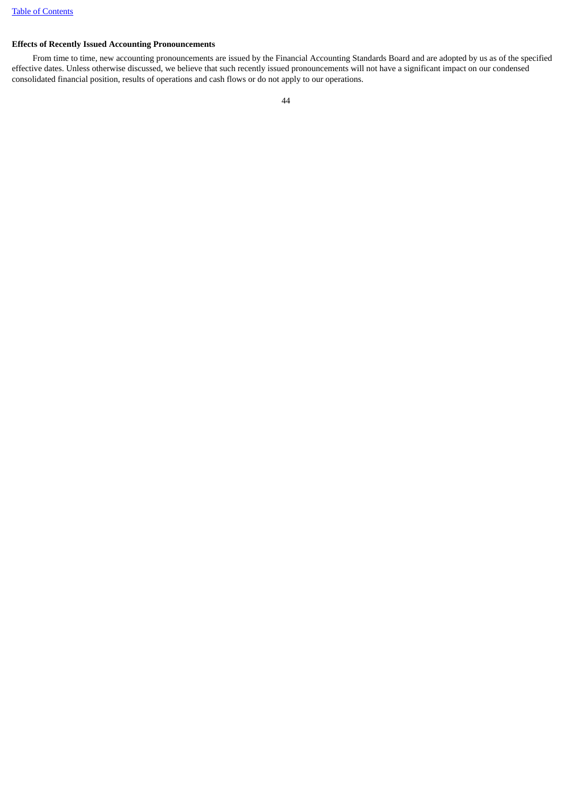# **Effects of Recently Issued Accounting Pronouncements**

From time to time, new accounting pronouncements are issued by the Financial Accounting Standards Board and are adopted by us as of the specified effective dates. Unless otherwise discussed, we believe that such recently issued pronouncements will not have a significant impact on our condensed consolidated financial position, results of operations and cash flows or do not apply to our operations.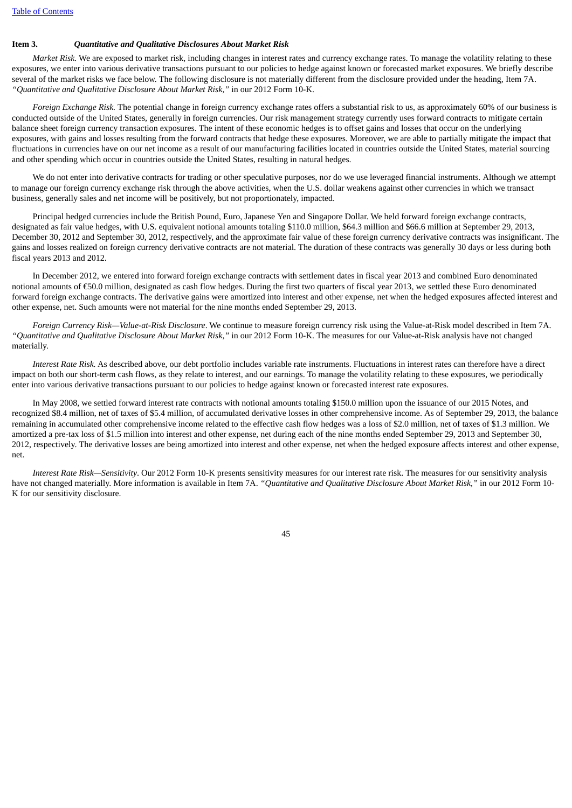# <span id="page-44-0"></span>**Item 3.** *Quantitative and Qualitative Disclosures About Market Risk*

*Market Risk.* We are exposed to market risk, including changes in interest rates and currency exchange rates. To manage the volatility relating to these exposures, we enter into various derivative transactions pursuant to our policies to hedge against known or forecasted market exposures. We briefly describe several of the market risks we face below. The following disclosure is not materially different from the disclosure provided under the heading, Item 7A. *"Quantitative and Qualitative Disclosure About Market Risk,"* in our 2012 Form 10-K.

*Foreign Exchange Risk.* The potential change in foreign currency exchange rates offers a substantial risk to us, as approximately 60% of our business is conducted outside of the United States, generally in foreign currencies. Our risk management strategy currently uses forward contracts to mitigate certain balance sheet foreign currency transaction exposures. The intent of these economic hedges is to offset gains and losses that occur on the underlying exposures, with gains and losses resulting from the forward contracts that hedge these exposures. Moreover, we are able to partially mitigate the impact that fluctuations in currencies have on our net income as a result of our manufacturing facilities located in countries outside the United States, material sourcing and other spending which occur in countries outside the United States, resulting in natural hedges.

We do not enter into derivative contracts for trading or other speculative purposes, nor do we use leveraged financial instruments. Although we attempt to manage our foreign currency exchange risk through the above activities, when the U.S. dollar weakens against other currencies in which we transact business, generally sales and net income will be positively, but not proportionately, impacted.

Principal hedged currencies include the British Pound, Euro, Japanese Yen and Singapore Dollar. We held forward foreign exchange contracts, designated as fair value hedges, with U.S. equivalent notional amounts totaling \$110.0 million, \$64.3 million and \$66.6 million at September 29, 2013, December 30, 2012 and September 30, 2012, respectively, and the approximate fair value of these foreign currency derivative contracts was insignificant. The gains and losses realized on foreign currency derivative contracts are not material. The duration of these contracts was generally 30 days or less during both fiscal years 2013 and 2012.

In December 2012, we entered into forward foreign exchange contracts with settlement dates in fiscal year 2013 and combined Euro denominated notional amounts of €50.0 million, designated as cash flow hedges. During the first two quarters of fiscal year 2013, we settled these Euro denominated forward foreign exchange contracts. The derivative gains were amortized into interest and other expense, net when the hedged exposures affected interest and other expense, net. Such amounts were not material for the nine months ended September 29, 2013.

*Foreign Currency Risk—Value-at-Risk Disclosure*. We continue to measure foreign currency risk using the Value-at-Risk model described in Item 7A. *"Quantitative and Qualitative Disclosure About Market Risk,"* in our 2012 Form 10-K. The measures for our Value-at-Risk analysis have not changed materially.

*Interest Rate Risk.* As described above, our debt portfolio includes variable rate instruments. Fluctuations in interest rates can therefore have a direct impact on both our short-term cash flows, as they relate to interest, and our earnings. To manage the volatility relating to these exposures, we periodically enter into various derivative transactions pursuant to our policies to hedge against known or forecasted interest rate exposures.

In May 2008, we settled forward interest rate contracts with notional amounts totaling \$150.0 million upon the issuance of our 2015 Notes, and recognized \$8.4 million, net of taxes of \$5.4 million, of accumulated derivative losses in other comprehensive income. As of September 29, 2013, the balance remaining in accumulated other comprehensive income related to the effective cash flow hedges was a loss of \$2.0 million, net of taxes of \$1.3 million. We amortized a pre-tax loss of \$1.5 million into interest and other expense, net during each of the nine months ended September 29, 2013 and September 30, 2012, respectively. The derivative losses are being amortized into interest and other expense, net when the hedged exposure affects interest and other expense, net.

<span id="page-44-1"></span>*Interest Rate Risk—Sensitivity*. Our 2012 Form 10-K presents sensitivity measures for our interest rate risk. The measures for our sensitivity analysis have not changed materially. More information is available in Item 7A. *"Quantitative and Qualitative Disclosure About Market Risk,"* in our 2012 Form 10- K for our sensitivity disclosure.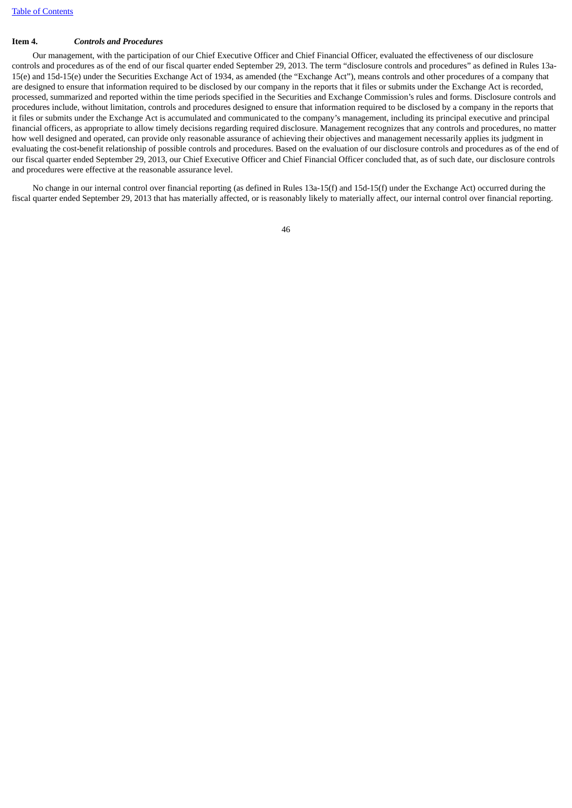#### **Item 4.** *Controls and Procedures*

Our management, with the participation of our Chief Executive Officer and Chief Financial Officer, evaluated the effectiveness of our disclosure controls and procedures as of the end of our fiscal quarter ended September 29, 2013. The term "disclosure controls and procedures" as defined in Rules 13a-15(e) and 15d-15(e) under the Securities Exchange Act of 1934, as amended (the "Exchange Act"), means controls and other procedures of a company that are designed to ensure that information required to be disclosed by our company in the reports that it files or submits under the Exchange Act is recorded, processed, summarized and reported within the time periods specified in the Securities and Exchange Commission's rules and forms. Disclosure controls and procedures include, without limitation, controls and procedures designed to ensure that information required to be disclosed by a company in the reports that it files or submits under the Exchange Act is accumulated and communicated to the company's management, including its principal executive and principal financial officers, as appropriate to allow timely decisions regarding required disclosure. Management recognizes that any controls and procedures, no matter how well designed and operated, can provide only reasonable assurance of achieving their objectives and management necessarily applies its judgment in evaluating the cost-benefit relationship of possible controls and procedures. Based on the evaluation of our disclosure controls and procedures as of the end of our fiscal quarter ended September 29, 2013, our Chief Executive Officer and Chief Financial Officer concluded that, as of such date, our disclosure controls and procedures were effective at the reasonable assurance level.

No change in our internal control over financial reporting (as defined in Rules 13a-15(f) and 15d-15(f) under the Exchange Act) occurred during the fiscal quarter ended September 29, 2013 that has materially affected, or is reasonably likely to materially affect, our internal control over financial reporting.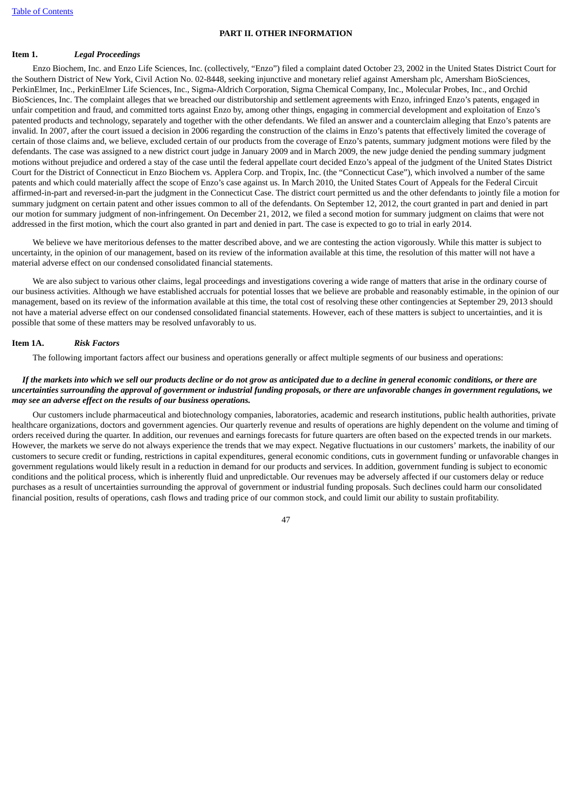#### **PART II. OTHER INFORMATION**

# <span id="page-46-0"></span>**Item 1.** *Legal Proceedings*

Enzo Biochem, Inc. and Enzo Life Sciences, Inc. (collectively, "Enzo") filed a complaint dated October 23, 2002 in the United States District Court for the Southern District of New York, Civil Action No. 02-8448, seeking injunctive and monetary relief against Amersham plc, Amersham BioSciences, PerkinElmer, Inc., PerkinElmer Life Sciences, Inc., Sigma-Aldrich Corporation, Sigma Chemical Company, Inc., Molecular Probes, Inc., and Orchid BioSciences, Inc. The complaint alleges that we breached our distributorship and settlement agreements with Enzo, infringed Enzo's patents, engaged in unfair competition and fraud, and committed torts against Enzo by, among other things, engaging in commercial development and exploitation of Enzo's patented products and technology, separately and together with the other defendants. We filed an answer and a counterclaim alleging that Enzo's patents are invalid. In 2007, after the court issued a decision in 2006 regarding the construction of the claims in Enzo's patents that effectively limited the coverage of certain of those claims and, we believe, excluded certain of our products from the coverage of Enzo's patents, summary judgment motions were filed by the defendants. The case was assigned to a new district court judge in January 2009 and in March 2009, the new judge denied the pending summary judgment motions without prejudice and ordered a stay of the case until the federal appellate court decided Enzo's appeal of the judgment of the United States District Court for the District of Connecticut in Enzo Biochem vs. Applera Corp. and Tropix, Inc. (the "Connecticut Case"), which involved a number of the same patents and which could materially affect the scope of Enzo's case against us. In March 2010, the United States Court of Appeals for the Federal Circuit affirmed-in-part and reversed-in-part the judgment in the Connecticut Case. The district court permitted us and the other defendants to jointly file a motion for summary judgment on certain patent and other issues common to all of the defendants. On September 12, 2012, the court granted in part and denied in part our motion for summary judgment of non-infringement. On December 21, 2012, we filed a second motion for summary judgment on claims that were not addressed in the first motion, which the court also granted in part and denied in part. The case is expected to go to trial in early 2014.

We believe we have meritorious defenses to the matter described above, and we are contesting the action vigorously. While this matter is subject to uncertainty, in the opinion of our management, based on its review of the information available at this time, the resolution of this matter will not have a material adverse effect on our condensed consolidated financial statements.

We are also subject to various other claims, legal proceedings and investigations covering a wide range of matters that arise in the ordinary course of our business activities. Although we have established accruals for potential losses that we believe are probable and reasonably estimable, in the opinion of our management, based on its review of the information available at this time, the total cost of resolving these other contingencies at September 29, 2013 should not have a material adverse effect on our condensed consolidated financial statements. However, each of these matters is subject to uncertainties, and it is possible that some of these matters may be resolved unfavorably to us.

### <span id="page-46-1"></span>**Item 1A.** *Risk Factors*

The following important factors affect our business and operations generally or affect multiple segments of our business and operations:

# If the markets into which we sell our products decline or do not grow as anticipated due to a decline in general economic conditions, or there are uncertainties surrounding the approval of government or industrial funding proposals, or there are unfavorable changes in government regulations, we *may see an adverse effect on the results of our business operations.*

Our customers include pharmaceutical and biotechnology companies, laboratories, academic and research institutions, public health authorities, private healthcare organizations, doctors and government agencies. Our quarterly revenue and results of operations are highly dependent on the volume and timing of orders received during the quarter. In addition, our revenues and earnings forecasts for future quarters are often based on the expected trends in our markets. However, the markets we serve do not always experience the trends that we may expect. Negative fluctuations in our customers' markets, the inability of our customers to secure credit or funding, restrictions in capital expenditures, general economic conditions, cuts in government funding or unfavorable changes in government regulations would likely result in a reduction in demand for our products and services. In addition, government funding is subject to economic conditions and the political process, which is inherently fluid and unpredictable. Our revenues may be adversely affected if our customers delay or reduce purchases as a result of uncertainties surrounding the approval of government or industrial funding proposals. Such declines could harm our consolidated financial position, results of operations, cash flows and trading price of our common stock, and could limit our ability to sustain profitability.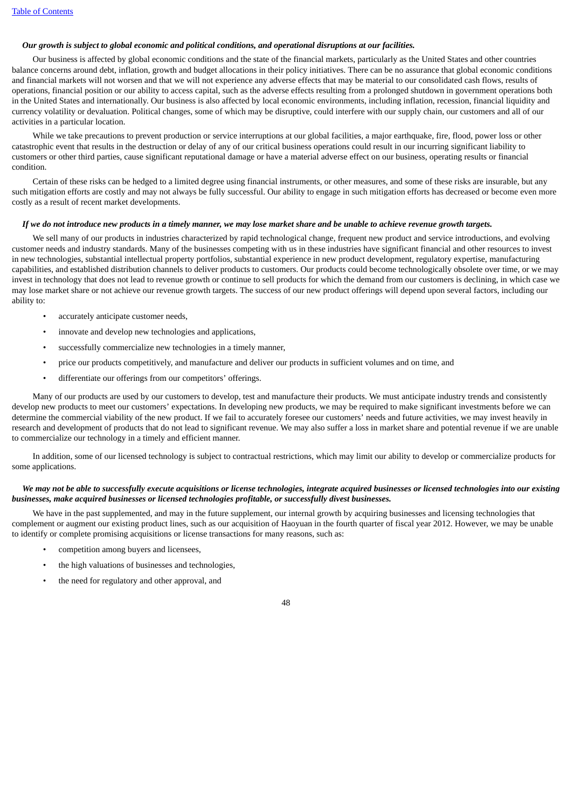# Our growth is subject to global economic and political conditions, and operational disruptions at our facilities.

Our business is affected by global economic conditions and the state of the financial markets, particularly as the United States and other countries balance concerns around debt, inflation, growth and budget allocations in their policy initiatives. There can be no assurance that global economic conditions and financial markets will not worsen and that we will not experience any adverse effects that may be material to our consolidated cash flows, results of operations, financial position or our ability to access capital, such as the adverse effects resulting from a prolonged shutdown in government operations both in the United States and internationally. Our business is also affected by local economic environments, including inflation, recession, financial liquidity and currency volatility or devaluation. Political changes, some of which may be disruptive, could interfere with our supply chain, our customers and all of our activities in a particular location.

While we take precautions to prevent production or service interruptions at our global facilities, a major earthquake, fire, flood, power loss or other catastrophic event that results in the destruction or delay of any of our critical business operations could result in our incurring significant liability to customers or other third parties, cause significant reputational damage or have a material adverse effect on our business, operating results or financial condition.

Certain of these risks can be hedged to a limited degree using financial instruments, or other measures, and some of these risks are insurable, but any such mitigation efforts are costly and may not always be fully successful. Our ability to engage in such mitigation efforts has decreased or become even more costly as a result of recent market developments.

# If we do not introduce new products in a timely manner, we may lose market share and be unable to achieve revenue growth targets.

We sell many of our products in industries characterized by rapid technological change, frequent new product and service introductions, and evolving customer needs and industry standards. Many of the businesses competing with us in these industries have significant financial and other resources to invest in new technologies, substantial intellectual property portfolios, substantial experience in new product development, regulatory expertise, manufacturing capabilities, and established distribution channels to deliver products to customers. Our products could become technologically obsolete over time, or we may invest in technology that does not lead to revenue growth or continue to sell products for which the demand from our customers is declining, in which case we may lose market share or not achieve our revenue growth targets. The success of our new product offerings will depend upon several factors, including our ability to:

- accurately anticipate customer needs,
- innovate and develop new technologies and applications,
- successfully commercialize new technologies in a timely manner,
- price our products competitively, and manufacture and deliver our products in sufficient volumes and on time, and
- differentiate our offerings from our competitors' offerings.

Many of our products are used by our customers to develop, test and manufacture their products. We must anticipate industry trends and consistently develop new products to meet our customers' expectations. In developing new products, we may be required to make significant investments before we can determine the commercial viability of the new product. If we fail to accurately foresee our customers' needs and future activities, we may invest heavily in research and development of products that do not lead to significant revenue. We may also suffer a loss in market share and potential revenue if we are unable to commercialize our technology in a timely and efficient manner.

In addition, some of our licensed technology is subject to contractual restrictions, which may limit our ability to develop or commercialize products for some applications.

# We may not be able to successfully execute acquisitions or license technologies, integrate acquired businesses or licensed technologies into our existing *businesses, make acquired businesses or licensed technologies profitable, or successfully divest businesses.*

We have in the past supplemented, and may in the future supplement, our internal growth by acquiring businesses and licensing technologies that complement or augment our existing product lines, such as our acquisition of Haoyuan in the fourth quarter of fiscal year 2012. However, we may be unable to identify or complete promising acquisitions or license transactions for many reasons, such as:

- competition among buyers and licensees,
- the high valuations of businesses and technologies,
- the need for regulatory and other approval, and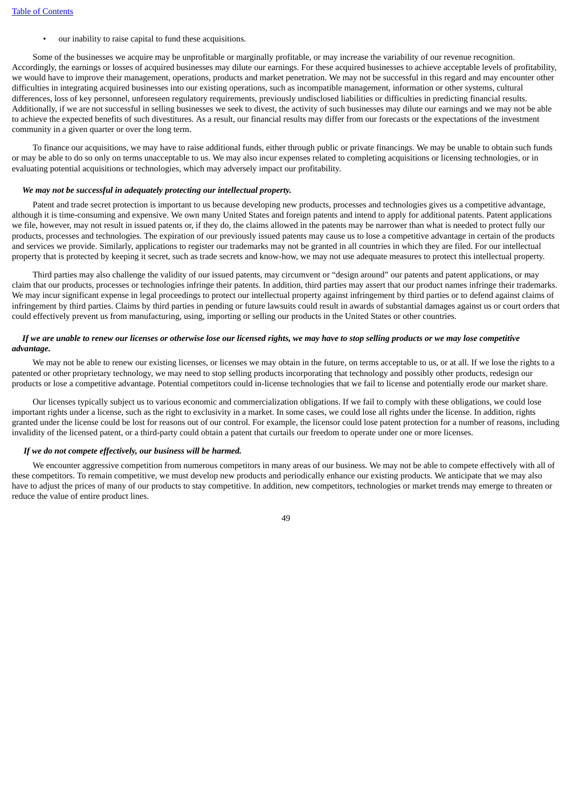our inability to raise capital to fund these acquisitions.

Some of the businesses we acquire may be unprofitable or marginally profitable, or may increase the variability of our revenue recognition. Accordingly, the earnings or losses of acquired businesses may dilute our earnings. For these acquired businesses to achieve acceptable levels of profitability, we would have to improve their management, operations, products and market penetration. We may not be successful in this regard and may encounter other difficulties in integrating acquired businesses into our existing operations, such as incompatible management, information or other systems, cultural differences, loss of key personnel, unforeseen regulatory requirements, previously undisclosed liabilities or difficulties in predicting financial results. Additionally, if we are not successful in selling businesses we seek to divest, the activity of such businesses may dilute our earnings and we may not be able to achieve the expected benefits of such divestitures. As a result, our financial results may differ from our forecasts or the expectations of the investment community in a given quarter or over the long term.

To finance our acquisitions, we may have to raise additional funds, either through public or private financings. We may be unable to obtain such funds or may be able to do so only on terms unacceptable to us. We may also incur expenses related to completing acquisitions or licensing technologies, or in evaluating potential acquisitions or technologies, which may adversely impact our profitability.

#### *We may not be successful in adequately protecting our intellectual property.*

Patent and trade secret protection is important to us because developing new products, processes and technologies gives us a competitive advantage, although it is time-consuming and expensive. We own many United States and foreign patents and intend to apply for additional patents. Patent applications we file, however, may not result in issued patents or, if they do, the claims allowed in the patents may be narrower than what is needed to protect fully our products, processes and technologies. The expiration of our previously issued patents may cause us to lose a competitive advantage in certain of the products and services we provide. Similarly, applications to register our trademarks may not be granted in all countries in which they are filed. For our intellectual property that is protected by keeping it secret, such as trade secrets and know-how, we may not use adequate measures to protect this intellectual property.

Third parties may also challenge the validity of our issued patents, may circumvent or "design around" our patents and patent applications, or may claim that our products, processes or technologies infringe their patents. In addition, third parties may assert that our product names infringe their trademarks. We may incur significant expense in legal proceedings to protect our intellectual property against infringement by third parties or to defend against claims of infringement by third parties. Claims by third parties in pending or future lawsuits could result in awards of substantial damages against us or court orders that could effectively prevent us from manufacturing, using, importing or selling our products in the United States or other countries.

# If we are unable to renew our licenses or otherwise lose our licensed rights, we may have to stop selling products or we may lose competitive *advantage.*

We may not be able to renew our existing licenses, or licenses we may obtain in the future, on terms acceptable to us, or at all. If we lose the rights to a patented or other proprietary technology, we may need to stop selling products incorporating that technology and possibly other products, redesign our products or lose a competitive advantage. Potential competitors could in-license technologies that we fail to license and potentially erode our market share.

Our licenses typically subject us to various economic and commercialization obligations. If we fail to comply with these obligations, we could lose important rights under a license, such as the right to exclusivity in a market. In some cases, we could lose all rights under the license. In addition, rights granted under the license could be lost for reasons out of our control. For example, the licensor could lose patent protection for a number of reasons, including invalidity of the licensed patent, or a third-party could obtain a patent that curtails our freedom to operate under one or more licenses.

#### *If we do not compete effectively, our business will be harmed.*

We encounter aggressive competition from numerous competitors in many areas of our business. We may not be able to compete effectively with all of these competitors. To remain competitive, we must develop new products and periodically enhance our existing products. We anticipate that we may also have to adjust the prices of many of our products to stay competitive. In addition, new competitors, technologies or market trends may emerge to threaten or reduce the value of entire product lines.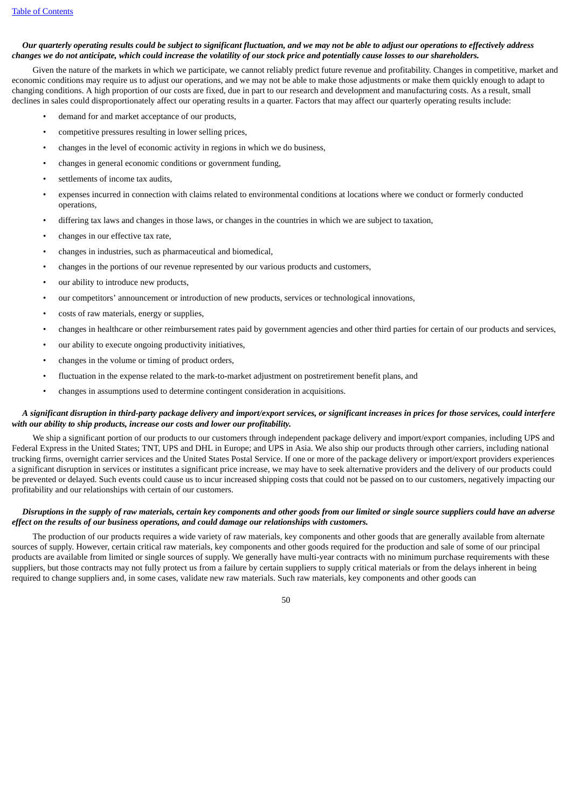# Our quarterly operating results could be subject to significant fluctuation, and we may not be able to adjust our operations to effectively address changes we do not anticipate, which could increase the volatility of our stock price and potentially cause losses to our shareholders.

Given the nature of the markets in which we participate, we cannot reliably predict future revenue and profitability. Changes in competitive, market and economic conditions may require us to adjust our operations, and we may not be able to make those adjustments or make them quickly enough to adapt to changing conditions. A high proportion of our costs are fixed, due in part to our research and development and manufacturing costs. As a result, small declines in sales could disproportionately affect our operating results in a quarter. Factors that may affect our quarterly operating results include:

- demand for and market acceptance of our products,
- competitive pressures resulting in lower selling prices,
- changes in the level of economic activity in regions in which we do business,
- changes in general economic conditions or government funding,
- settlements of income tax audits,
- expenses incurred in connection with claims related to environmental conditions at locations where we conduct or formerly conducted operations,
- differing tax laws and changes in those laws, or changes in the countries in which we are subject to taxation,
- changes in our effective tax rate,
- changes in industries, such as pharmaceutical and biomedical,
- changes in the portions of our revenue represented by our various products and customers,
- our ability to introduce new products,
- our competitors' announcement or introduction of new products, services or technological innovations,
- costs of raw materials, energy or supplies,
- changes in healthcare or other reimbursement rates paid by government agencies and other third parties for certain of our products and services,
- our ability to execute ongoing productivity initiatives,
- changes in the volume or timing of product orders,
- fluctuation in the expense related to the mark-to-market adjustment on postretirement benefit plans, and
- changes in assumptions used to determine contingent consideration in acquisitions.

# A significant disruption in third-party package delivery and import/export services, or significant increases in prices for those services, could interfere *with our ability to ship products, increase our costs and lower our profitability.*

We ship a significant portion of our products to our customers through independent package delivery and import/export companies, including UPS and Federal Express in the United States; TNT, UPS and DHL in Europe; and UPS in Asia. We also ship our products through other carriers, including national trucking firms, overnight carrier services and the United States Postal Service. If one or more of the package delivery or import/export providers experiences a significant disruption in services or institutes a significant price increase, we may have to seek alternative providers and the delivery of our products could be prevented or delayed. Such events could cause us to incur increased shipping costs that could not be passed on to our customers, negatively impacting our profitability and our relationships with certain of our customers.

# Disruptions in the supply of raw materials, certain key components and other goods from our limited or single source suppliers could have an adverse *effect on the results of our business operations, and could damage our relationships with customers.*

The production of our products requires a wide variety of raw materials, key components and other goods that are generally available from alternate sources of supply. However, certain critical raw materials, key components and other goods required for the production and sale of some of our principal products are available from limited or single sources of supply. We generally have multi-year contracts with no minimum purchase requirements with these suppliers, but those contracts may not fully protect us from a failure by certain suppliers to supply critical materials or from the delays inherent in being required to change suppliers and, in some cases, validate new raw materials. Such raw materials, key components and other goods can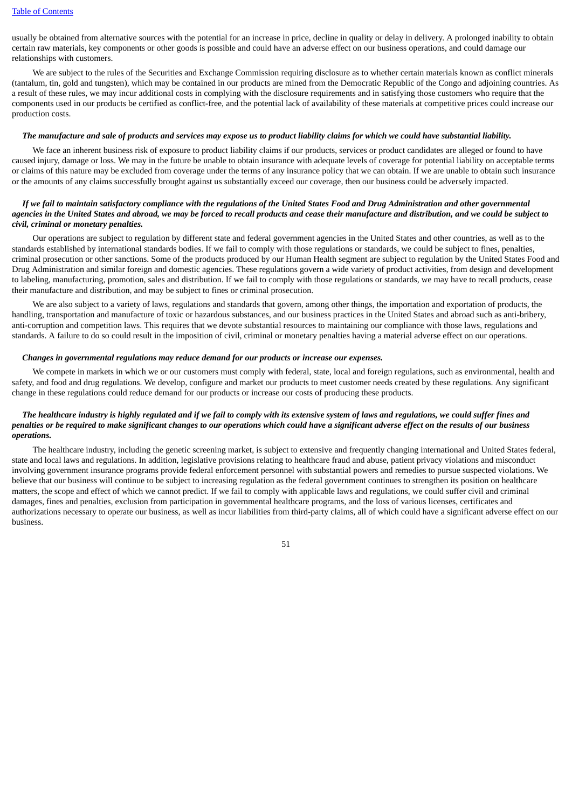usually be obtained from alternative sources with the potential for an increase in price, decline in quality or delay in delivery. A prolonged inability to obtain certain raw materials, key components or other goods is possible and could have an adverse effect on our business operations, and could damage our relationships with customers.

We are subject to the rules of the Securities and Exchange Commission requiring disclosure as to whether certain materials known as conflict minerals (tantalum, tin, gold and tungsten), which may be contained in our products are mined from the Democratic Republic of the Congo and adjoining countries. As a result of these rules, we may incur additional costs in complying with the disclosure requirements and in satisfying those customers who require that the components used in our products be certified as conflict-free, and the potential lack of availability of these materials at competitive prices could increase our production costs.

#### The manufacture and sale of products and services may expose us to product liability claims for which we could have substantial liability.

We face an inherent business risk of exposure to product liability claims if our products, services or product candidates are alleged or found to have caused injury, damage or loss. We may in the future be unable to obtain insurance with adequate levels of coverage for potential liability on acceptable terms or claims of this nature may be excluded from coverage under the terms of any insurance policy that we can obtain. If we are unable to obtain such insurance or the amounts of any claims successfully brought against us substantially exceed our coverage, then our business could be adversely impacted.

# If we fail to maintain satisfactory compliance with the regulations of the United States Food and Drug Administration and other governmental agencies in the United States and abroad, we may be forced to recall products and cease their manufacture and distribution, and we could be subject to *civil, criminal or monetary penalties.*

Our operations are subject to regulation by different state and federal government agencies in the United States and other countries, as well as to the standards established by international standards bodies. If we fail to comply with those regulations or standards, we could be subject to fines, penalties, criminal prosecution or other sanctions. Some of the products produced by our Human Health segment are subject to regulation by the United States Food and Drug Administration and similar foreign and domestic agencies. These regulations govern a wide variety of product activities, from design and development to labeling, manufacturing, promotion, sales and distribution. If we fail to comply with those regulations or standards, we may have to recall products, cease their manufacture and distribution, and may be subject to fines or criminal prosecution.

We are also subject to a variety of laws, regulations and standards that govern, among other things, the importation and exportation of products, the handling, transportation and manufacture of toxic or hazardous substances, and our business practices in the United States and abroad such as anti-bribery, anti-corruption and competition laws. This requires that we devote substantial resources to maintaining our compliance with those laws, regulations and standards. A failure to do so could result in the imposition of civil, criminal or monetary penalties having a material adverse effect on our operations.

#### *Changes in governmental regulations may reduce demand for our products or increase our expenses.*

We compete in markets in which we or our customers must comply with federal, state, local and foreign regulations, such as environmental, health and safety, and food and drug regulations. We develop, configure and market our products to meet customer needs created by these regulations. Any significant change in these regulations could reduce demand for our products or increase our costs of producing these products.

# The healthcare industry is highly regulated and if we fail to comply with its extensive system of laws and regulations, we could suffer fines and penalties or be required to make significant changes to our operations which could have a significant adverse effect on the results of our business *operations.*

The healthcare industry, including the genetic screening market, is subject to extensive and frequently changing international and United States federal, state and local laws and regulations. In addition, legislative provisions relating to healthcare fraud and abuse, patient privacy violations and misconduct involving government insurance programs provide federal enforcement personnel with substantial powers and remedies to pursue suspected violations. We believe that our business will continue to be subject to increasing regulation as the federal government continues to strengthen its position on healthcare matters, the scope and effect of which we cannot predict. If we fail to comply with applicable laws and regulations, we could suffer civil and criminal damages, fines and penalties, exclusion from participation in governmental healthcare programs, and the loss of various licenses, certificates and authorizations necessary to operate our business, as well as incur liabilities from third-party claims, all of which could have a significant adverse effect on our business.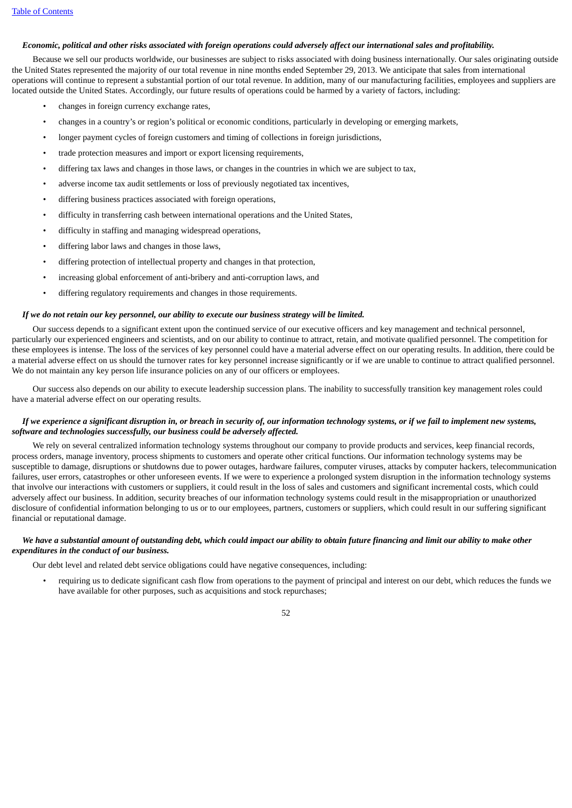# Economic, political and other risks associated with foreign operations could adversely affect our international sales and profitability.

Because we sell our products worldwide, our businesses are subject to risks associated with doing business internationally. Our sales originating outside the United States represented the majority of our total revenue in nine months ended September 29, 2013. We anticipate that sales from international operations will continue to represent a substantial portion of our total revenue. In addition, many of our manufacturing facilities, employees and suppliers are located outside the United States. Accordingly, our future results of operations could be harmed by a variety of factors, including:

- changes in foreign currency exchange rates,
- changes in a country's or region's political or economic conditions, particularly in developing or emerging markets,
- longer payment cycles of foreign customers and timing of collections in foreign jurisdictions,
- trade protection measures and import or export licensing requirements,
- differing tax laws and changes in those laws, or changes in the countries in which we are subject to tax,
- adverse income tax audit settlements or loss of previously negotiated tax incentives,
- differing business practices associated with foreign operations,
- difficulty in transferring cash between international operations and the United States,
- difficulty in staffing and managing widespread operations,
- differing labor laws and changes in those laws,
- differing protection of intellectual property and changes in that protection,
- increasing global enforcement of anti-bribery and anti-corruption laws, and
- differing regulatory requirements and changes in those requirements.

## If we do not retain our key personnel, our ability to execute our business strategy will be limited.

Our success depends to a significant extent upon the continued service of our executive officers and key management and technical personnel, particularly our experienced engineers and scientists, and on our ability to continue to attract, retain, and motivate qualified personnel. The competition for these employees is intense. The loss of the services of key personnel could have a material adverse effect on our operating results. In addition, there could be a material adverse effect on us should the turnover rates for key personnel increase significantly or if we are unable to continue to attract qualified personnel. We do not maintain any key person life insurance policies on any of our officers or employees.

Our success also depends on our ability to execute leadership succession plans. The inability to successfully transition key management roles could have a material adverse effect on our operating results.

# If we experience a significant disruption in, or breach in security of, our information technology systems, or if we fail to implement new systems, *software and technologies successfully, our business could be adversely affected.*

We rely on several centralized information technology systems throughout our company to provide products and services, keep financial records, process orders, manage inventory, process shipments to customers and operate other critical functions. Our information technology systems may be susceptible to damage, disruptions or shutdowns due to power outages, hardware failures, computer viruses, attacks by computer hackers, telecommunication failures, user errors, catastrophes or other unforeseen events. If we were to experience a prolonged system disruption in the information technology systems that involve our interactions with customers or suppliers, it could result in the loss of sales and customers and significant incremental costs, which could adversely affect our business. In addition, security breaches of our information technology systems could result in the misappropriation or unauthorized disclosure of confidential information belonging to us or to our employees, partners, customers or suppliers, which could result in our suffering significant financial or reputational damage.

# We have a substantial amount of outstanding debt, which could impact our ability to obtain future financing and limit our ability to make other *expenditures in the conduct of our business.*

Our debt level and related debt service obligations could have negative consequences, including:

• requiring us to dedicate significant cash flow from operations to the payment of principal and interest on our debt, which reduces the funds we have available for other purposes, such as acquisitions and stock repurchases;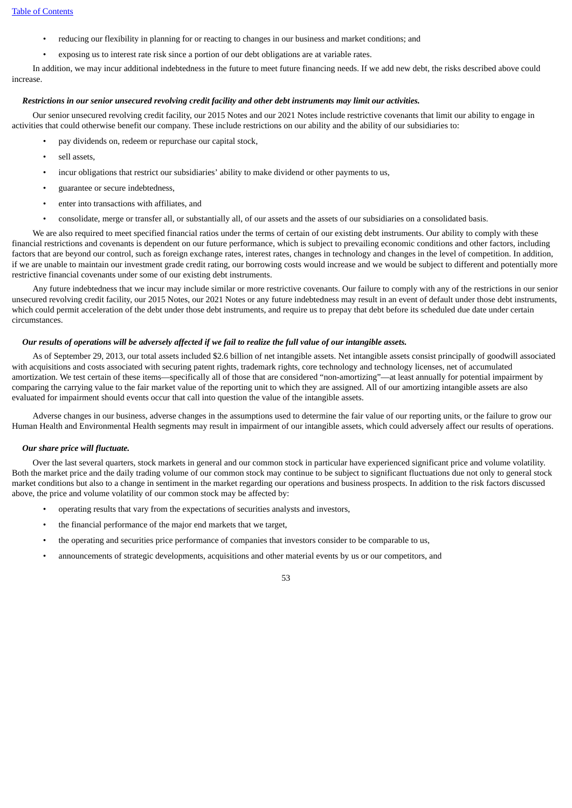- reducing our flexibility in planning for or reacting to changes in our business and market conditions; and
- exposing us to interest rate risk since a portion of our debt obligations are at variable rates.

In addition, we may incur additional indebtedness in the future to meet future financing needs. If we add new debt, the risks described above could increase.

# Restrictions in our senior unsecured revolving credit facility and other debt instruments may limit our activities.

Our senior unsecured revolving credit facility, our 2015 Notes and our 2021 Notes include restrictive covenants that limit our ability to engage in activities that could otherwise benefit our company. These include restrictions on our ability and the ability of our subsidiaries to:

- pay dividends on, redeem or repurchase our capital stock,
- sell assets.
- incur obligations that restrict our subsidiaries' ability to make dividend or other payments to us,
- guarantee or secure indebtedness,
- enter into transactions with affiliates, and
- consolidate, merge or transfer all, or substantially all, of our assets and the assets of our subsidiaries on a consolidated basis.

We are also required to meet specified financial ratios under the terms of certain of our existing debt instruments. Our ability to comply with these financial restrictions and covenants is dependent on our future performance, which is subject to prevailing economic conditions and other factors, including factors that are beyond our control, such as foreign exchange rates, interest rates, changes in technology and changes in the level of competition. In addition, if we are unable to maintain our investment grade credit rating, our borrowing costs would increase and we would be subject to different and potentially more restrictive financial covenants under some of our existing debt instruments.

Any future indebtedness that we incur may include similar or more restrictive covenants. Our failure to comply with any of the restrictions in our senior unsecured revolving credit facility, our 2015 Notes, our 2021 Notes or any future indebtedness may result in an event of default under those debt instruments, which could permit acceleration of the debt under those debt instruments, and require us to prepay that debt before its scheduled due date under certain circumstances.

# Our results of operations will be adversely affected if we fail to realize the full value of our intangible assets.

As of September 29, 2013, our total assets included \$2.6 billion of net intangible assets. Net intangible assets consist principally of goodwill associated with acquisitions and costs associated with securing patent rights, trademark rights, core technology and technology licenses, net of accumulated amortization. We test certain of these items—specifically all of those that are considered "non-amortizing"—at least annually for potential impairment by comparing the carrying value to the fair market value of the reporting unit to which they are assigned. All of our amortizing intangible assets are also evaluated for impairment should events occur that call into question the value of the intangible assets.

Adverse changes in our business, adverse changes in the assumptions used to determine the fair value of our reporting units, or the failure to grow our Human Health and Environmental Health segments may result in impairment of our intangible assets, which could adversely affect our results of operations.

# *Our share price will fluctuate.*

Over the last several quarters, stock markets in general and our common stock in particular have experienced significant price and volume volatility. Both the market price and the daily trading volume of our common stock may continue to be subject to significant fluctuations due not only to general stock market conditions but also to a change in sentiment in the market regarding our operations and business prospects. In addition to the risk factors discussed above, the price and volume volatility of our common stock may be affected by:

- operating results that vary from the expectations of securities analysts and investors,
- the financial performance of the major end markets that we target,
- the operating and securities price performance of companies that investors consider to be comparable to us,
- announcements of strategic developments, acquisitions and other material events by us or our competitors, and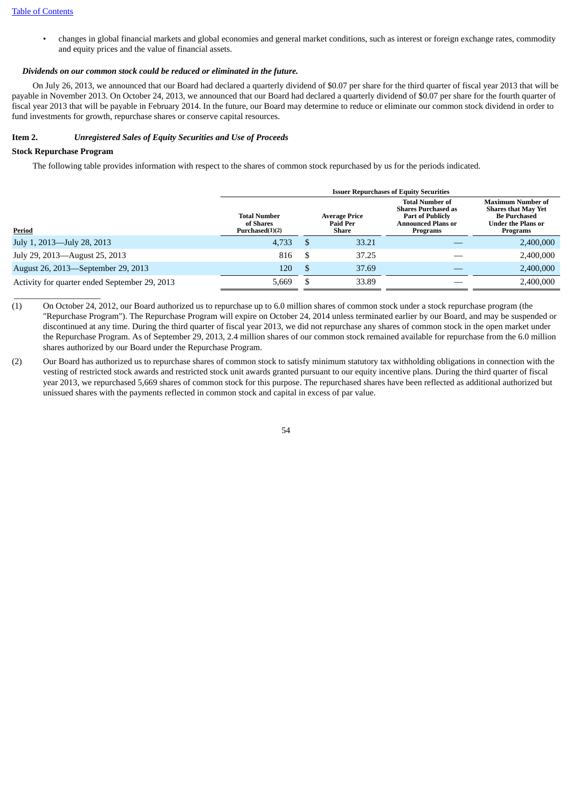• changes in global financial markets and global economies and general market conditions, such as interest or foreign exchange rates, commodity and equity prices and the value of financial assets.

# *Dividends on our common stock could be reduced or eliminated in the future.*

On July 26, 2013, we announced that our Board had declared a quarterly dividend of \$0.07 per share for the third quarter of fiscal year 2013 that will be payable in November 2013. On October 24, 2013, we announced that our Board had declared a quarterly dividend of \$0.07 per share for the fourth quarter of fiscal year 2013 that will be payable in February 2014. In the future, our Board may determine to reduce or eliminate our common stock dividend in order to fund investments for growth, repurchase shares or conserve capital resources.

# <span id="page-53-0"></span>**Item 2.** *Unregistered Sales of Equity Securities and Use of Proceeds*

# **Stock Repurchase Program**

\_\_\_\_\_\_\_\_\_\_\_\_\_\_\_\_\_\_\_\_

The following table provides information with respect to the shares of common stock repurchased by us for the periods indicated.

|                                               | <b>Issuer Repurchases of Equity Securities</b>      |      |                                                                                                                                                                       |  |                                                                                                                 |
|-----------------------------------------------|-----------------------------------------------------|------|-----------------------------------------------------------------------------------------------------------------------------------------------------------------------|--|-----------------------------------------------------------------------------------------------------------------|
| Period                                        | <b>Total Number</b><br>of Shares<br>Purchased(1)(2) |      | <b>Total Number of</b><br><b>Shares Purchased as</b><br><b>Part of Publicly</b><br><b>Average Price</b><br><b>Paid Per</b><br>Announced Plans or<br>Share<br>Programs |  | <b>Maximum Number of</b><br><b>Shares that May Yet</b><br><b>Be Purchased</b><br>Under the Plans or<br>Programs |
| July 1, 2013—July 28, 2013                    | 4,733                                               |      | 33.21                                                                                                                                                                 |  | 2,400,000                                                                                                       |
| July 29, 2013—August 25, 2013                 | 816                                                 | - \$ | 37.25                                                                                                                                                                 |  | 2,400,000                                                                                                       |
| August 26, 2013-September 29, 2013            | 120                                                 | S    | 37.69                                                                                                                                                                 |  | 2,400,000                                                                                                       |
| Activity for quarter ended September 29, 2013 | 5,669                                               | S    | 33.89                                                                                                                                                                 |  | 2,400,000                                                                                                       |

(1) On October 24, 2012, our Board authorized us to repurchase up to 6.0 million shares of common stock under a stock repurchase program (the "Repurchase Program"). The Repurchase Program will expire on October 24, 2014 unless terminated earlier by our Board, and may be suspended or discontinued at any time. During the third quarter of fiscal year 2013, we did not repurchase any shares of common stock in the open market under the Repurchase Program. As of September 29, 2013, 2.4 million shares of our common stock remained available for repurchase from the 6.0 million shares authorized by our Board under the Repurchase Program.

(2) Our Board has authorized us to repurchase shares of common stock to satisfy minimum statutory tax withholding obligations in connection with the vesting of restricted stock awards and restricted stock unit awards granted pursuant to our equity incentive plans. During the third quarter of fiscal year 2013, we repurchased 5,669 shares of common stock for this purpose. The repurchased shares have been reflected as additional authorized but unissued shares with the payments reflected in common stock and capital in excess of par value.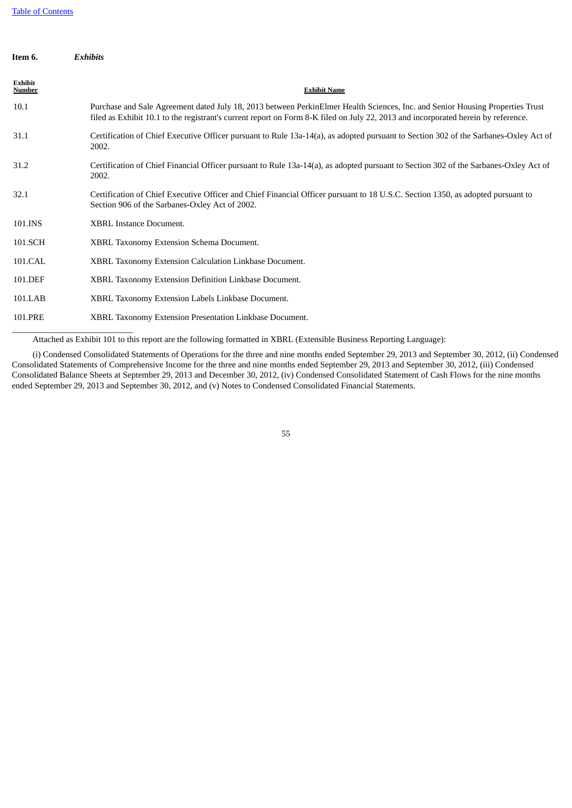<span id="page-54-0"></span>

| Item 6.           | <b>Exhibits</b>                                                                                                                                                                                                                                                    |
|-------------------|--------------------------------------------------------------------------------------------------------------------------------------------------------------------------------------------------------------------------------------------------------------------|
| Exhibit<br>Number | <b>Exhibit Name</b>                                                                                                                                                                                                                                                |
| 10.1              | Purchase and Sale Agreement dated July 18, 2013 between PerkinElmer Health Sciences, Inc. and Senior Housing Properties Trust<br>filed as Exhibit 10.1 to the registrant's current report on Form 8-K filed on July 22, 2013 and incorporated herein by reference. |
| 31.1              | Certification of Chief Executive Officer pursuant to Rule 13a-14(a), as adopted pursuant to Section 302 of the Sarbanes-Oxley Act of<br>2002.                                                                                                                      |
| 31.2              | Certification of Chief Financial Officer pursuant to Rule 13a-14(a), as adopted pursuant to Section 302 of the Sarbanes-Oxley Act of<br>2002.                                                                                                                      |
| 32.1              | Certification of Chief Executive Officer and Chief Financial Officer pursuant to 18 U.S.C. Section 1350, as adopted pursuant to<br>Section 906 of the Sarbanes-Oxley Act of 2002.                                                                                  |
| 101.INS           | <b>XBRL Instance Document.</b>                                                                                                                                                                                                                                     |
| 101.SCH           | XBRL Taxonomy Extension Schema Document.                                                                                                                                                                                                                           |
| 101.CAL           | XBRL Taxonomy Extension Calculation Linkbase Document.                                                                                                                                                                                                             |
| 101.DEF           | XBRL Taxonomy Extension Definition Linkbase Document.                                                                                                                                                                                                              |
| 101.LAB           | XBRL Taxonomy Extension Labels Linkbase Document.                                                                                                                                                                                                                  |
| 101.PRE           | XBRL Taxonomy Extension Presentation Linkbase Document.                                                                                                                                                                                                            |
|                   | Attached as Exhibit 101 to this report are the following formatted in XBRL (Extensible Business Reporting Language):                                                                                                                                               |

<span id="page-54-1"></span>(i) Condensed Consolidated Statements of Operations for the three and nine months ended September 29, 2013 and September 30, 2012, (ii) Condensed Consolidated Statements of Comprehensive Income for the three and nine months ended September 29, 2013 and September 30, 2012, (iii) Condensed Consolidated Balance Sheets at September 29, 2013 and December 30, 2012, (iv) Condensed Consolidated Statement of Cash Flows for the nine months ended September 29, 2013 and September 30, 2012, and (v) Notes to Condensed Consolidated Financial Statements.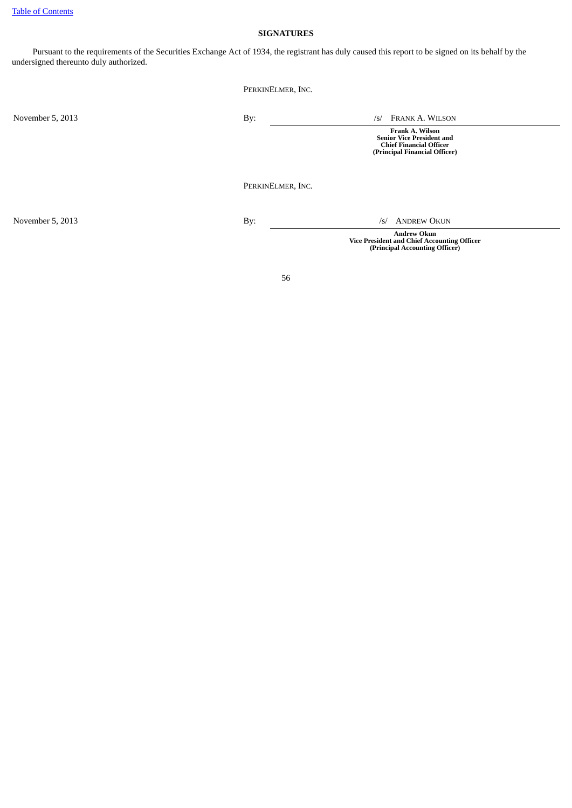# **SIGNATURES**

Pursuant to the requirements of the Securities Exchange Act of 1934, the registrant has duly caused this report to be signed on its behalf by the undersigned thereunto duly authorized.

PERKINELMER, INC.

November 5, 2013 By: /s/ FRANK A. WILSON

**Frank A. Wilson Senior Vice President and Chief Financial Officer (Principal Financial Officer)**

PERKINELMER, INC.

<span id="page-55-0"></span>November 5, 2013 **By:** *By: Islamic By: Islamic By: Islamic By: Islamic By: Islamic By: Islamic By: Islamic By: Islamic By: Islamic By: Islamic By: Islamic By: Islamic By: Islamic By: Islamic By* 

**Andrew Okun Vice President and Chief Accounting Officer (Principal Accounting Officer)**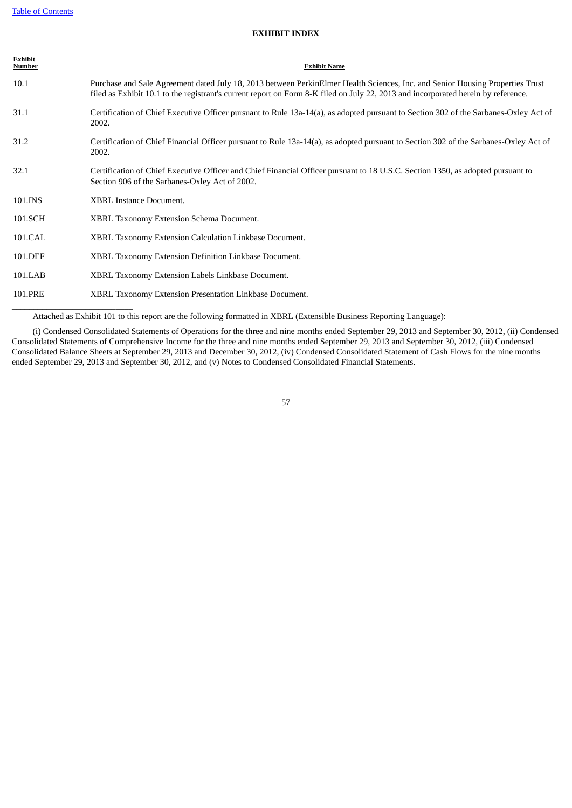\_\_\_\_\_\_\_\_\_\_\_\_\_\_\_\_\_\_\_\_\_\_\_\_\_\_\_\_

# **EXHIBIT INDEX**

| <b>Exhibit</b><br>Number | <b>Exhibit Name</b>                                                                                                                                                                                                                                                |
|--------------------------|--------------------------------------------------------------------------------------------------------------------------------------------------------------------------------------------------------------------------------------------------------------------|
| 10.1                     | Purchase and Sale Agreement dated July 18, 2013 between PerkinElmer Health Sciences, Inc. and Senior Housing Properties Trust<br>filed as Exhibit 10.1 to the registrant's current report on Form 8-K filed on July 22, 2013 and incorporated herein by reference. |
| 31.1                     | Certification of Chief Executive Officer pursuant to Rule 13a-14(a), as adopted pursuant to Section 302 of the Sarbanes-Oxley Act of<br>2002.                                                                                                                      |
| 31.2                     | Certification of Chief Financial Officer pursuant to Rule 13a-14(a), as adopted pursuant to Section 302 of the Sarbanes-Oxley Act of<br>2002.                                                                                                                      |
| 32.1                     | Certification of Chief Executive Officer and Chief Financial Officer pursuant to 18 U.S.C. Section 1350, as adopted pursuant to<br>Section 906 of the Sarbanes-Oxley Act of 2002.                                                                                  |
| 101.INS                  | XBRL Instance Document.                                                                                                                                                                                                                                            |
| 101.SCH                  | XBRL Taxonomy Extension Schema Document.                                                                                                                                                                                                                           |
| 101.CAL                  | XBRL Taxonomy Extension Calculation Linkbase Document.                                                                                                                                                                                                             |
| 101.DEF                  | XBRL Taxonomy Extension Definition Linkbase Document.                                                                                                                                                                                                              |
| 101.LAB                  | XBRL Taxonomy Extension Labels Linkbase Document.                                                                                                                                                                                                                  |
| 101.PRE                  | XBRL Taxonomy Extension Presentation Linkbase Document.                                                                                                                                                                                                            |

Attached as Exhibit 101 to this report are the following formatted in XBRL (Extensible Business Reporting Language):

(i) Condensed Consolidated Statements of Operations for the three and nine months ended September 29, 2013 and September 30, 2012, (ii) Condensed Consolidated Statements of Comprehensive Income for the three and nine months ended September 29, 2013 and September 30, 2012, (iii) Condensed Consolidated Balance Sheets at September 29, 2013 and December 30, 2012, (iv) Condensed Consolidated Statement of Cash Flows for the nine months ended September 29, 2013 and September 30, 2012, and (v) Notes to Condensed Consolidated Financial Statements.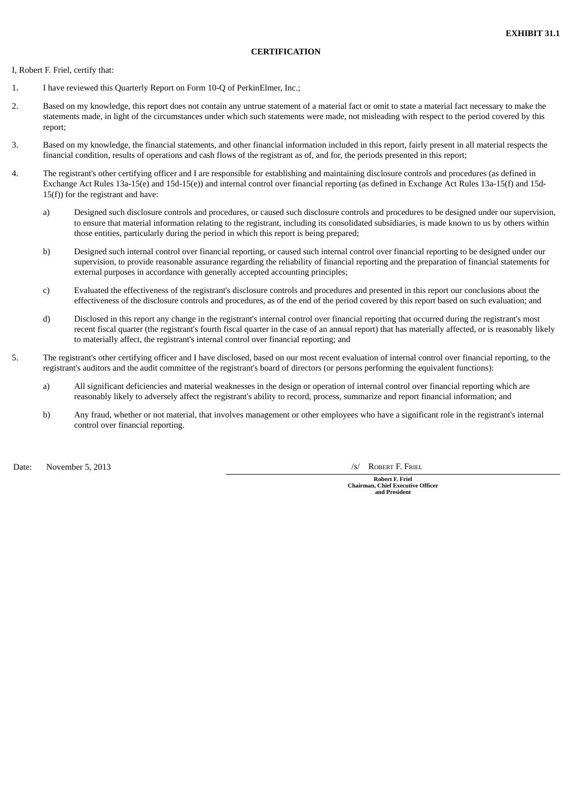## **CERTIFICATION**

I, Robert F. Friel, certify that:

- 1. I have reviewed this Quarterly Report on Form 10-Q of PerkinElmer, Inc.;
- 2. Based on my knowledge, this report does not contain any untrue statement of a material fact or omit to state a material fact necessary to make the statements made, in light of the circumstances under which such statements were made, not misleading with respect to the period covered by this report;
- 3. Based on my knowledge, the financial statements, and other financial information included in this report, fairly present in all material respects the financial condition, results of operations and cash flows of the registrant as of, and for, the periods presented in this report;
- 4. The registrant's other certifying officer and I are responsible for establishing and maintaining disclosure controls and procedures (as defined in Exchange Act Rules 13a-15(e) and 15d-15(e)) and internal control over financial reporting (as defined in Exchange Act Rules 13a-15(f) and 15d-15(f)) for the registrant and have:
	- a) Designed such disclosure controls and procedures, or caused such disclosure controls and procedures to be designed under our supervision, to ensure that material information relating to the registrant, including its consolidated subsidiaries, is made known to us by others within those entities, particularly during the period in which this report is being prepared;
	- b) Designed such internal control over financial reporting, or caused such internal control over financial reporting to be designed under our supervision, to provide reasonable assurance regarding the reliability of financial reporting and the preparation of financial statements for external purposes in accordance with generally accepted accounting principles;
	- c) Evaluated the effectiveness of the registrant's disclosure controls and procedures and presented in this report our conclusions about the effectiveness of the disclosure controls and procedures, as of the end of the period covered by this report based on such evaluation; and
	- d) Disclosed in this report any change in the registrant's internal control over financial reporting that occurred during the registrant's most recent fiscal quarter (the registrant's fourth fiscal quarter in the case of an annual report) that has materially affected, or is reasonably likely to materially affect, the registrant's internal control over financial reporting; and
- 5. The registrant's other certifying officer and I have disclosed, based on our most recent evaluation of internal control over financial reporting, to the registrant's auditors and the audit committee of the registrant's board of directors (or persons performing the equivalent functions):
	- a) All significant deficiencies and material weaknesses in the design or operation of internal control over financial reporting which are reasonably likely to adversely affect the registrant's ability to record, process, summarize and report financial information; and
	- b) Any fraud, whether or not material, that involves management or other employees who have a significant role in the registrant's internal control over financial reporting.

Date: November 5, 2013 *Date:* November 5, 2013

**Robert F. Friel Chairman, Chief Executive Officer and President**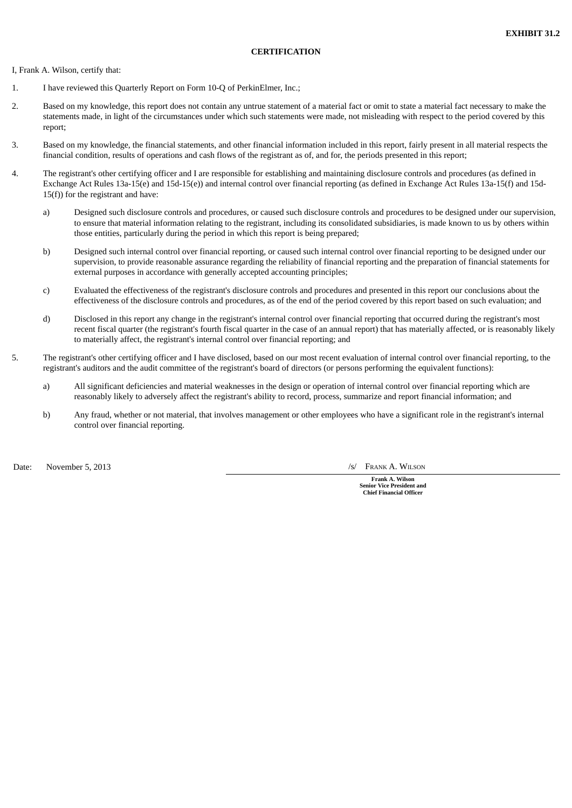## **CERTIFICATION**

I, Frank A. Wilson, certify that:

- 1. I have reviewed this Quarterly Report on Form 10-Q of PerkinElmer, Inc.;
- 2. Based on my knowledge, this report does not contain any untrue statement of a material fact or omit to state a material fact necessary to make the statements made, in light of the circumstances under which such statements were made, not misleading with respect to the period covered by this report;
- 3. Based on my knowledge, the financial statements, and other financial information included in this report, fairly present in all material respects the financial condition, results of operations and cash flows of the registrant as of, and for, the periods presented in this report;
- 4. The registrant's other certifying officer and I are responsible for establishing and maintaining disclosure controls and procedures (as defined in Exchange Act Rules 13a-15(e) and 15d-15(e)) and internal control over financial reporting (as defined in Exchange Act Rules 13a-15(f) and 15d-15(f)) for the registrant and have:
	- a) Designed such disclosure controls and procedures, or caused such disclosure controls and procedures to be designed under our supervision, to ensure that material information relating to the registrant, including its consolidated subsidiaries, is made known to us by others within those entities, particularly during the period in which this report is being prepared;
	- b) Designed such internal control over financial reporting, or caused such internal control over financial reporting to be designed under our supervision, to provide reasonable assurance regarding the reliability of financial reporting and the preparation of financial statements for external purposes in accordance with generally accepted accounting principles;
	- c) Evaluated the effectiveness of the registrant's disclosure controls and procedures and presented in this report our conclusions about the effectiveness of the disclosure controls and procedures, as of the end of the period covered by this report based on such evaluation; and
	- d) Disclosed in this report any change in the registrant's internal control over financial reporting that occurred during the registrant's most recent fiscal quarter (the registrant's fourth fiscal quarter in the case of an annual report) that has materially affected, or is reasonably likely to materially affect, the registrant's internal control over financial reporting; and
- 5. The registrant's other certifying officer and I have disclosed, based on our most recent evaluation of internal control over financial reporting, to the registrant's auditors and the audit committee of the registrant's board of directors (or persons performing the equivalent functions):
	- a) All significant deficiencies and material weaknesses in the design or operation of internal control over financial reporting which are reasonably likely to adversely affect the registrant's ability to record, process, summarize and report financial information; and
	- b) Any fraud, whether or not material, that involves management or other employees who have a significant role in the registrant's internal control over financial reporting.

Date: November 5, 2013 **Date:** November 5, 2013

**Frank A. Wilson Senior Vice President and Chief Financial Officer**